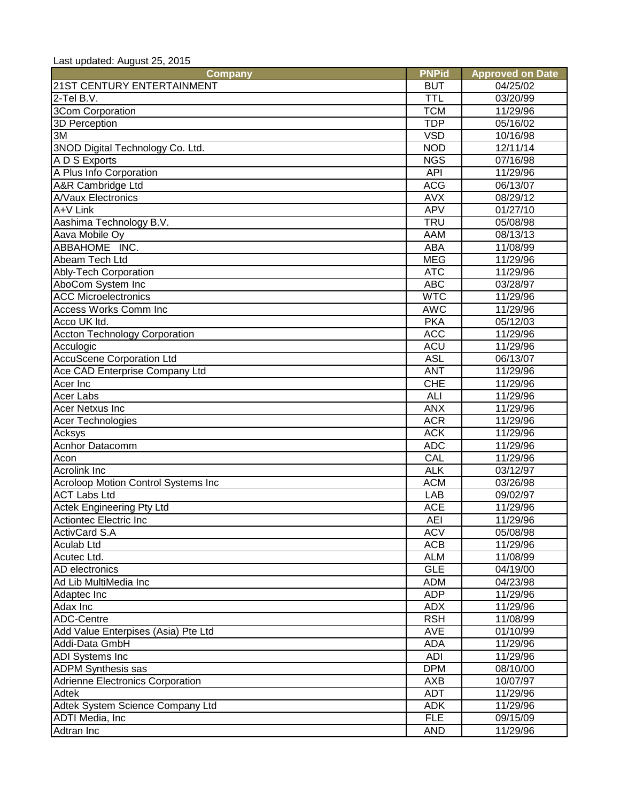| <b>PNPid</b><br><b>Approved on Date</b><br>Company<br>21ST CENTURY ENTERTAINMENT<br>04/25/02<br><b>BUT</b><br>2-Tel B.V.<br><b>TTL</b><br>03/20/99<br>3Com Corporation<br><b>TCM</b><br>11/29/96<br><b>TDP</b><br>3D Perception<br>05/16/02<br><b>VSD</b><br>3M<br>10/16/98<br>3NOD Digital Technology Co. Ltd.<br><b>NOD</b><br>12/11/14<br>A D S Exports<br><b>NGS</b><br>07/16/98<br>A Plus Info Corporation<br>11/29/96<br><b>API</b><br>A&R Cambridge Ltd<br><b>ACG</b><br>06/13/07<br><b>A/Vaux Electronics</b><br>08/29/12<br><b>AVX</b><br>A+V Link<br><b>APV</b><br>01/27/10<br>Aashima Technology B.V.<br><b>TRU</b><br>05/08/98<br>Aava Mobile Oy<br>08/13/13<br><b>AAM</b><br>ABBAHOME INC.<br><b>ABA</b><br>11/08/99<br><b>MEG</b><br>Abeam Tech Ltd<br>11/29/96<br>Ably-Tech Corporation<br>11/29/96<br><b>ATC</b><br><b>ABC</b><br>AboCom System Inc<br>03/28/97<br><b>ACC Microelectronics</b><br><b>WTC</b><br>11/29/96<br><b>Access Works Comm Inc</b><br><b>AWC</b><br>11/29/96<br><b>PKA</b><br>05/12/03<br>Acco UK Itd.<br><b>ACC</b><br><b>Accton Technology Corporation</b><br>11/29/96<br>Acculogic<br><b>ACU</b><br>11/29/96<br><b>AccuScene Corporation Ltd</b><br><b>ASL</b><br>06/13/07<br>Ace CAD Enterprise Company Ltd<br>11/29/96<br><b>ANT</b><br>Acer Inc<br><b>CHE</b><br>11/29/96<br>Acer Labs<br>ALI<br>11/29/96<br>Acer Netxus Inc<br><b>ANX</b><br>11/29/96<br><b>ACR</b><br>Acer Technologies<br>11/29/96<br>Acksys<br><b>ACK</b><br>11/29/96<br>Acnhor Datacomm<br><b>ADC</b><br>11/29/96<br>CAL<br>11/29/96<br>Acon<br><b>ALK</b><br>03/12/97<br>Acrolink Inc<br><b>Acroloop Motion Control Systems Inc</b><br><b>ACM</b><br>03/26/98<br><b>ACT Labs Ltd</b><br><b>LAB</b><br>09/02/97<br><b>ACE</b><br><b>Actek Engineering Pty Ltd</b><br>11/29/96<br>AEI<br>11/29/96<br>Actiontec Electric Inc<br><b>ACV</b><br>ActivCard S.A<br>05/08/98<br><b>ACB</b><br>11/29/96<br>Aculab Ltd<br>Acutec Ltd.<br><b>ALM</b><br>11/08/99<br><b>GLE</b><br>04/19/00<br>AD electronics<br>Ad Lib MultiMedia Inc<br><b>ADM</b><br>04/23/98<br><b>ADP</b><br>11/29/96<br>Adaptec Inc<br><b>ADX</b><br>Adax Inc<br>11/29/96<br>ADC-Centre<br><b>RSH</b><br>11/08/99<br>Add Value Enterpises (Asia) Pte Ltd<br><b>AVE</b><br>01/10/99<br>Addi-Data GmbH<br><b>ADA</b><br>11/29/96 | Last updated: August 25, 2015 |     |          |
|------------------------------------------------------------------------------------------------------------------------------------------------------------------------------------------------------------------------------------------------------------------------------------------------------------------------------------------------------------------------------------------------------------------------------------------------------------------------------------------------------------------------------------------------------------------------------------------------------------------------------------------------------------------------------------------------------------------------------------------------------------------------------------------------------------------------------------------------------------------------------------------------------------------------------------------------------------------------------------------------------------------------------------------------------------------------------------------------------------------------------------------------------------------------------------------------------------------------------------------------------------------------------------------------------------------------------------------------------------------------------------------------------------------------------------------------------------------------------------------------------------------------------------------------------------------------------------------------------------------------------------------------------------------------------------------------------------------------------------------------------------------------------------------------------------------------------------------------------------------------------------------------------------------------------------------------------------------------------------------------------------------------------------------------------------------------------------------------------------------------------------------------------------------------------------------------------------------------------------------------------------------------------------------------------------|-------------------------------|-----|----------|
|                                                                                                                                                                                                                                                                                                                                                                                                                                                                                                                                                                                                                                                                                                                                                                                                                                                                                                                                                                                                                                                                                                                                                                                                                                                                                                                                                                                                                                                                                                                                                                                                                                                                                                                                                                                                                                                                                                                                                                                                                                                                                                                                                                                                                                                                                                            |                               |     |          |
|                                                                                                                                                                                                                                                                                                                                                                                                                                                                                                                                                                                                                                                                                                                                                                                                                                                                                                                                                                                                                                                                                                                                                                                                                                                                                                                                                                                                                                                                                                                                                                                                                                                                                                                                                                                                                                                                                                                                                                                                                                                                                                                                                                                                                                                                                                            |                               |     |          |
|                                                                                                                                                                                                                                                                                                                                                                                                                                                                                                                                                                                                                                                                                                                                                                                                                                                                                                                                                                                                                                                                                                                                                                                                                                                                                                                                                                                                                                                                                                                                                                                                                                                                                                                                                                                                                                                                                                                                                                                                                                                                                                                                                                                                                                                                                                            |                               |     |          |
|                                                                                                                                                                                                                                                                                                                                                                                                                                                                                                                                                                                                                                                                                                                                                                                                                                                                                                                                                                                                                                                                                                                                                                                                                                                                                                                                                                                                                                                                                                                                                                                                                                                                                                                                                                                                                                                                                                                                                                                                                                                                                                                                                                                                                                                                                                            |                               |     |          |
|                                                                                                                                                                                                                                                                                                                                                                                                                                                                                                                                                                                                                                                                                                                                                                                                                                                                                                                                                                                                                                                                                                                                                                                                                                                                                                                                                                                                                                                                                                                                                                                                                                                                                                                                                                                                                                                                                                                                                                                                                                                                                                                                                                                                                                                                                                            |                               |     |          |
|                                                                                                                                                                                                                                                                                                                                                                                                                                                                                                                                                                                                                                                                                                                                                                                                                                                                                                                                                                                                                                                                                                                                                                                                                                                                                                                                                                                                                                                                                                                                                                                                                                                                                                                                                                                                                                                                                                                                                                                                                                                                                                                                                                                                                                                                                                            |                               |     |          |
|                                                                                                                                                                                                                                                                                                                                                                                                                                                                                                                                                                                                                                                                                                                                                                                                                                                                                                                                                                                                                                                                                                                                                                                                                                                                                                                                                                                                                                                                                                                                                                                                                                                                                                                                                                                                                                                                                                                                                                                                                                                                                                                                                                                                                                                                                                            |                               |     |          |
|                                                                                                                                                                                                                                                                                                                                                                                                                                                                                                                                                                                                                                                                                                                                                                                                                                                                                                                                                                                                                                                                                                                                                                                                                                                                                                                                                                                                                                                                                                                                                                                                                                                                                                                                                                                                                                                                                                                                                                                                                                                                                                                                                                                                                                                                                                            |                               |     |          |
|                                                                                                                                                                                                                                                                                                                                                                                                                                                                                                                                                                                                                                                                                                                                                                                                                                                                                                                                                                                                                                                                                                                                                                                                                                                                                                                                                                                                                                                                                                                                                                                                                                                                                                                                                                                                                                                                                                                                                                                                                                                                                                                                                                                                                                                                                                            |                               |     |          |
|                                                                                                                                                                                                                                                                                                                                                                                                                                                                                                                                                                                                                                                                                                                                                                                                                                                                                                                                                                                                                                                                                                                                                                                                                                                                                                                                                                                                                                                                                                                                                                                                                                                                                                                                                                                                                                                                                                                                                                                                                                                                                                                                                                                                                                                                                                            |                               |     |          |
|                                                                                                                                                                                                                                                                                                                                                                                                                                                                                                                                                                                                                                                                                                                                                                                                                                                                                                                                                                                                                                                                                                                                                                                                                                                                                                                                                                                                                                                                                                                                                                                                                                                                                                                                                                                                                                                                                                                                                                                                                                                                                                                                                                                                                                                                                                            |                               |     |          |
|                                                                                                                                                                                                                                                                                                                                                                                                                                                                                                                                                                                                                                                                                                                                                                                                                                                                                                                                                                                                                                                                                                                                                                                                                                                                                                                                                                                                                                                                                                                                                                                                                                                                                                                                                                                                                                                                                                                                                                                                                                                                                                                                                                                                                                                                                                            |                               |     |          |
|                                                                                                                                                                                                                                                                                                                                                                                                                                                                                                                                                                                                                                                                                                                                                                                                                                                                                                                                                                                                                                                                                                                                                                                                                                                                                                                                                                                                                                                                                                                                                                                                                                                                                                                                                                                                                                                                                                                                                                                                                                                                                                                                                                                                                                                                                                            |                               |     |          |
|                                                                                                                                                                                                                                                                                                                                                                                                                                                                                                                                                                                                                                                                                                                                                                                                                                                                                                                                                                                                                                                                                                                                                                                                                                                                                                                                                                                                                                                                                                                                                                                                                                                                                                                                                                                                                                                                                                                                                                                                                                                                                                                                                                                                                                                                                                            |                               |     |          |
|                                                                                                                                                                                                                                                                                                                                                                                                                                                                                                                                                                                                                                                                                                                                                                                                                                                                                                                                                                                                                                                                                                                                                                                                                                                                                                                                                                                                                                                                                                                                                                                                                                                                                                                                                                                                                                                                                                                                                                                                                                                                                                                                                                                                                                                                                                            |                               |     |          |
|                                                                                                                                                                                                                                                                                                                                                                                                                                                                                                                                                                                                                                                                                                                                                                                                                                                                                                                                                                                                                                                                                                                                                                                                                                                                                                                                                                                                                                                                                                                                                                                                                                                                                                                                                                                                                                                                                                                                                                                                                                                                                                                                                                                                                                                                                                            |                               |     |          |
|                                                                                                                                                                                                                                                                                                                                                                                                                                                                                                                                                                                                                                                                                                                                                                                                                                                                                                                                                                                                                                                                                                                                                                                                                                                                                                                                                                                                                                                                                                                                                                                                                                                                                                                                                                                                                                                                                                                                                                                                                                                                                                                                                                                                                                                                                                            |                               |     |          |
|                                                                                                                                                                                                                                                                                                                                                                                                                                                                                                                                                                                                                                                                                                                                                                                                                                                                                                                                                                                                                                                                                                                                                                                                                                                                                                                                                                                                                                                                                                                                                                                                                                                                                                                                                                                                                                                                                                                                                                                                                                                                                                                                                                                                                                                                                                            |                               |     |          |
|                                                                                                                                                                                                                                                                                                                                                                                                                                                                                                                                                                                                                                                                                                                                                                                                                                                                                                                                                                                                                                                                                                                                                                                                                                                                                                                                                                                                                                                                                                                                                                                                                                                                                                                                                                                                                                                                                                                                                                                                                                                                                                                                                                                                                                                                                                            |                               |     |          |
|                                                                                                                                                                                                                                                                                                                                                                                                                                                                                                                                                                                                                                                                                                                                                                                                                                                                                                                                                                                                                                                                                                                                                                                                                                                                                                                                                                                                                                                                                                                                                                                                                                                                                                                                                                                                                                                                                                                                                                                                                                                                                                                                                                                                                                                                                                            |                               |     |          |
|                                                                                                                                                                                                                                                                                                                                                                                                                                                                                                                                                                                                                                                                                                                                                                                                                                                                                                                                                                                                                                                                                                                                                                                                                                                                                                                                                                                                                                                                                                                                                                                                                                                                                                                                                                                                                                                                                                                                                                                                                                                                                                                                                                                                                                                                                                            |                               |     |          |
|                                                                                                                                                                                                                                                                                                                                                                                                                                                                                                                                                                                                                                                                                                                                                                                                                                                                                                                                                                                                                                                                                                                                                                                                                                                                                                                                                                                                                                                                                                                                                                                                                                                                                                                                                                                                                                                                                                                                                                                                                                                                                                                                                                                                                                                                                                            |                               |     |          |
|                                                                                                                                                                                                                                                                                                                                                                                                                                                                                                                                                                                                                                                                                                                                                                                                                                                                                                                                                                                                                                                                                                                                                                                                                                                                                                                                                                                                                                                                                                                                                                                                                                                                                                                                                                                                                                                                                                                                                                                                                                                                                                                                                                                                                                                                                                            |                               |     |          |
|                                                                                                                                                                                                                                                                                                                                                                                                                                                                                                                                                                                                                                                                                                                                                                                                                                                                                                                                                                                                                                                                                                                                                                                                                                                                                                                                                                                                                                                                                                                                                                                                                                                                                                                                                                                                                                                                                                                                                                                                                                                                                                                                                                                                                                                                                                            |                               |     |          |
|                                                                                                                                                                                                                                                                                                                                                                                                                                                                                                                                                                                                                                                                                                                                                                                                                                                                                                                                                                                                                                                                                                                                                                                                                                                                                                                                                                                                                                                                                                                                                                                                                                                                                                                                                                                                                                                                                                                                                                                                                                                                                                                                                                                                                                                                                                            |                               |     |          |
|                                                                                                                                                                                                                                                                                                                                                                                                                                                                                                                                                                                                                                                                                                                                                                                                                                                                                                                                                                                                                                                                                                                                                                                                                                                                                                                                                                                                                                                                                                                                                                                                                                                                                                                                                                                                                                                                                                                                                                                                                                                                                                                                                                                                                                                                                                            |                               |     |          |
|                                                                                                                                                                                                                                                                                                                                                                                                                                                                                                                                                                                                                                                                                                                                                                                                                                                                                                                                                                                                                                                                                                                                                                                                                                                                                                                                                                                                                                                                                                                                                                                                                                                                                                                                                                                                                                                                                                                                                                                                                                                                                                                                                                                                                                                                                                            |                               |     |          |
|                                                                                                                                                                                                                                                                                                                                                                                                                                                                                                                                                                                                                                                                                                                                                                                                                                                                                                                                                                                                                                                                                                                                                                                                                                                                                                                                                                                                                                                                                                                                                                                                                                                                                                                                                                                                                                                                                                                                                                                                                                                                                                                                                                                                                                                                                                            |                               |     |          |
|                                                                                                                                                                                                                                                                                                                                                                                                                                                                                                                                                                                                                                                                                                                                                                                                                                                                                                                                                                                                                                                                                                                                                                                                                                                                                                                                                                                                                                                                                                                                                                                                                                                                                                                                                                                                                                                                                                                                                                                                                                                                                                                                                                                                                                                                                                            |                               |     |          |
|                                                                                                                                                                                                                                                                                                                                                                                                                                                                                                                                                                                                                                                                                                                                                                                                                                                                                                                                                                                                                                                                                                                                                                                                                                                                                                                                                                                                                                                                                                                                                                                                                                                                                                                                                                                                                                                                                                                                                                                                                                                                                                                                                                                                                                                                                                            |                               |     |          |
|                                                                                                                                                                                                                                                                                                                                                                                                                                                                                                                                                                                                                                                                                                                                                                                                                                                                                                                                                                                                                                                                                                                                                                                                                                                                                                                                                                                                                                                                                                                                                                                                                                                                                                                                                                                                                                                                                                                                                                                                                                                                                                                                                                                                                                                                                                            |                               |     |          |
|                                                                                                                                                                                                                                                                                                                                                                                                                                                                                                                                                                                                                                                                                                                                                                                                                                                                                                                                                                                                                                                                                                                                                                                                                                                                                                                                                                                                                                                                                                                                                                                                                                                                                                                                                                                                                                                                                                                                                                                                                                                                                                                                                                                                                                                                                                            |                               |     |          |
|                                                                                                                                                                                                                                                                                                                                                                                                                                                                                                                                                                                                                                                                                                                                                                                                                                                                                                                                                                                                                                                                                                                                                                                                                                                                                                                                                                                                                                                                                                                                                                                                                                                                                                                                                                                                                                                                                                                                                                                                                                                                                                                                                                                                                                                                                                            |                               |     |          |
|                                                                                                                                                                                                                                                                                                                                                                                                                                                                                                                                                                                                                                                                                                                                                                                                                                                                                                                                                                                                                                                                                                                                                                                                                                                                                                                                                                                                                                                                                                                                                                                                                                                                                                                                                                                                                                                                                                                                                                                                                                                                                                                                                                                                                                                                                                            |                               |     |          |
|                                                                                                                                                                                                                                                                                                                                                                                                                                                                                                                                                                                                                                                                                                                                                                                                                                                                                                                                                                                                                                                                                                                                                                                                                                                                                                                                                                                                                                                                                                                                                                                                                                                                                                                                                                                                                                                                                                                                                                                                                                                                                                                                                                                                                                                                                                            |                               |     |          |
|                                                                                                                                                                                                                                                                                                                                                                                                                                                                                                                                                                                                                                                                                                                                                                                                                                                                                                                                                                                                                                                                                                                                                                                                                                                                                                                                                                                                                                                                                                                                                                                                                                                                                                                                                                                                                                                                                                                                                                                                                                                                                                                                                                                                                                                                                                            |                               |     |          |
|                                                                                                                                                                                                                                                                                                                                                                                                                                                                                                                                                                                                                                                                                                                                                                                                                                                                                                                                                                                                                                                                                                                                                                                                                                                                                                                                                                                                                                                                                                                                                                                                                                                                                                                                                                                                                                                                                                                                                                                                                                                                                                                                                                                                                                                                                                            |                               |     |          |
|                                                                                                                                                                                                                                                                                                                                                                                                                                                                                                                                                                                                                                                                                                                                                                                                                                                                                                                                                                                                                                                                                                                                                                                                                                                                                                                                                                                                                                                                                                                                                                                                                                                                                                                                                                                                                                                                                                                                                                                                                                                                                                                                                                                                                                                                                                            |                               |     |          |
|                                                                                                                                                                                                                                                                                                                                                                                                                                                                                                                                                                                                                                                                                                                                                                                                                                                                                                                                                                                                                                                                                                                                                                                                                                                                                                                                                                                                                                                                                                                                                                                                                                                                                                                                                                                                                                                                                                                                                                                                                                                                                                                                                                                                                                                                                                            |                               |     |          |
|                                                                                                                                                                                                                                                                                                                                                                                                                                                                                                                                                                                                                                                                                                                                                                                                                                                                                                                                                                                                                                                                                                                                                                                                                                                                                                                                                                                                                                                                                                                                                                                                                                                                                                                                                                                                                                                                                                                                                                                                                                                                                                                                                                                                                                                                                                            |                               |     |          |
|                                                                                                                                                                                                                                                                                                                                                                                                                                                                                                                                                                                                                                                                                                                                                                                                                                                                                                                                                                                                                                                                                                                                                                                                                                                                                                                                                                                                                                                                                                                                                                                                                                                                                                                                                                                                                                                                                                                                                                                                                                                                                                                                                                                                                                                                                                            |                               |     |          |
|                                                                                                                                                                                                                                                                                                                                                                                                                                                                                                                                                                                                                                                                                                                                                                                                                                                                                                                                                                                                                                                                                                                                                                                                                                                                                                                                                                                                                                                                                                                                                                                                                                                                                                                                                                                                                                                                                                                                                                                                                                                                                                                                                                                                                                                                                                            |                               |     |          |
|                                                                                                                                                                                                                                                                                                                                                                                                                                                                                                                                                                                                                                                                                                                                                                                                                                                                                                                                                                                                                                                                                                                                                                                                                                                                                                                                                                                                                                                                                                                                                                                                                                                                                                                                                                                                                                                                                                                                                                                                                                                                                                                                                                                                                                                                                                            |                               |     |          |
|                                                                                                                                                                                                                                                                                                                                                                                                                                                                                                                                                                                                                                                                                                                                                                                                                                                                                                                                                                                                                                                                                                                                                                                                                                                                                                                                                                                                                                                                                                                                                                                                                                                                                                                                                                                                                                                                                                                                                                                                                                                                                                                                                                                                                                                                                                            |                               |     |          |
|                                                                                                                                                                                                                                                                                                                                                                                                                                                                                                                                                                                                                                                                                                                                                                                                                                                                                                                                                                                                                                                                                                                                                                                                                                                                                                                                                                                                                                                                                                                                                                                                                                                                                                                                                                                                                                                                                                                                                                                                                                                                                                                                                                                                                                                                                                            |                               |     |          |
|                                                                                                                                                                                                                                                                                                                                                                                                                                                                                                                                                                                                                                                                                                                                                                                                                                                                                                                                                                                                                                                                                                                                                                                                                                                                                                                                                                                                                                                                                                                                                                                                                                                                                                                                                                                                                                                                                                                                                                                                                                                                                                                                                                                                                                                                                                            |                               |     |          |
|                                                                                                                                                                                                                                                                                                                                                                                                                                                                                                                                                                                                                                                                                                                                                                                                                                                                                                                                                                                                                                                                                                                                                                                                                                                                                                                                                                                                                                                                                                                                                                                                                                                                                                                                                                                                                                                                                                                                                                                                                                                                                                                                                                                                                                                                                                            |                               |     |          |
|                                                                                                                                                                                                                                                                                                                                                                                                                                                                                                                                                                                                                                                                                                                                                                                                                                                                                                                                                                                                                                                                                                                                                                                                                                                                                                                                                                                                                                                                                                                                                                                                                                                                                                                                                                                                                                                                                                                                                                                                                                                                                                                                                                                                                                                                                                            | <b>ADI Systems Inc</b>        | ADI | 11/29/96 |
| <b>ADPM Synthesis sas</b><br><b>DPM</b><br>08/10/00                                                                                                                                                                                                                                                                                                                                                                                                                                                                                                                                                                                                                                                                                                                                                                                                                                                                                                                                                                                                                                                                                                                                                                                                                                                                                                                                                                                                                                                                                                                                                                                                                                                                                                                                                                                                                                                                                                                                                                                                                                                                                                                                                                                                                                                        |                               |     |          |
| <b>Adrienne Electronics Corporation</b><br><b>AXB</b><br>10/07/97                                                                                                                                                                                                                                                                                                                                                                                                                                                                                                                                                                                                                                                                                                                                                                                                                                                                                                                                                                                                                                                                                                                                                                                                                                                                                                                                                                                                                                                                                                                                                                                                                                                                                                                                                                                                                                                                                                                                                                                                                                                                                                                                                                                                                                          |                               |     |          |
| Adtek<br><b>ADT</b><br>11/29/96                                                                                                                                                                                                                                                                                                                                                                                                                                                                                                                                                                                                                                                                                                                                                                                                                                                                                                                                                                                                                                                                                                                                                                                                                                                                                                                                                                                                                                                                                                                                                                                                                                                                                                                                                                                                                                                                                                                                                                                                                                                                                                                                                                                                                                                                            |                               |     |          |
| Adtek System Science Company Ltd<br><b>ADK</b><br>11/29/96                                                                                                                                                                                                                                                                                                                                                                                                                                                                                                                                                                                                                                                                                                                                                                                                                                                                                                                                                                                                                                                                                                                                                                                                                                                                                                                                                                                                                                                                                                                                                                                                                                                                                                                                                                                                                                                                                                                                                                                                                                                                                                                                                                                                                                                 |                               |     |          |
| <b>FLE</b><br>ADTI Media, Inc.<br>09/15/09                                                                                                                                                                                                                                                                                                                                                                                                                                                                                                                                                                                                                                                                                                                                                                                                                                                                                                                                                                                                                                                                                                                                                                                                                                                                                                                                                                                                                                                                                                                                                                                                                                                                                                                                                                                                                                                                                                                                                                                                                                                                                                                                                                                                                                                                 |                               |     |          |
| Adtran Inc<br><b>AND</b><br>11/29/96                                                                                                                                                                                                                                                                                                                                                                                                                                                                                                                                                                                                                                                                                                                                                                                                                                                                                                                                                                                                                                                                                                                                                                                                                                                                                                                                                                                                                                                                                                                                                                                                                                                                                                                                                                                                                                                                                                                                                                                                                                                                                                                                                                                                                                                                       |                               |     |          |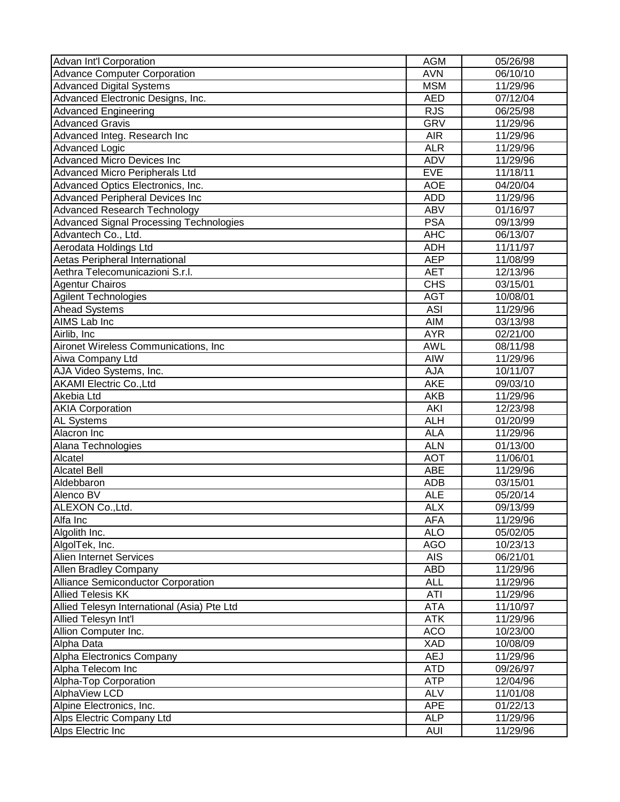| Advan Int'l Corporation                        | <b>AGM</b> | 05/26/98 |
|------------------------------------------------|------------|----------|
| <b>Advance Computer Corporation</b>            | <b>AVN</b> | 06/10/10 |
| <b>Advanced Digital Systems</b>                | <b>MSM</b> | 11/29/96 |
| Advanced Electronic Designs, Inc.              | <b>AED</b> | 07/12/04 |
| <b>Advanced Engineering</b>                    | <b>RJS</b> | 06/25/98 |
| <b>Advanced Gravis</b>                         | <b>GRV</b> | 11/29/96 |
| Advanced Integ. Research Inc                   | <b>AIR</b> | 11/29/96 |
| Advanced Logic                                 | <b>ALR</b> | 11/29/96 |
| <b>Advanced Micro Devices Inc</b>              | ADV        | 11/29/96 |
| <b>Advanced Micro Peripherals Ltd</b>          | <b>EVE</b> | 11/18/11 |
| Advanced Optics Electronics, Inc.              | <b>AOE</b> | 04/20/04 |
| <b>Advanced Peripheral Devices Inc</b>         | <b>ADD</b> | 11/29/96 |
| <b>Advanced Research Technology</b>            | <b>ABV</b> | 01/16/97 |
| <b>Advanced Signal Processing Technologies</b> | <b>PSA</b> | 09/13/99 |
| Advantech Co., Ltd.                            | <b>AHC</b> | 06/13/07 |
| Aerodata Holdings Ltd                          | <b>ADH</b> | 11/11/97 |
| <b>Aetas Peripheral International</b>          | <b>AEP</b> | 11/08/99 |
| Aethra Telecomunicazioni S.r.l.                | <b>AET</b> | 12/13/96 |
| <b>Agentur Chairos</b>                         | <b>CHS</b> | 03/15/01 |
| Agilent Technologies                           | <b>AGT</b> | 10/08/01 |
| <b>Ahead Systems</b>                           | <b>ASI</b> | 11/29/96 |
| AIMS Lab Inc                                   | <b>AIM</b> | 03/13/98 |
| Airlib, Inc                                    | <b>AYR</b> | 02/21/00 |
| Aironet Wireless Communications, Inc.          | <b>AWL</b> | 08/11/98 |
| Aiwa Company Ltd                               | AIW        | 11/29/96 |
| AJA Video Systems, Inc.                        | <b>AJA</b> | 10/11/07 |
| <b>AKAMI Electric Co., Ltd</b>                 | <b>AKE</b> | 09/03/10 |
| Akebia Ltd                                     | <b>AKB</b> | 11/29/96 |
| <b>AKIA Corporation</b>                        | AKI        | 12/23/98 |
| <b>AL Systems</b>                              | <b>ALH</b> | 01/20/99 |
| Alacron Inc                                    | <b>ALA</b> | 11/29/96 |
| Alana Technologies                             | <b>ALN</b> | 01/13/00 |
| Alcatel                                        | <b>AOT</b> | 11/06/01 |
| <b>Alcatel Bell</b>                            | <b>ABE</b> | 11/29/96 |
| Aldebbaron                                     | <b>ADB</b> | 03/15/01 |
| Alenco BV                                      | <b>ALE</b> | 05/20/14 |
| ALEXON Co., Ltd.                               | ALX        | 09/13/99 |
| Alfa Inc                                       | <b>AFA</b> | 11/29/96 |
| Algolith Inc.                                  | <b>ALO</b> | 05/02/05 |
| AlgolTek, Inc.                                 | <b>AGO</b> | 10/23/13 |
| Alien Internet Services                        | <b>AIS</b> | 06/21/01 |
| Allen Bradley Company                          | <b>ABD</b> | 11/29/96 |
| Alliance Semiconductor Corporation             | <b>ALL</b> | 11/29/96 |
| <b>Allied Telesis KK</b>                       | <b>ATI</b> | 11/29/96 |
| Allied Telesyn International (Asia) Pte Ltd    | <b>ATA</b> | 11/10/97 |
| Allied Telesyn Int'l                           | <b>ATK</b> | 11/29/96 |
| Allion Computer Inc.                           | <b>ACO</b> | 10/23/00 |
| Alpha Data                                     | XAD        | 10/08/09 |
| Alpha Electronics Company                      | <b>AEJ</b> | 11/29/96 |
| Alpha Telecom Inc                              | <b>ATD</b> | 09/26/97 |
| Alpha-Top Corporation                          | <b>ATP</b> | 12/04/96 |
| AlphaView LCD                                  | <b>ALV</b> | 11/01/08 |
| Alpine Electronics, Inc.                       | <b>APE</b> | 01/22/13 |
| Alps Electric Company Ltd                      | <b>ALP</b> | 11/29/96 |
| Alps Electric Inc                              | <b>AUI</b> | 11/29/96 |
|                                                |            |          |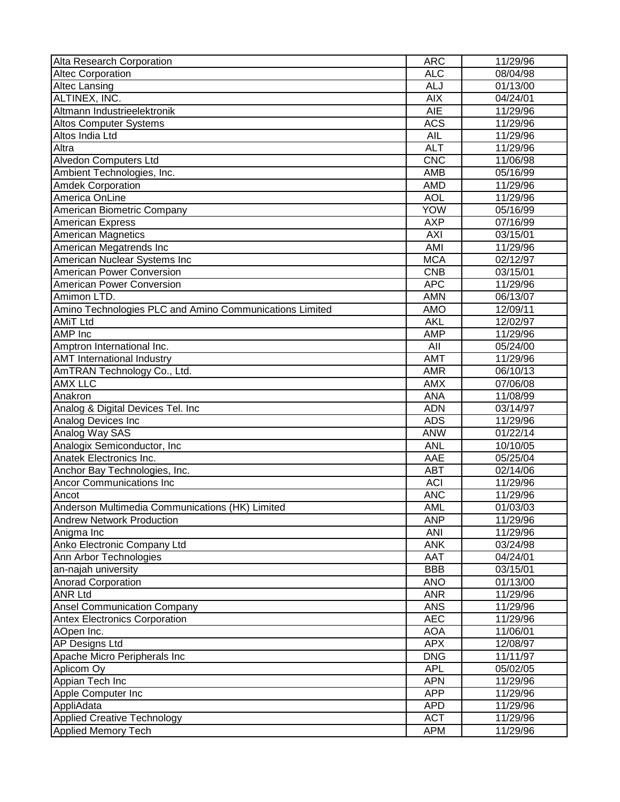| Alta Research Corporation                               | <b>ARC</b> | 11/29/96 |
|---------------------------------------------------------|------------|----------|
| <b>Altec Corporation</b>                                | <b>ALC</b> | 08/04/98 |
| <b>Altec Lansing</b>                                    | <b>ALJ</b> | 01/13/00 |
| ALTINEX, INC.                                           | <b>AIX</b> | 04/24/01 |
| Altmann Industrieelektronik                             | <b>AIE</b> | 11/29/96 |
| <b>Altos Computer Systems</b>                           | <b>ACS</b> | 11/29/96 |
| Altos India Ltd                                         | <b>AIL</b> | 11/29/96 |
| Altra                                                   | <b>ALT</b> | 11/29/96 |
| Alvedon Computers Ltd                                   | <b>CNC</b> | 11/06/98 |
| Ambient Technologies, Inc.                              | <b>AMB</b> | 05/16/99 |
| <b>Amdek Corporation</b>                                | <b>AMD</b> | 11/29/96 |
| America OnLine                                          | <b>AOL</b> | 11/29/96 |
| American Biometric Company                              | <b>YOW</b> | 05/16/99 |
| <b>American Express</b>                                 | <b>AXP</b> | 07/16/99 |
| <b>American Magnetics</b>                               | <b>AXI</b> | 03/15/01 |
| American Megatrends Inc                                 | AMI        | 11/29/96 |
| American Nuclear Systems Inc                            | <b>MCA</b> | 02/12/97 |
| American Power Conversion                               | <b>CNB</b> | 03/15/01 |
| American Power Conversion                               | <b>APC</b> | 11/29/96 |
| Amimon LTD.                                             | <b>AMN</b> | 06/13/07 |
| Amino Technologies PLC and Amino Communications Limited | <b>AMO</b> | 12/09/11 |
| <b>AMiT Ltd</b>                                         | <b>AKL</b> | 12/02/97 |
| AMP Inc                                                 | <b>AMP</b> | 11/29/96 |
| Amptron International Inc.                              | All        | 05/24/00 |
| <b>AMT</b> International Industry                       | <b>AMT</b> | 11/29/96 |
| AmTRAN Technology Co., Ltd.                             | <b>AMR</b> | 06/10/13 |
| <b>AMX LLC</b>                                          | <b>AMX</b> | 07/06/08 |
| Anakron                                                 | <b>ANA</b> | 11/08/99 |
| Analog & Digital Devices Tel. Inc                       | <b>ADN</b> | 03/14/97 |
| Analog Devices Inc                                      | <b>ADS</b> | 11/29/96 |
| Analog Way SAS                                          | <b>ANW</b> | 01/22/14 |
| Analogix Semiconductor, Inc                             | <b>ANL</b> | 10/10/05 |
| Anatek Electronics Inc.                                 | AAE        | 05/25/04 |
| Anchor Bay Technologies, Inc.                           | <b>ABT</b> | 02/14/06 |
| <b>Ancor Communications Inc</b>                         | <b>ACI</b> | 11/29/96 |
| Ancot                                                   | <b>ANC</b> | 11/29/96 |
| Anderson Multimedia Communications (HK) Limited         | <b>AML</b> | 01/03/03 |
| <b>Andrew Network Production</b>                        | <b>ANP</b> | 11/29/96 |
| Anigma Inc                                              | ANI        | 11/29/96 |
| Anko Electronic Company Ltd                             | <b>ANK</b> | 03/24/98 |
| Ann Arbor Technologies                                  | <b>AAT</b> | 04/24/01 |
| an-najah university                                     | <b>BBB</b> | 03/15/01 |
| <b>Anorad Corporation</b>                               | <b>ANO</b> | 01/13/00 |
| <b>ANR Ltd</b>                                          | <b>ANR</b> | 11/29/96 |
| <b>Ansel Communication Company</b>                      | <b>ANS</b> | 11/29/96 |
| <b>Antex Electronics Corporation</b>                    | <b>AEC</b> | 11/29/96 |
| AOpen Inc.                                              | <b>AOA</b> | 11/06/01 |
| <b>AP Designs Ltd</b>                                   | <b>APX</b> | 12/08/97 |
| Apache Micro Peripherals Inc                            | <b>DNG</b> |          |
|                                                         | <b>APL</b> | 11/11/97 |
| Aplicom Oy                                              |            | 05/02/05 |
| Appian Tech Inc                                         | <b>APN</b> | 11/29/96 |
| Apple Computer Inc                                      | <b>APP</b> | 11/29/96 |
| AppliAdata                                              | <b>APD</b> | 11/29/96 |
| <b>Applied Creative Technology</b>                      | <b>ACT</b> | 11/29/96 |
| Applied Memory Tech                                     | <b>APM</b> | 11/29/96 |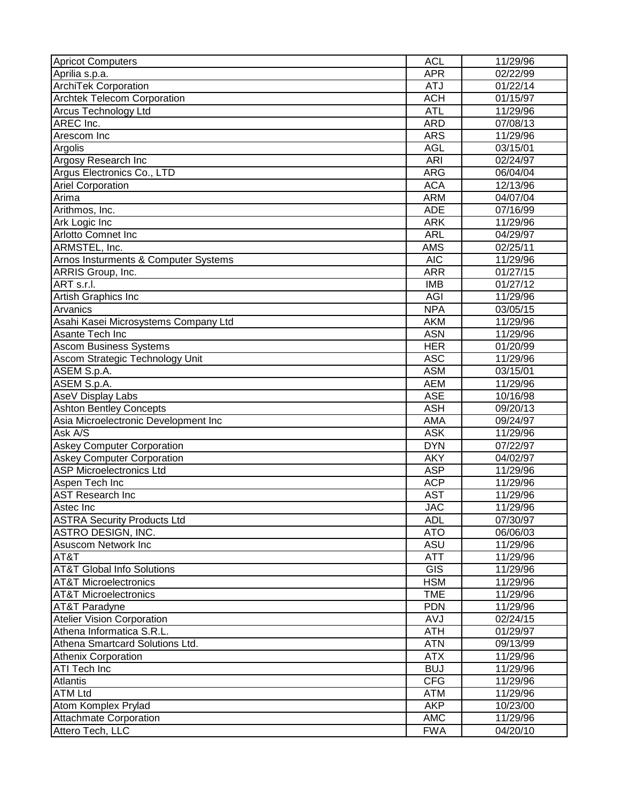| <b>Apricot Computers</b>              | <b>ACL</b> | 11/29/96 |
|---------------------------------------|------------|----------|
| Aprilia s.p.a.                        | <b>APR</b> | 02/22/99 |
| <b>ArchiTek Corporation</b>           | <b>ATJ</b> | 01/22/14 |
| <b>Archtek Telecom Corporation</b>    | <b>ACH</b> | 01/15/97 |
| Arcus Technology Ltd                  | <b>ATL</b> | 11/29/96 |
| AREC Inc.                             | <b>ARD</b> | 07/08/13 |
| Arescom Inc                           | <b>ARS</b> | 11/29/96 |
| Argolis                               | <b>AGL</b> | 03/15/01 |
| Argosy Research Inc                   | <b>ARI</b> | 02/24/97 |
| Argus Electronics Co., LTD            | <b>ARG</b> | 06/04/04 |
| Ariel Corporation                     | <b>ACA</b> | 12/13/96 |
| Arima                                 | <b>ARM</b> | 04/07/04 |
| Arithmos, Inc.                        | <b>ADE</b> | 07/16/99 |
| Ark Logic Inc                         | <b>ARK</b> | 11/29/96 |
| Arlotto Comnet Inc                    | ARL        | 04/29/97 |
| ARMSTEL, Inc.                         | <b>AMS</b> | 02/25/11 |
| Arnos Insturments & Computer Systems  | <b>AIC</b> | 11/29/96 |
| ARRIS Group, Inc.                     | <b>ARR</b> | 01/27/15 |
| ART s.r.l.                            | <b>IMB</b> | 01/27/12 |
| Artish Graphics Inc                   | AGI        | 11/29/96 |
| Arvanics                              | <b>NPA</b> | 03/05/15 |
| Asahi Kasei Microsystems Company Ltd  | <b>AKM</b> | 11/29/96 |
| Asante Tech Inc                       | <b>ASN</b> | 11/29/96 |
| <b>Ascom Business Systems</b>         | <b>HER</b> | 01/20/99 |
| Ascom Strategic Technology Unit       | <b>ASC</b> | 11/29/96 |
| ASEM S.p.A.                           | <b>ASM</b> | 03/15/01 |
| ASEM S.p.A.                           | <b>AEM</b> | 11/29/96 |
| AseV Display Labs                     | <b>ASE</b> | 10/16/98 |
| <b>Ashton Bentley Concepts</b>        | <b>ASH</b> | 09/20/13 |
| Asia Microelectronic Development Inc  | <b>AMA</b> | 09/24/97 |
| Ask A/S                               | <b>ASK</b> | 11/29/96 |
| <b>Askey Computer Corporation</b>     | <b>DYN</b> | 07/22/97 |
| <b>Askey Computer Corporation</b>     | <b>AKY</b> | 04/02/97 |
| <b>ASP Microelectronics Ltd</b>       | <b>ASP</b> | 11/29/96 |
| Aspen Tech Inc                        | <b>ACP</b> | 11/29/96 |
| <b>AST Research Inc</b>               | <b>AST</b> | 11/29/96 |
| Astec Inc                             | <b>JAC</b> | 11/29/96 |
| <b>ASTRA Security Products Ltd</b>    | <b>ADL</b> | 07/30/97 |
| ASTRO DESIGN, INC.                    | <b>ATO</b> | 06/06/03 |
| Asuscom Network Inc                   | <b>ASU</b> | 11/29/96 |
| AT&T                                  | <b>ATT</b> | 11/29/96 |
| <b>AT&amp;T Global Info Solutions</b> | GIS        | 11/29/96 |
| <b>AT&amp;T Microelectronics</b>      | <b>HSM</b> | 11/29/96 |
| <b>AT&amp;T Microelectronics</b>      | <b>TME</b> | 11/29/96 |
| AT&T Paradyne                         | <b>PDN</b> | 11/29/96 |
| <b>Atelier Vision Corporation</b>     | AVJ        | 02/24/15 |
| Athena Informatica S.R.L.             | <b>ATH</b> | 01/29/97 |
| Athena Smartcard Solutions Ltd.       | <b>ATN</b> | 09/13/99 |
| <b>Athenix Corporation</b>            | <b>ATX</b> | 11/29/96 |
| ATI Tech Inc                          | <b>BUJ</b> | 11/29/96 |
| Atlantis                              | CFG        | 11/29/96 |
| <b>ATM Ltd</b>                        | <b>ATM</b> | 11/29/96 |
| Atom Komplex Prylad                   | <b>AKP</b> | 10/23/00 |
| <b>Attachmate Corporation</b>         | <b>AMC</b> | 11/29/96 |
| Attero Tech, LLC                      | <b>FWA</b> | 04/20/10 |
|                                       |            |          |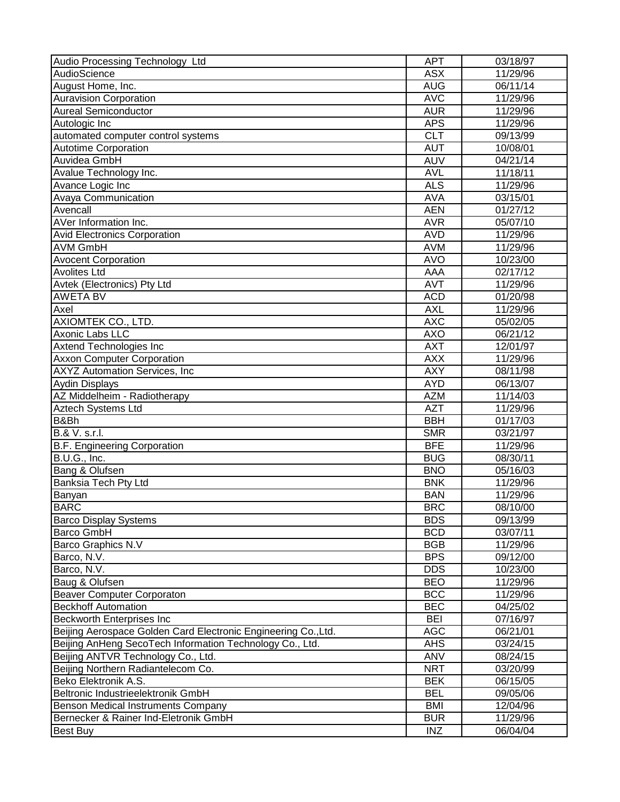| Audio Processing Technology Ltd                                | <b>APT</b> | 03/18/97          |
|----------------------------------------------------------------|------------|-------------------|
| AudioScience                                                   | <b>ASX</b> | 11/29/96          |
| August Home, Inc.                                              | <b>AUG</b> | 06/11/14          |
| <b>Auravision Corporation</b>                                  | <b>AVC</b> | 11/29/96          |
| <b>Aureal Semiconductor</b>                                    | <b>AUR</b> | 11/29/96          |
| Autologic Inc                                                  | <b>APS</b> | 11/29/96          |
| automated computer control systems                             | CLT        | 09/13/99          |
| <b>Autotime Corporation</b>                                    | <b>AUT</b> | 10/08/01          |
| Auvidea GmbH                                                   | <b>AUV</b> | 04/21/14          |
| Avalue Technology Inc.                                         | <b>AVL</b> | 11/18/11          |
| Avance Logic Inc                                               | <b>ALS</b> | 11/29/96          |
| Avaya Communication                                            | <b>AVA</b> | 03/15/01          |
| Avencall                                                       | <b>AEN</b> | 01/27/12          |
| AVer Information Inc.                                          | <b>AVR</b> | 05/07/10          |
| <b>Avid Electronics Corporation</b>                            | <b>AVD</b> | 11/29/96          |
| <b>AVM GmbH</b>                                                | <b>AVM</b> | 11/29/96          |
| <b>Avocent Corporation</b>                                     | <b>AVO</b> | 10/23/00          |
| <b>Avolites Ltd</b>                                            | AAA        | 02/17/12          |
| Avtek (Electronics) Pty Ltd                                    | <b>AVT</b> | 11/29/96          |
| <b>AWETA BV</b>                                                | <b>ACD</b> | 01/20/98          |
| Axel                                                           | <b>AXL</b> | 11/29/96          |
| AXIOMTEK CO., LTD.                                             | <b>AXC</b> | 05/02/05          |
| Axonic Labs LLC                                                | <b>AXO</b> | 06/21/12          |
| Axtend Technologies Inc                                        | <b>AXT</b> | 12/01/97          |
| <b>Axxon Computer Corporation</b>                              | <b>AXX</b> | 11/29/96          |
| <b>AXYZ Automation Services, Inc.</b>                          | <b>AXY</b> | 08/11/98          |
| Aydin Displays                                                 | <b>AYD</b> | 06/13/07          |
| AZ Middelheim - Radiotherapy                                   | <b>AZM</b> | 11/14/03          |
| Aztech Systems Ltd                                             | <b>AZT</b> | 11/29/96          |
| B&Bh                                                           | <b>BBH</b> | 01/17/03          |
| B.& V. s.r.l.                                                  | <b>SMR</b> | 03/21/97          |
| B.F. Engineering Corporation                                   | <b>BFE</b> | 11/29/96          |
| B.U.G., Inc.                                                   | <b>BUG</b> | 08/30/11          |
| Bang & Olufsen                                                 | <b>BNO</b> | 05/16/03          |
| Banksia Tech Pty Ltd                                           | <b>BNK</b> | 11/29/96          |
| Banyan                                                         | <b>BAN</b> | 11/29/96          |
| <b>BARC</b>                                                    | <b>BRC</b> | 08/10/00          |
| <b>Barco Display Systems</b>                                   | <b>BDS</b> | 09/13/99          |
| <b>Barco GmbH</b>                                              | <b>BCD</b> | 03/07/11          |
| Barco Graphics N.V                                             | <b>BGB</b> | 11/29/96          |
| Barco, N.V.                                                    | <b>BPS</b> | 09/12/00          |
| Barco, N.V.                                                    | <b>DDS</b> | 10/23/00          |
| Baug & Olufsen                                                 | <b>BEO</b> | 11/29/96          |
| <b>Beaver Computer Corporaton</b>                              | <b>BCC</b> | 11/29/96          |
| <b>Beckhoff Automation</b>                                     | <b>BEC</b> | 04/25/02          |
| Beckworth Enterprises Inc                                      | <b>BEI</b> | 07/16/97          |
| Beijing Aerospace Golden Card Electronic Engineering Co., Ltd. | <b>AGC</b> | 06/21/01          |
| Beijing AnHeng SecoTech Information Technology Co., Ltd.       | <b>AHS</b> | 03/24/15          |
| Beijing ANTVR Technology Co., Ltd.                             | <b>ANV</b> | 08/24/15          |
| Beijing Northern Radiantelecom Co.                             | <b>NRT</b> | $\sqrt{03}/20/99$ |
| Beko Elektronik A.S.                                           | <b>BEK</b> | 06/15/05          |
| Beltronic Industrieelektronik GmbH                             | <b>BEL</b> | 09/05/06          |
| <b>Benson Medical Instruments Company</b>                      | <b>BMI</b> | 12/04/96          |
| Bernecker & Rainer Ind-Eletronik GmbH                          | <b>BUR</b> | 11/29/96          |
| <b>Best Buy</b>                                                | INZ        | 06/04/04          |
|                                                                |            |                   |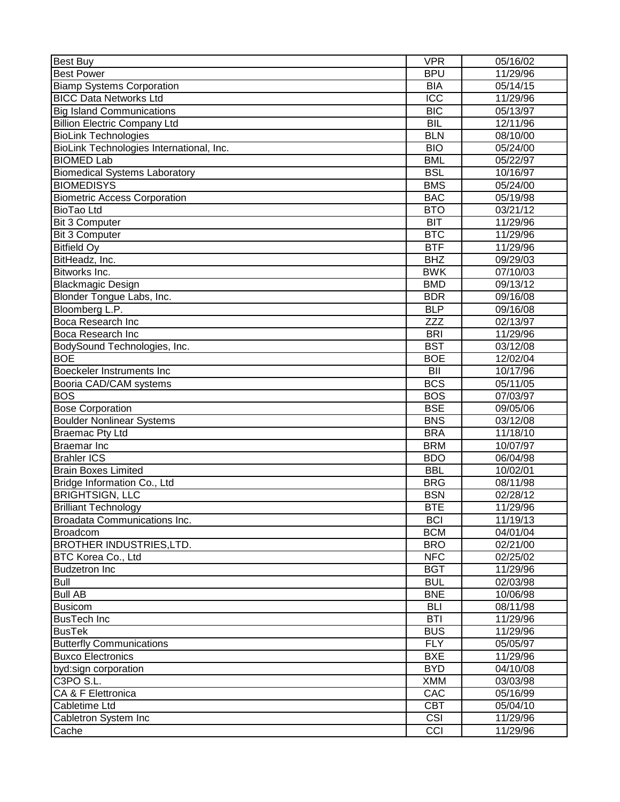| <b>Best Buy</b>                          | <b>VPR</b>       | 05/16/02 |
|------------------------------------------|------------------|----------|
| <b>Best Power</b>                        | <b>BPU</b>       | 11/29/96 |
| <b>Biamp Systems Corporation</b>         | <b>BIA</b>       | 05/14/15 |
| <b>BICC Data Networks Ltd</b>            | $\overline{ICC}$ | 11/29/96 |
| <b>Big Island Communications</b>         | <b>BIC</b>       | 05/13/97 |
| <b>Billion Electric Company Ltd</b>      | <b>BIL</b>       | 12/11/96 |
| <b>BioLink Technologies</b>              | <b>BLN</b>       | 08/10/00 |
| BioLink Technologies International, Inc. | <b>BIO</b>       | 05/24/00 |
| <b>BIOMED Lab</b>                        | <b>BML</b>       | 05/22/97 |
| <b>Biomedical Systems Laboratory</b>     | <b>BSL</b>       | 10/16/97 |
| <b>BIOMEDISYS</b>                        | <b>BMS</b>       | 05/24/00 |
| <b>Biometric Access Corporation</b>      | <b>BAC</b>       | 05/19/98 |
| <b>BioTao Ltd</b>                        | <b>BTO</b>       | 03/21/12 |
| <b>Bit 3 Computer</b>                    | <b>BIT</b>       | 11/29/96 |
| <b>Bit 3 Computer</b>                    | <b>BTC</b>       | 11/29/96 |
| <b>Bitfield Oy</b>                       | <b>BTF</b>       | 11/29/96 |
| BitHeadz, Inc.                           | <b>BHZ</b>       | 09/29/03 |
| Bitworks Inc.                            | <b>BWK</b>       | 07/10/03 |
| <b>Blackmagic Design</b>                 | <b>BMD</b>       | 09/13/12 |
| Blonder Tongue Labs, Inc.                | <b>BDR</b>       | 09/16/08 |
| Bloomberg L.P.                           | <b>BLP</b>       | 09/16/08 |
| Boca Research Inc                        | <b>ZZZ</b>       | 02/13/97 |
| Boca Research Inc                        | <b>BRI</b>       | 11/29/96 |
| BodySound Technologies, Inc.             | <b>BST</b>       | 03/12/08 |
| <b>BOE</b>                               | <b>BOE</b>       | 12/02/04 |
| Boeckeler Instruments Inc                | BII              | 10/17/96 |
| Booria CAD/CAM systems                   | <b>BCS</b>       | 05/11/05 |
| <b>BOS</b>                               | <b>BOS</b>       | 07/03/97 |
| <b>Bose Corporation</b>                  | <b>BSE</b>       | 09/05/06 |
| <b>Boulder Nonlinear Systems</b>         | <b>BNS</b>       | 03/12/08 |
| <b>Braemac Pty Ltd</b>                   | <b>BRA</b>       | 11/18/10 |
| <b>Braemar Inc</b>                       | <b>BRM</b>       | 10/07/97 |
| <b>Brahler ICS</b>                       | <b>BDO</b>       | 06/04/98 |
| <b>Brain Boxes Limited</b>               | <b>BBL</b>       | 10/02/01 |
| Bridge Information Co., Ltd              | <b>BRG</b>       | 08/11/98 |
| <b>BRIGHTSIGN, LLC</b>                   | <b>BSN</b>       | 02/28/12 |
| <b>Brilliant Technology</b>              | <b>BTE</b>       | 11/29/96 |
| Broadata Communications Inc.             | <b>BCI</b>       | 11/19/13 |
| Broadcom                                 | <b>BCM</b>       | 04/01/04 |
| <b>BROTHER INDUSTRIES,LTD.</b>           | <b>BRO</b>       | 02/21/00 |
| <b>BTC Korea Co., Ltd</b>                | <b>NFC</b>       | 02/25/02 |
| <b>Budzetron Inc</b>                     | <b>BGT</b>       | 11/29/96 |
| <b>Bull</b>                              | <b>BUL</b>       | 02/03/98 |
| <b>Bull AB</b>                           | <b>BNE</b>       | 10/06/98 |
| <b>Busicom</b>                           | <b>BLI</b>       | 08/11/98 |
| <b>BusTech Inc</b>                       | <b>BTI</b>       | 11/29/96 |
| <b>BusTek</b>                            | <b>BUS</b>       | 11/29/96 |
| <b>Butterfly Communications</b>          | <b>FLY</b>       | 05/05/97 |
| <b>Buxco Electronics</b>                 | <b>BXE</b>       | 11/29/96 |
| byd:sign corporation                     | <b>BYD</b>       | 04/10/08 |
| C3PO S.L.                                | <b>XMM</b>       | 03/03/98 |
| CA & F Elettronica                       | CAC              | 05/16/99 |
| Cabletime Ltd                            | <b>CBT</b>       | 05/04/10 |
| Cabletron System Inc                     | CSI              | 11/29/96 |
|                                          | CCI              |          |
| Cache                                    |                  | 11/29/96 |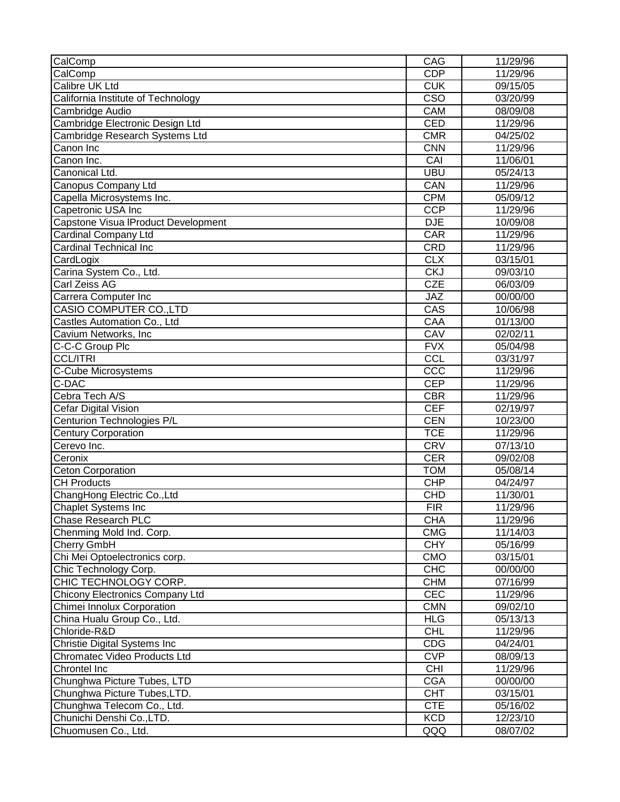| CalComp                             | CAG                     | 11/29/96 |
|-------------------------------------|-------------------------|----------|
| CalComp                             | <b>CDP</b>              | 11/29/96 |
| Calibre UK Ltd                      | <b>CUK</b>              | 09/15/05 |
| California Institute of Technology  | $\overline{\text{CSO}}$ | 03/20/99 |
| Cambridge Audio                     | CAM                     | 08/09/08 |
| Cambridge Electronic Design Ltd     | <b>CED</b>              | 11/29/96 |
| Cambridge Research Systems Ltd      | <b>CMR</b>              | 04/25/02 |
| Canon Inc                           | <b>CNN</b>              | 11/29/96 |
| Canon Inc.                          | CAI                     | 11/06/01 |
| Canonical Ltd.                      | <b>UBU</b>              | 05/24/13 |
| Canopus Company Ltd                 | CAN                     | 11/29/96 |
| Capella Microsystems Inc.           | <b>CPM</b>              | 05/09/12 |
| Capetronic USA Inc                  | <b>CCP</b>              | 11/29/96 |
| Capstone Visua IProduct Development | <b>DJE</b>              | 10/09/08 |
| <b>Cardinal Company Ltd</b>         | CAR                     | 11/29/96 |
| <b>Cardinal Technical Inc</b>       | <b>CRD</b>              | 11/29/96 |
| CardLogix                           | CLX                     | 03/15/01 |
| Carina System Co., Ltd.             | <b>CKJ</b>              | 09/03/10 |
| Carl Zeiss AG                       | <b>CZE</b>              | 06/03/09 |
| Carrera Computer Inc                | JAZ                     | 00/00/00 |
| <b>CASIO COMPUTER CO., LTD</b>      | CAS                     | 10/06/98 |
| Castles Automation Co., Ltd         | CAA                     | 01/13/00 |
| Cavium Networks, Inc                | CAV                     | 02/02/11 |
| C-C-C Group Plc                     | <b>FVX</b>              | 05/04/98 |
| <b>CCL/ITRI</b>                     | CCL                     | 03/31/97 |
| C-Cube Microsystems                 | CCC                     | 11/29/96 |
| $C-DAC$                             | <b>CEP</b>              | 11/29/96 |
| Cebra Tech A/S                      | <b>CBR</b>              | 11/29/96 |
| Cefar Digital Vision                | <b>CEF</b>              | 02/19/97 |
| Centurion Technologies P/L          | <b>CEN</b>              | 10/23/00 |
| <b>Century Corporation</b>          | <b>TCE</b>              | 11/29/96 |
| Cerevo Inc.                         | <b>CRV</b>              | 07/13/10 |
| Ceronix                             | <b>CER</b>              | 09/02/08 |
| <b>Ceton Corporation</b>            | <b>TOM</b>              | 05/08/14 |
| <b>CH Products</b>                  | <b>CHP</b>              | 04/24/97 |
| ChangHong Electric Co., Ltd         | <b>CHD</b>              | 11/30/01 |
| Chaplet Systems Inc                 | ${\sf FIR}$             | 11/29/96 |
| Chase Research PLC                  | <b>CHA</b>              | 11/29/96 |
| Chenming Mold Ind. Corp.            | <b>CMG</b>              | 11/14/03 |
| Cherry GmbH                         | <b>CHY</b>              | 05/16/99 |
| Chi Mei Optoelectronics corp.       | <b>CMO</b>              | 03/15/01 |
| Chic Technology Corp.               | <b>CHC</b>              | 00/00/00 |
| CHIC TECHNOLOGY CORP.               | <b>CHM</b>              | 07/16/99 |
| Chicony Electronics Company Ltd     | CEC                     | 11/29/96 |
| Chimei Innolux Corporation          | <b>CMN</b>              | 09/02/10 |
| China Hualu Group Co., Ltd.         | <b>HLG</b>              | 05/13/13 |
| Chloride-R&D                        | <b>CHL</b>              | 11/29/96 |
| Christie Digital Systems Inc        | CDG                     | 04/24/01 |
| Chromatec Video Products Ltd        | <b>CVP</b>              | 08/09/13 |
| Chrontel Inc                        | <b>CHI</b>              | 11/29/96 |
| Chunghwa Picture Tubes, LTD         | <b>CGA</b>              | 00/00/00 |
| Chunghwa Picture Tubes, LTD.        | <b>CHT</b>              | 03/15/01 |
| Chunghwa Telecom Co., Ltd.          | <b>CTE</b>              | 05/16/02 |
| Chunichi Denshi Co., LTD.           | <b>KCD</b>              | 12/23/10 |
| Chuomusen Co., Ltd.                 | QQQ                     | 08/07/02 |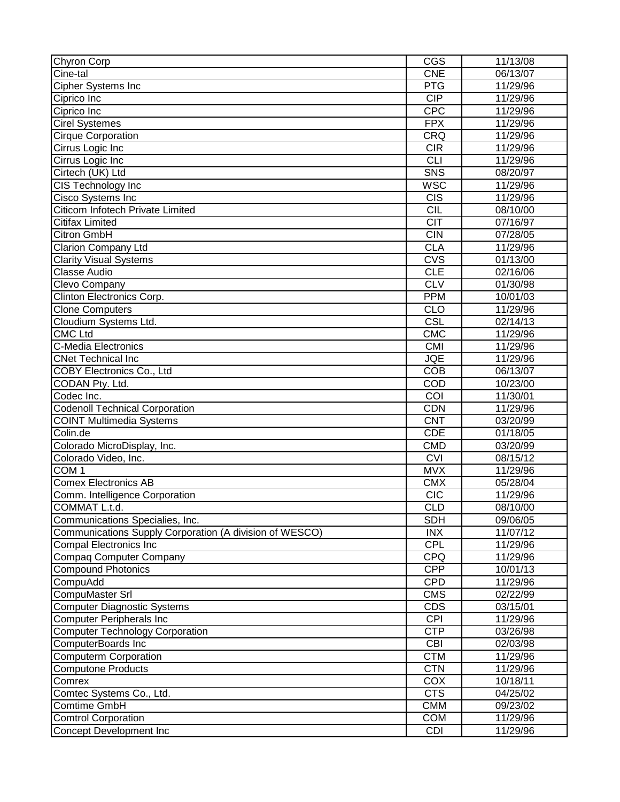| <b>Chyron Corp</b>                                        | CGS                     | 11/13/08             |
|-----------------------------------------------------------|-------------------------|----------------------|
| Cine-tal                                                  | <b>CNE</b>              | 06/13/07             |
| Cipher Systems Inc                                        | PTG                     | 11/29/96             |
| Ciprico Inc                                               | CIP                     | 11/29/96             |
| Ciprico Inc                                               | CPC                     | 11/29/96             |
| <b>Cirel Systemes</b>                                     | <b>FPX</b>              | 11/29/96             |
| <b>Cirque Corporation</b>                                 | <b>CRQ</b>              | 11/29/96             |
| Cirrus Logic Inc                                          | <b>CIR</b>              | 11/29/96             |
| Cirrus Logic Inc                                          | <b>CLI</b>              | 11/29/96             |
| Cirtech (UK) Ltd                                          | SNS                     | 08/20/97             |
| CIS Technology Inc                                        | <b>WSC</b>              | 11/29/96             |
| Cisco Systems Inc                                         | <b>CIS</b>              | 11/29/96             |
| <b>Citicom Infotech Private Limited</b>                   | <b>CIL</b>              | 08/10/00             |
| <b>Citifax Limited</b>                                    | <b>CIT</b>              | 07/16/97             |
| <b>Citron GmbH</b>                                        | <b>CIN</b>              | 07/28/05             |
| <b>Clarion Company Ltd</b>                                | CLA                     | 11/29/96             |
| <b>Clarity Visual Systems</b>                             | $\overline{\text{CVS}}$ | 01/13/00             |
| Classe Audio                                              | CLE                     | 02/16/06             |
| Clevo Company                                             | <b>CLV</b>              | 01/30/98             |
| Clinton Electronics Corp.                                 | <b>PPM</b>              | 10/01/03             |
| <b>Clone Computers</b>                                    | <b>CLO</b>              | 11/29/96             |
| Cloudium Systems Ltd.                                     | <b>CSL</b>              | 02/14/13             |
| <b>CMC Ltd</b>                                            | <b>CMC</b>              | 11/29/96             |
| C-Media Electronics                                       | <b>CMI</b>              | 11/29/96             |
| <b>CNet Technical Inc</b>                                 | <b>JQE</b>              | 11/29/96             |
| <b>COBY Electronics Co., Ltd</b>                          | <b>COB</b>              | 06/13/07             |
| CODAN Pty. Ltd.                                           | COD                     | 10/23/00             |
| Codec Inc.                                                | COI                     | 11/30/01             |
| <b>Codenoll Technical Corporation</b>                     | <b>CDN</b>              | 11/29/96             |
| <b>COINT Multimedia Systems</b>                           | <b>CNT</b>              | 03/20/99             |
| Colin.de                                                  | <b>CDE</b>              | 01/18/05             |
| Colorado MicroDisplay, Inc.                               | <b>CMD</b>              | 03/20/99             |
| Colorado Video, Inc.                                      | <b>CVI</b>              | 08/15/12             |
| COM1                                                      | <b>MVX</b>              | 11/29/96             |
| <b>Comex Electronics AB</b>                               | <b>CMX</b>              | 05/28/04             |
| Comm. Intelligence Corporation                            | <b>CIC</b>              | 11/29/96             |
| COMMAT L.t.d.                                             | <b>CLD</b>              | 08/10/00             |
| Communications Specialies, Inc.                           | <b>SDH</b>              | 09/06/05             |
| Communications Supply Corporation (A division of WESCO)   | <b>INX</b>              | 11/07/12             |
| <b>Compal Electronics Inc</b>                             | CPL                     | 11/29/96             |
| <b>Compaq Computer Company</b>                            | <b>CPQ</b>              | 11/29/96             |
| <b>Compound Photonics</b>                                 | <b>CPP</b>              | 10/01/13             |
| CompuAdd                                                  | <b>CPD</b>              | 11/29/96             |
| CompuMaster Srl                                           | <b>CMS</b>              | 02/22/99             |
| Computer Diagnostic Systems                               | <b>CDS</b>              | 03/15/01             |
| <b>Computer Peripherals Inc</b>                           | <b>CPI</b>              | 11/29/96             |
| <b>Computer Technology Corporation</b>                    | <b>CTP</b>              | 03/26/98             |
| ComputerBoards Inc                                        | <b>CBI</b>              | 02/03/98             |
|                                                           | <b>CTM</b>              |                      |
| <b>Computerm Corporation</b><br><b>Computone Products</b> | <b>CTN</b>              | 11/29/96<br>11/29/96 |
|                                                           |                         |                      |
| Comrex                                                    | COX                     | 10/18/11             |
| Comtec Systems Co., Ltd.<br>Comtime GmbH                  | <b>CTS</b>              | 04/25/02             |
|                                                           | <b>CMM</b>              | $\sqrt{09}/23/02$    |
| <b>Comtrol Corporation</b>                                | <b>COM</b>              | 11/29/96             |
| <b>Concept Development Inc</b>                            | <b>CDI</b>              | 11/29/96             |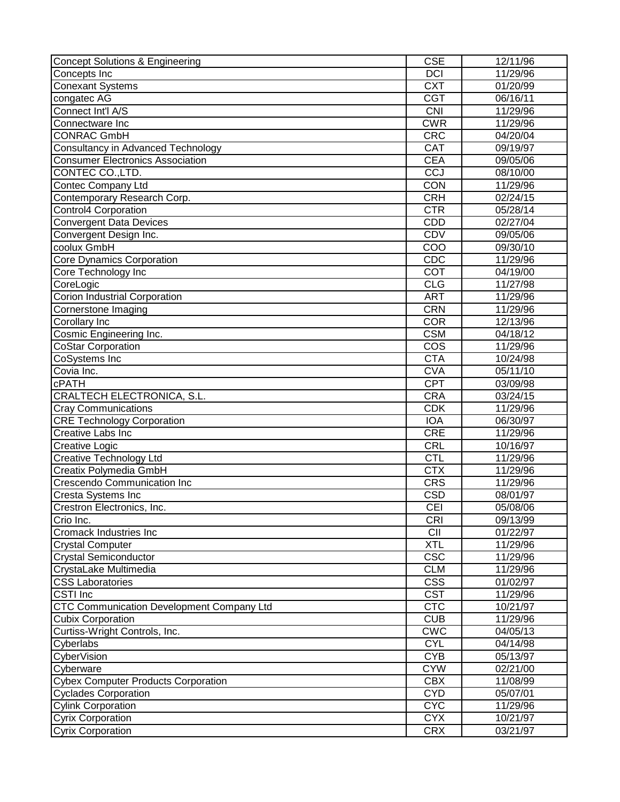| <b>Concept Solutions &amp; Engineering</b>       | <b>CSE</b>              | 12/11/96 |
|--------------------------------------------------|-------------------------|----------|
| Concepts Inc                                     | <b>DCI</b>              | 11/29/96 |
| <b>Conexant Systems</b>                          | <b>CXT</b>              | 01/20/99 |
| congatec AG                                      | <b>CGT</b>              | 06/16/11 |
| Connect Int'l A/S                                | <b>CNI</b>              | 11/29/96 |
| Connectware Inc                                  | <b>CWR</b>              | 11/29/96 |
| <b>CONRAC GmbH</b>                               | <b>CRC</b>              | 04/20/04 |
| Consultancy in Advanced Technology               | <b>CAT</b>              | 09/19/97 |
| <b>Consumer Electronics Association</b>          | <b>CEA</b>              | 09/05/06 |
| CONTEC CO., LTD.                                 | CCJ                     | 08/10/00 |
| <b>Contec Company Ltd</b>                        | CON                     | 11/29/96 |
| Contemporary Research Corp.                      | <b>CRH</b>              | 02/24/15 |
| <b>Control4 Corporation</b>                      | <b>CTR</b>              | 05/28/14 |
| <b>Convergent Data Devices</b>                   | CDD                     | 02/27/04 |
| Convergent Design Inc.                           | CDV                     | 09/05/06 |
| coolux GmbH                                      | $\overline{COO}$        | 09/30/10 |
| <b>Core Dynamics Corporation</b>                 | CDC                     | 11/29/96 |
| Core Technology Inc                              | COT                     | 04/19/00 |
| CoreLogic                                        | <b>CLG</b>              | 11/27/98 |
| Corion Industrial Corporation                    | <b>ART</b>              | 11/29/96 |
| Cornerstone Imaging                              | <b>CRN</b>              | 11/29/96 |
| Corollary Inc                                    | <b>COR</b>              | 12/13/96 |
| Cosmic Engineering Inc.                          | <b>CSM</b>              | 04/18/12 |
|                                                  | COS                     | 11/29/96 |
| <b>CoStar Corporation</b>                        | <b>CTA</b>              |          |
| CoSystems Inc                                    |                         | 10/24/98 |
| Covia Inc.                                       | <b>CVA</b>              | 05/11/10 |
| <b>cPATH</b>                                     | <b>CPT</b>              | 03/09/98 |
| CRALTECH ELECTRONICA, S.L.                       | <b>CRA</b>              | 03/24/15 |
| <b>Cray Communications</b>                       | <b>CDK</b>              | 11/29/96 |
| <b>CRE Technology Corporation</b>                | <b>IOA</b>              | 06/30/97 |
| Creative Labs Inc                                | <b>CRE</b>              | 11/29/96 |
| <b>Creative Logic</b>                            | <b>CRL</b>              | 10/16/97 |
| <b>Creative Technology Ltd</b>                   | <b>CTL</b>              | 11/29/96 |
| Creatix Polymedia GmbH                           | <b>CTX</b>              | 11/29/96 |
| <b>Crescendo Communication Inc</b>               | <b>CRS</b>              | 11/29/96 |
| Cresta Systems Inc                               | <b>CSD</b>              | 08/01/97 |
| Crestron Electronics, Inc.                       | <b>CEI</b>              | 05/08/06 |
| Crio Inc.                                        | <b>CRI</b>              | 09/13/99 |
| Cromack Industries Inc                           | CII                     | 01/22/97 |
| <b>Crystal Computer</b>                          | <b>XTL</b>              | 11/29/96 |
| <b>Crystal Semiconductor</b>                     | $\overline{\csc}$       | 11/29/96 |
| CrystaLake Multimedia                            | <b>CLM</b>              | 11/29/96 |
| <b>CSS Laboratories</b>                          | $\overline{\text{CSS}}$ | 01/02/97 |
| CSTI Inc                                         | <b>CST</b>              | 11/29/96 |
| <b>CTC Communication Development Company Ltd</b> | CTC                     | 10/21/97 |
| <b>Cubix Corporation</b>                         | <b>CUB</b>              | 11/29/96 |
| Curtiss-Wright Controls, Inc.                    | CWC                     | 04/05/13 |
| Cyberlabs                                        | <b>CYL</b>              | 04/14/98 |
| <b>CyberVision</b>                               | <b>CYB</b>              | 05/13/97 |
| Cyberware                                        | <b>CYW</b>              | 02/21/00 |
| <b>Cybex Computer Products Corporation</b>       | <b>CBX</b>              | 11/08/99 |
| <b>Cyclades Corporation</b>                      | <b>CYD</b>              | 05/07/01 |
| <b>Cylink Corporation</b>                        | <b>CYC</b>              | 11/29/96 |
| <b>Cyrix Corporation</b>                         | <b>CYX</b>              | 10/21/97 |
| <b>Cyrix Corporation</b>                         | <b>CRX</b>              | 03/21/97 |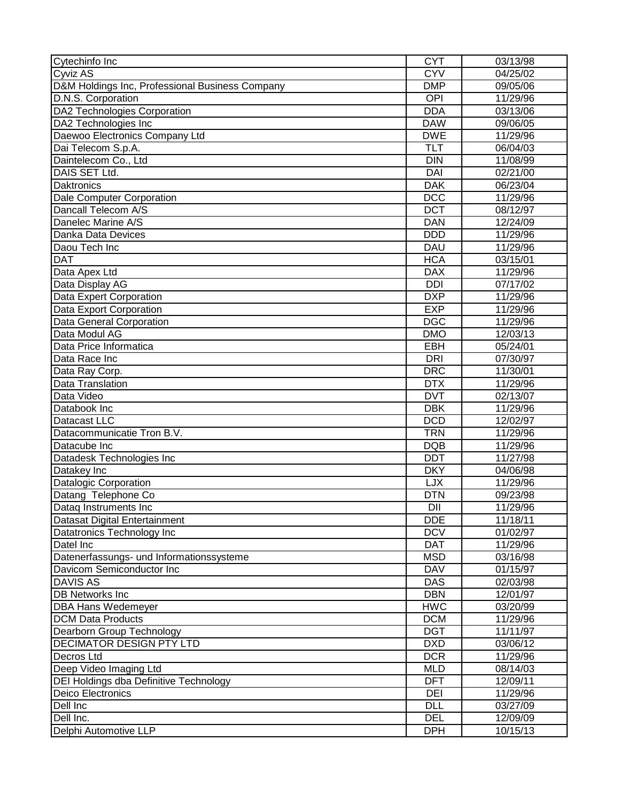| Cytechinfo Inc                                  | <b>CYT</b> | 03/13/98               |
|-------------------------------------------------|------------|------------------------|
| Cyviz AS                                        | CYV        | 04/25/02               |
| D&M Holdings Inc, Professional Business Company | <b>DMP</b> | 09/05/06               |
| D.N.S. Corporation                              | OPI        | 11/29/96               |
| DA2 Technologies Corporation                    | <b>DDA</b> | 03/13/06               |
| DA2 Technologies Inc                            | <b>DAW</b> | 09/06/05               |
| Daewoo Electronics Company Ltd                  | <b>DWE</b> | 11/29/96               |
| Dai Telecom S.p.A.                              | <b>TLT</b> | 06/04/03               |
| Daintelecom Co., Ltd                            | <b>DIN</b> | 11/08/99               |
| DAIS SET Ltd.                                   | DAI        | 02/21/00               |
| Daktronics                                      | <b>DAK</b> | 06/23/04               |
| Dale Computer Corporation                       | DCC        | 11/29/96               |
| Dancall Telecom A/S                             | <b>DCT</b> | $\overline{08/1}$ 2/97 |
| Danelec Marine A/S                              | <b>DAN</b> | 12/24/09               |
| Danka Data Devices                              | <b>DDD</b> | 11/29/96               |
| Daou Tech Inc                                   | <b>DAU</b> | 11/29/96               |
| <b>DAT</b>                                      | <b>HCA</b> | 03/15/01               |
| Data Apex Ltd                                   | <b>DAX</b> | 11/29/96               |
| Data Display AG                                 | <b>DDI</b> | 07/17/02               |
| Data Expert Corporation                         | DXP        | 11/29/96               |
| Data Export Corporation                         | <b>EXP</b> | 11/29/96               |
| Data General Corporation                        | <b>DGC</b> | 11/29/96               |
| Data Modul AG                                   | <b>DMO</b> | 12/03/13               |
| Data Price Informatica                          | <b>EBH</b> | 05/24/01               |
| Data Race Inc                                   | <b>DRI</b> | 07/30/97               |
| Data Ray Corp.                                  | <b>DRC</b> | 11/30/01               |
| Data Translation                                | <b>DTX</b> | 11/29/96               |
| Data Video                                      | <b>DVT</b> | 02/13/07               |
| Databook Inc                                    | <b>DBK</b> | 11/29/96               |
| Datacast LLC                                    | <b>DCD</b> | 12/02/97               |
| Datacommunicatie Tron B.V.                      | <b>TRN</b> |                        |
| Datacube Inc                                    | <b>DQB</b> | 11/29/96<br>11/29/96   |
|                                                 | <b>DDT</b> |                        |
| Datadesk Technologies Inc                       | <b>DKY</b> | 11/27/98               |
| Datakey Inc                                     | <b>LJX</b> | 04/06/98               |
| <b>Datalogic Corporation</b>                    |            | 11/29/96               |
| Datang Telephone Co                             | <b>DTN</b> | 09/23/98               |
| Dataq Instruments Inc                           | DII        | 11/29/96<br>11/18/11   |
| Datasat Digital Entertainment                   | <b>DDE</b> |                        |
| Datatronics Technology Inc                      | <b>DCV</b> | 01/02/97               |
| Datel Inc                                       | <b>DAT</b> | 11/29/96               |
| Datenerfassungs- und Informationssysteme        | <b>MSD</b> | 03/16/98               |
| Davicom Semiconductor Inc                       | <b>DAV</b> | 01/15/97               |
| DAVIS AS                                        | DAS        | 02/03/98               |
| <b>DB Networks Inc</b>                          | <b>DBN</b> | 12/01/97               |
| <b>DBA Hans Wedemeyer</b>                       | <b>HWC</b> | 03/20/99               |
| <b>DCM Data Products</b>                        | <b>DCM</b> | 11/29/96               |
| Dearborn Group Technology                       | <b>DGT</b> | 11/11/97               |
| DECIMATOR DESIGN PTY LTD                        | <b>DXD</b> | 03/06/12               |
| Decros Ltd                                      | <b>DCR</b> | 11/29/96               |
| Deep Video Imaging Ltd                          | <b>MLD</b> | 08/14/03               |
| DEI Holdings dba Definitive Technology          | <b>DFT</b> | 12/09/11               |
| <b>Deico Electronics</b>                        | <b>DEI</b> | 11/29/96               |
| Dell Inc                                        | <b>DLL</b> | 03/27/09               |
| Dell Inc.                                       | <b>DEL</b> | 12/09/09               |
| Delphi Automotive LLP                           | <b>DPH</b> | 10/15/13               |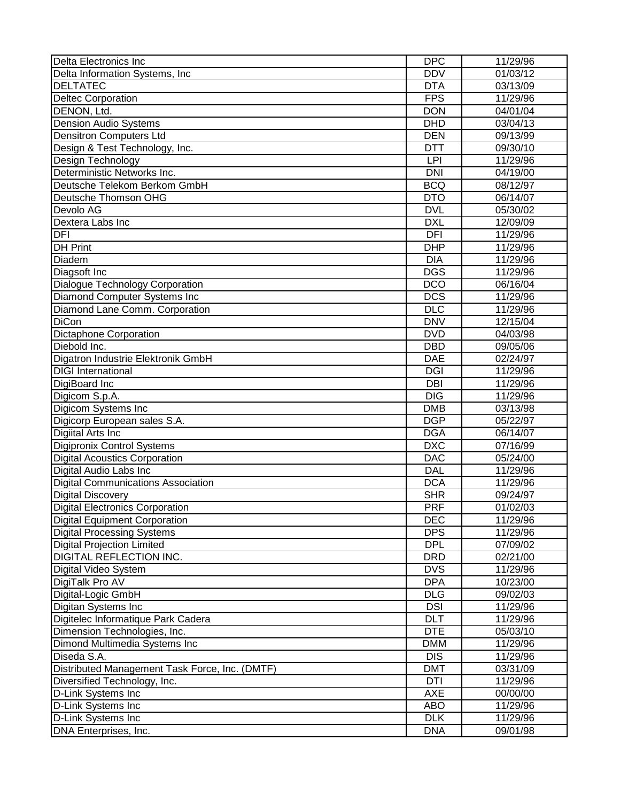| Delta Electronics Inc                          | <b>DPC</b>       | 11/29/96              |
|------------------------------------------------|------------------|-----------------------|
| Delta Information Systems, Inc.                | <b>DDV</b>       | 01/03/12              |
| <b>DELTATEC</b>                                | <b>DTA</b>       | 03/13/09              |
| <b>Deltec Corporation</b>                      | <b>FPS</b>       | 11/29/96              |
| DENON, Ltd.                                    | <b>DON</b>       | 04/01/04              |
| <b>Dension Audio Systems</b>                   | <b>DHD</b>       | 03/04/13              |
| <b>Densitron Computers Ltd</b>                 | <b>DEN</b>       | 09/13/99              |
| Design & Test Technology, Inc.                 | <b>DTT</b>       | 09/30/10              |
| Design Technology                              | LPI              | 11/29/96              |
| Deterministic Networks Inc.                    | <b>DNI</b>       | 04/19/00              |
| Deutsche Telekom Berkom GmbH                   | <b>BCQ</b>       | 08/12/97              |
| Deutsche Thomson OHG                           | <b>DTO</b>       | 06/14/07              |
| Devolo AG                                      | <b>DVL</b>       | 05/30/02              |
| Dextera Labs Inc                               | <b>DXL</b>       | 12/09/09              |
| DFI                                            | <b>DFI</b>       | 11/29/96              |
| <b>DH</b> Print                                | <b>DHP</b>       | 11/29/96              |
| Diadem                                         | <b>DIA</b>       | 11/29/96              |
| Diagsoft Inc                                   | <b>DGS</b>       | 11/29/96              |
| <b>Dialogue Technology Corporation</b>         | <b>DCO</b>       | 06/16/04              |
| Diamond Computer Systems Inc                   | $\overline{DCS}$ | 11/29/96              |
| Diamond Lane Comm. Corporation                 | <b>DLC</b>       | 11/29/96              |
| <b>DiCon</b>                                   | <b>DNV</b>       | 12/15/04              |
| Dictaphone Corporation                         | <b>DVD</b>       | 04/03/98              |
| Diebold Inc.                                   | <b>DBD</b>       | 09/05/06              |
| Digatron Industrie Elektronik GmbH             | <b>DAE</b>       | 02/24/97              |
| <b>DIGI</b> International                      | <b>DGI</b>       | 11/29/96              |
| DigiBoard Inc                                  | <b>DBI</b>       | 11/29/96              |
| Digicom S.p.A.                                 | <b>DIG</b>       | 11/29/96              |
| Digicom Systems Inc                            | <b>DMB</b>       | 03/13/98              |
| Digicorp European sales S.A.                   | <b>DGP</b>       | 05/22/97              |
| <b>Digiital Arts Inc</b>                       | <b>DGA</b>       | 06/14/07              |
| Digipronix Control Systems                     | <b>DXC</b>       | $\overline{07}/16/99$ |
| <b>Digital Acoustics Corporation</b>           | <b>DAC</b>       | 05/24/00              |
| Digital Audio Labs Inc                         | <b>DAL</b>       | 11/29/96              |
| <b>Digital Communications Association</b>      | <b>DCA</b>       | 11/29/96              |
| <b>Digital Discovery</b>                       | <b>SHR</b>       | 09/24/97              |
| Digital Electronics Corporation                | <b>PRF</b>       | 01/02/03              |
| Digital Equipment Corporation                  | <b>DEC</b>       | 11/29/96              |
| <b>Digital Processing Systems</b>              | <b>DPS</b>       | 11/29/96              |
| Digital Projection Limited                     | <b>DPL</b>       | 07/09/02              |
| <b>DIGITAL REFLECTION INC.</b>                 | <b>DRD</b>       | 02/21/00              |
| Digital Video System                           | <b>DVS</b>       | 11/29/96              |
| DigiTalk Pro AV                                | <b>DPA</b>       | 10/23/00              |
| Digital-Logic GmbH                             | <b>DLG</b>       | 09/02/03              |
| Digitan Systems Inc                            | <b>DSI</b>       | 11/29/96              |
| Digitelec Informatique Park Cadera             | <b>DLT</b>       | 11/29/96              |
| Dimension Technologies, Inc.                   | <b>DTE</b>       | 05/03/10              |
| Dimond Multimedia Systems Inc                  | <b>DMM</b>       | 11/29/96              |
| Diseda S.A.                                    | <b>DIS</b>       | 11/29/96              |
| Distributed Management Task Force, Inc. (DMTF) | <b>DMT</b>       | 03/31/09              |
| Diversified Technology, Inc.                   | <b>DTI</b>       | 11/29/96              |
| D-Link Systems Inc                             | <b>AXE</b>       | 00/00/00              |
| D-Link Systems Inc                             | <b>ABO</b>       | 11/29/96              |
| D-Link Systems Inc                             | <b>DLK</b>       | 11/29/96              |
| DNA Enterprises, Inc.                          | <b>DNA</b>       | 09/01/98              |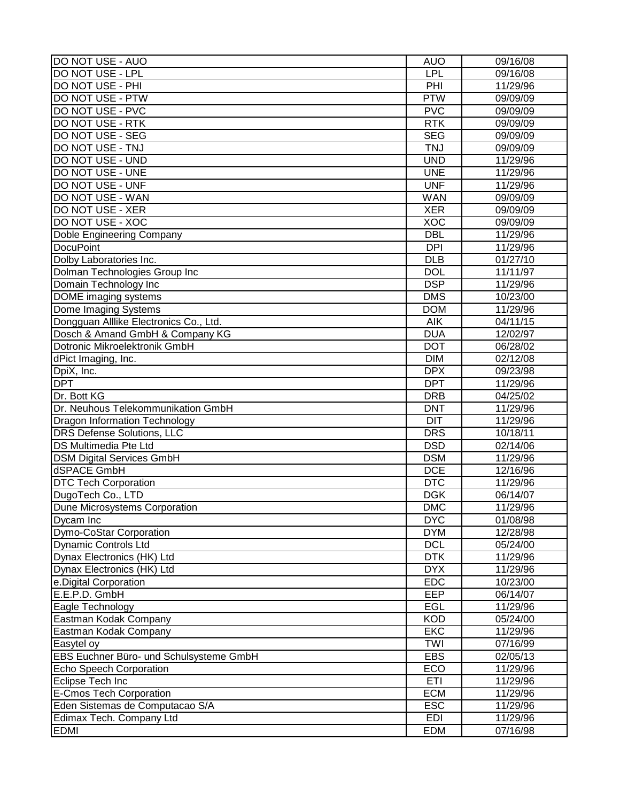| DO NOT USE - AUO                        | <b>AUO</b> | 09/16/08             |
|-----------------------------------------|------------|----------------------|
| DO NOT USE - LPL                        | LPL        | 09/16/08             |
| DO NOT USE - PHI                        | PHI        | 11/29/96             |
| DO NOT USE - PTW                        | <b>PTW</b> | 09/09/09             |
| DO NOT USE - PVC                        | <b>PVC</b> | 09/09/09             |
| DO NOT USE - RTK                        | <b>RTK</b> | 09/09/09             |
| DO NOT USE - SEG                        | <b>SEG</b> | $\frac{0}{9}$ /09/09 |
| DO NOT USE - TNJ                        | <b>TNJ</b> | 09/09/09             |
| DO NOT USE - UND                        | <b>UND</b> | 11/29/96             |
| DO NOT USE - UNE                        | <b>UNE</b> | 11/29/96             |
| DO NOT USE - UNF                        | <b>UNF</b> | 11/29/96             |
| DO NOT USE - WAN                        | <b>WAN</b> | 09/09/09             |
| DO NOT USE - XER                        | <b>XER</b> | 09/09/09             |
| <b>DO NOT USE - XOC</b>                 | <b>XOC</b> | 09/09/09             |
| Doble Engineering Company               | <b>DBL</b> | 11/29/96             |
| <b>DocuPoint</b>                        | <b>DPI</b> | 11/29/96             |
| Dolby Laboratories Inc.                 | <b>DLB</b> | 01/27/10             |
| Dolman Technologies Group Inc           | <b>DOL</b> | 11/11/97             |
| Domain Technology Inc                   | <b>DSP</b> | 11/29/96             |
| DOME imaging systems                    | <b>DMS</b> | 10/23/00             |
| Dome Imaging Systems                    | <b>DOM</b> | 11/29/96             |
| Dongguan Alllike Electronics Co., Ltd.  | AIK        | 04/11/15             |
| Dosch & Amand GmbH & Company KG         | <b>DUA</b> | 12/02/97             |
| Dotronic Mikroelektronik GmbH           | <b>DOT</b> | 06/28/02             |
| dPict Imaging, Inc.                     | <b>DIM</b> | 02/12/08             |
| DpiX, Inc.                              | <b>DPX</b> | 09/23/98             |
| <b>DPT</b>                              | <b>DPT</b> | 11/29/96             |
| Dr. Bott KG                             | <b>DRB</b> | 04/25/02             |
| Dr. Neuhous Telekommunikation GmbH      | <b>DNT</b> | 11/29/96             |
| <b>Dragon Information Technology</b>    | <b>DIT</b> | 11/29/96             |
| DRS Defense Solutions, LLC              | <b>DRS</b> | 10/18/11             |
| <b>DS Multimedia Pte Ltd</b>            | <b>DSD</b> | 02/14/06             |
| <b>DSM Digital Services GmbH</b>        | <b>DSM</b> | 11/29/96             |
| dSPACE GmbH                             | <b>DCE</b> | 12/16/96             |
| <b>DTC Tech Corporation</b>             | <b>DTC</b> | 11/29/96             |
| DugoTech Co., LTD                       | <b>DGK</b> | 06/14/07             |
| Dune Microsystems Corporation           | <b>DMC</b> | 11/29/96             |
| Dycam Inc                               | <b>DYC</b> | 01/08/98             |
| Dymo-CoStar Corporation                 | <b>DYM</b> | 12/28/98             |
| <b>Dynamic Controls Ltd</b>             | <b>DCL</b> | 05/24/00             |
| Dynax Electronics (HK) Ltd              | <b>DTK</b> | 11/29/96             |
| Dynax Electronics (HK) Ltd              | <b>DYX</b> | 11/29/96             |
| e.Digital Corporation                   | <b>EDC</b> | 10/23/00             |
| E.E.P.D. GmbH                           | <b>EEP</b> | 06/14/07             |
| Eagle Technology                        | EGL        | 11/29/96             |
| Eastman Kodak Company                   | <b>KOD</b> | 05/24/00             |
| Eastman Kodak Company                   | <b>EKC</b> | 11/29/96             |
| Easytel oy                              | <b>TWI</b> | 07/16/99             |
| EBS Euchner Büro- und Schulsysteme GmbH | <b>EBS</b> | 02/05/13             |
| Echo Speech Corporation                 | ECO        | 11/29/96             |
| Eclipse Tech Inc                        | ETI        | 11/29/96             |
| <b>E-Cmos Tech Corporation</b>          | <b>ECM</b> | 11/29/96             |
| Eden Sistemas de Computacao S/A         | <b>ESC</b> | 11/29/96             |
| Edimax Tech. Company Ltd                | <b>EDI</b> | 11/29/96             |
| <b>EDMI</b>                             | <b>EDM</b> | 07/16/98             |
|                                         |            |                      |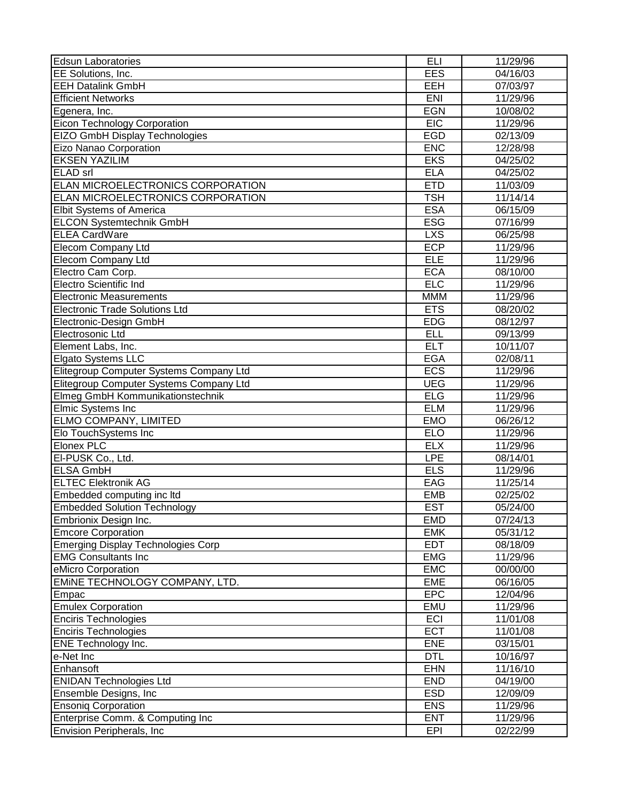| <b>Edsun Laboratories</b>               | ELI        | 11/29/96 |
|-----------------------------------------|------------|----------|
| EE Solutions, Inc.                      | <b>EES</b> | 04/16/03 |
| <b>EEH Datalink GmbH</b>                | EEH        | 07/03/97 |
| <b>Efficient Networks</b>               | <b>ENI</b> | 11/29/96 |
| Egenera, Inc.                           | <b>EGN</b> | 10/08/02 |
| Eicon Technology Corporation            | EIC        | 11/29/96 |
| EIZO GmbH Display Technologies          | <b>EGD</b> | 02/13/09 |
| Eizo Nanao Corporation                  | <b>ENC</b> | 12/28/98 |
| <b>EKSEN YAZILIM</b>                    | <b>EKS</b> | 04/25/02 |
| <b>ELAD</b> srl                         | <b>ELA</b> | 04/25/02 |
| ELAN MICROELECTRONICS CORPORATION       | <b>ETD</b> | 11/03/09 |
| ELAN MICROELECTRONICS CORPORATION       | <b>TSH</b> | 11/14/14 |
| <b>Elbit Systems of America</b>         | <b>ESA</b> | 06/15/09 |
| <b>ELCON Systemtechnik GmbH</b>         | <b>ESG</b> | 07/16/99 |
| <b>ELEA CardWare</b>                    | <b>LXS</b> | 06/25/98 |
| <b>Elecom Company Ltd</b>               | <b>ECP</b> | 11/29/96 |
| Elecom Company Ltd                      | <b>ELE</b> | 11/29/96 |
| Electro Cam Corp.                       | <b>ECA</b> | 08/10/00 |
| Electro Scientific Ind                  | <b>ELC</b> | 11/29/96 |
| <b>Electronic Measurements</b>          | <b>MMM</b> | 11/29/96 |
| <b>Electronic Trade Solutions Ltd</b>   | <b>ETS</b> | 08/20/02 |
| Electronic-Design GmbH                  | <b>EDG</b> | 08/12/97 |
| Electrosonic Ltd                        | <b>ELL</b> | 09/13/99 |
| Element Labs, Inc.                      | <b>ELT</b> | 10/11/07 |
| <b>Elgato Systems LLC</b>               | <b>EGA</b> | 02/08/11 |
| Elitegroup Computer Systems Company Ltd | <b>ECS</b> | 11/29/96 |
| Elitegroup Computer Systems Company Ltd | <b>UEG</b> | 11/29/96 |
| Elmeg GmbH Kommunikationstechnik        | <b>ELG</b> | 11/29/96 |
| <b>Elmic Systems Inc</b>                | <b>ELM</b> | 11/29/96 |
| <b>ELMO COMPANY, LIMITED</b>            | <b>EMO</b> | 06/26/12 |
| Elo TouchSystems Inc                    | <b>ELO</b> | 11/29/96 |
| <b>Elonex PLC</b>                       | <b>ELX</b> | 11/29/96 |
| EI-PUSK Co., Ltd.                       | <b>LPE</b> | 08/14/01 |
| <b>ELSA GmbH</b>                        | <b>ELS</b> | 11/29/96 |
| <b>ELTEC Elektronik AG</b>              | EAG        | 11/25/14 |
| Embedded computing inc Itd              | <b>EMB</b> | 02/25/02 |
| <b>Embedded Solution Technology</b>     | <b>EST</b> | 05/24/00 |
| Embrionix Design Inc.                   | <b>EMD</b> | 07/24/13 |
| <b>Emcore Corporation</b>               | <b>EMK</b> | 05/31/12 |
| Emerging Display Technologies Corp      | <b>EDT</b> | 08/18/09 |
| <b>EMG Consultants Inc</b>              | <b>EMG</b> | 11/29/96 |
| eMicro Corporation                      | EMC        | 00/00/00 |
| EMINE TECHNOLOGY COMPANY, LTD.          | <b>EME</b> | 06/16/05 |
| Empac                                   | EPC        | 12/04/96 |
| <b>Emulex Corporation</b>               | EMU        | 11/29/96 |
| <b>Enciris Technologies</b>             | ECI        | 11/01/08 |
| <b>Enciris Technologies</b>             | <b>ECT</b> | 11/01/08 |
| <b>ENE Technology Inc.</b>              | <b>ENE</b> | 03/15/01 |
| e-Net Inc                               | <b>DTL</b> | 10/16/97 |
| Enhansoft                               | <b>EHN</b> | 11/16/10 |
| <b>ENIDAN Technologies Ltd</b>          | <b>END</b> | 04/19/00 |
| Ensemble Designs, Inc.                  | <b>ESD</b> | 12/09/09 |
| <b>Ensonig Corporation</b>              | <b>ENS</b> | 11/29/96 |
| Enterprise Comm. & Computing Inc        | <b>ENT</b> | 11/29/96 |
| Envision Peripherals, Inc.              | <b>EPI</b> | 02/22/99 |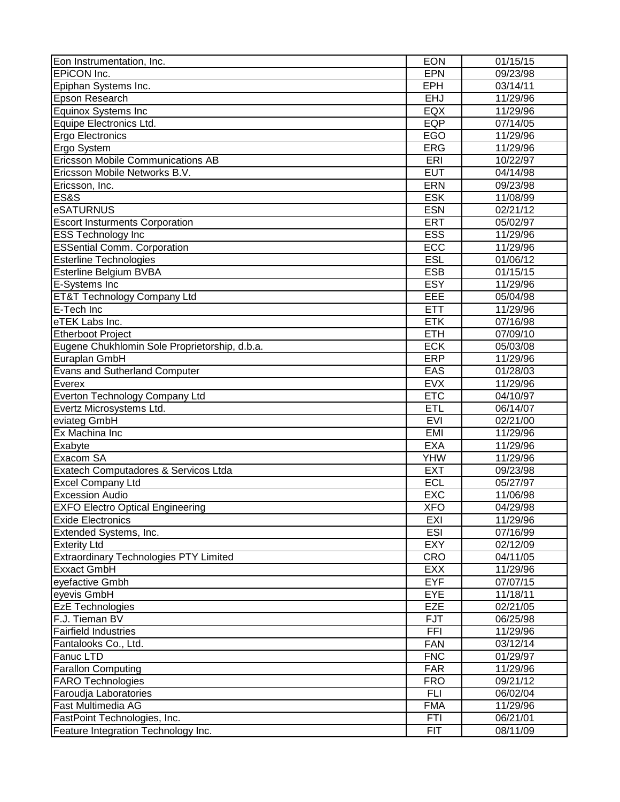| Eon Instrumentation, Inc.                     | <b>EON</b> | 01/15/15 |
|-----------------------------------------------|------------|----------|
| EPICON Inc.                                   | EPN        | 09/23/98 |
| Epiphan Systems Inc.                          | <b>EPH</b> | 03/14/11 |
| Epson Research                                | <b>EHJ</b> | 11/29/96 |
| Equinox Systems Inc                           | EQX        | 11/29/96 |
| Equipe Electronics Ltd.                       | <b>EQP</b> | 07/14/05 |
| <b>Ergo Electronics</b>                       | <b>EGO</b> | 11/29/96 |
| Ergo System                                   | <b>ERG</b> | 11/29/96 |
| <b>Ericsson Mobile Communications AB</b>      | ERI        | 10/22/97 |
| Ericsson Mobile Networks B.V.                 | <b>EUT</b> | 04/14/98 |
| Ericsson, Inc.                                | <b>ERN</b> | 09/23/98 |
| <b>ES&amp;S</b>                               | <b>ESK</b> | 11/08/99 |
| <b>eSATURNUS</b>                              | <b>ESN</b> | 02/21/12 |
| <b>Escort Insturments Corporation</b>         | <b>ERT</b> | 05/02/97 |
| <b>ESS Technology Inc</b>                     | <b>ESS</b> | 11/29/96 |
| <b>ESSential Comm. Corporation</b>            | ECC        | 11/29/96 |
| <b>Esterline Technologies</b>                 | <b>ESL</b> | 01/06/12 |
| Esterline Belgium BVBA                        | <b>ESB</b> | 01/15/15 |
| E-Systems Inc                                 | <b>ESY</b> | 11/29/96 |
| ET&T Technology Company Ltd                   | EEE        | 05/04/98 |
| E-Tech Inc                                    | <b>ETT</b> | 11/29/96 |
| eTEK Labs Inc.                                | <b>ETK</b> | 07/16/98 |
| Etherboot Project                             | <b>ETH</b> | 07/09/10 |
| Eugene Chukhlomin Sole Proprietorship, d.b.a. | <b>ECK</b> | 05/03/08 |
| Euraplan GmbH                                 | <b>ERP</b> | 11/29/96 |
| Evans and Sutherland Computer                 | EAS        | 01/28/03 |
| Everex                                        | <b>EVX</b> | 11/29/96 |
| Everton Technology Company Ltd                | <b>ETC</b> | 04/10/97 |
| Evertz Microsystems Ltd.                      | <b>ETL</b> | 06/14/07 |
| eviateg GmbH                                  | <b>EVI</b> | 02/21/00 |
| Ex Machina Inc                                | <b>EMI</b> | 11/29/96 |
| Exabyte                                       | <b>EXA</b> | 11/29/96 |
| Exacom SA                                     | <b>YHW</b> | 11/29/96 |
| Exatech Computadores & Servicos Ltda          | <b>EXT</b> | 09/23/98 |
| <b>Excel Company Ltd</b>                      | <b>ECL</b> | 05/27/97 |
| <b>Excession Audio</b>                        | <b>EXC</b> | 11/06/98 |
| <b>EXFO Electro Optical Engineering</b>       | <b>XFO</b> | 04/29/98 |
| Exide Electronics                             | EXI        | 11/29/96 |
| Extended Systems, Inc.                        | <b>ESI</b> | 07/16/99 |
| <b>Exterity Ltd</b>                           | <b>EXY</b> | 02/12/09 |
| <b>Extraordinary Technologies PTY Limited</b> | CRO        | 04/11/05 |
| <b>Exxact GmbH</b>                            | <b>EXX</b> | 11/29/96 |
| eyefactive Gmbh                               | EYF        | 07/07/15 |
| eyevis GmbH                                   | EYE        | 11/18/11 |
| <b>EzE Technologies</b>                       | <b>EZE</b> | 02/21/05 |
| F.J. Tieman BV                                | <b>FJT</b> | 06/25/98 |
| <b>Fairfield Industries</b>                   | <b>FFI</b> | 11/29/96 |
| Fantalooks Co., Ltd.                          | <b>FAN</b> | 03/12/14 |
| Fanuc LTD                                     | <b>FNC</b> | 01/29/97 |
| <b>Farallon Computing</b>                     | <b>FAR</b> | 11/29/96 |
| <b>FARO Technologies</b>                      | <b>FRO</b> | 09/21/12 |
| Faroudja Laboratories                         | <b>FLI</b> | 06/02/04 |
| <b>Fast Multimedia AG</b>                     | <b>FMA</b> | 11/29/96 |
| FastPoint Technologies, Inc.                  | <b>FTI</b> | 06/21/01 |
| Feature Integration Technology Inc.           | <b>FIT</b> | 08/11/09 |
|                                               |            |          |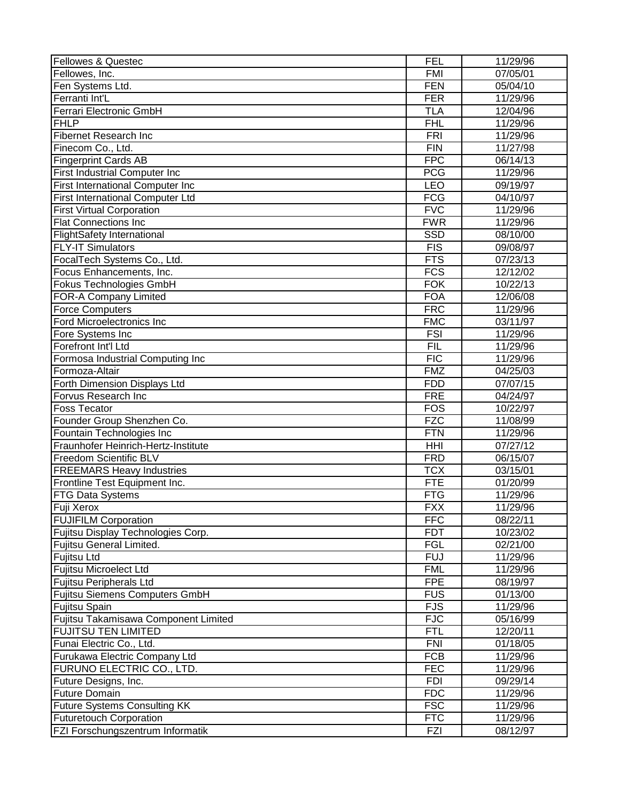| Fellowes & Questec                      | <b>FEL</b> | 11/29/96 |
|-----------------------------------------|------------|----------|
| Fellowes, Inc.                          | <b>FMI</b> | 07/05/01 |
| Fen Systems Ltd.                        | <b>FEN</b> | 05/04/10 |
| Ferranti Int'L                          | <b>FER</b> | 11/29/96 |
| Ferrari Electronic GmbH                 | <b>TLA</b> | 12/04/96 |
| <b>FHLP</b>                             | <b>FHL</b> | 11/29/96 |
| <b>Fibernet Research Inc</b>            | <b>FRI</b> | 11/29/96 |
| Finecom Co., Ltd.                       | <b>FIN</b> | 11/27/98 |
| <b>Fingerprint Cards AB</b>             | <b>FPC</b> | 06/14/13 |
| <b>First Industrial Computer Inc</b>    | <b>PCG</b> | 11/29/96 |
| First International Computer Inc        | <b>LEO</b> | 09/19/97 |
| <b>First International Computer Ltd</b> | <b>FCG</b> | 04/10/97 |
| <b>First Virtual Corporation</b>        | <b>FVC</b> | 11/29/96 |
| <b>Flat Connections Inc</b>             | <b>FWR</b> | 11/29/96 |
| <b>FlightSafety International</b>       | <b>SSD</b> | 08/10/00 |
| <b>FLY-IT Simulators</b>                | <b>FIS</b> | 09/08/97 |
| FocalTech Systems Co., Ltd.             | FTS        | 07/23/13 |
| Focus Enhancements, Inc.                | FCS        | 12/12/02 |
| <b>Fokus Technologies GmbH</b>          | <b>FOK</b> | 10/22/13 |
| FOR-A Company Limited                   | <b>FOA</b> | 12/06/08 |
| <b>Force Computers</b>                  | <b>FRC</b> | 11/29/96 |
| Ford Microelectronics Inc               | <b>FMC</b> | 03/11/97 |
| Fore Systems Inc                        | <b>FSI</b> | 11/29/96 |
| Forefront Int'l Ltd                     | FIL        | 11/29/96 |
| Formosa Industrial Computing Inc.       | <b>FIC</b> | 11/29/96 |
| Formoza-Altair                          | <b>FMZ</b> | 04/25/03 |
| Forth Dimension Displays Ltd            | <b>FDD</b> | 07/07/15 |
| Forvus Research Inc                     | <b>FRE</b> | 04/24/97 |
| <b>Foss Tecator</b>                     | <b>FOS</b> | 10/22/97 |
| Founder Group Shenzhen Co.              | <b>FZC</b> | 11/08/99 |
| Fountain Technologies Inc               | <b>FTN</b> | 11/29/96 |
| Fraunhofer Heinrich-Hertz-Institute     | HHI        | 07/27/12 |
| <b>Freedom Scientific BLV</b>           | <b>FRD</b> | 06/15/07 |
| <b>FREEMARS Heavy Industries</b>        | <b>TCX</b> | 03/15/01 |
| Frontline Test Equipment Inc.           | FTE        | 01/20/99 |
| <b>FTG Data Systems</b>                 | <b>FTG</b> | 11/29/96 |
| Fuji Xerox                              | <b>FXX</b> | 11/29/96 |
| <b>FUJIFILM Corporation</b>             | <b>FFC</b> | 08/22/11 |
| Fujitsu Display Technologies Corp.      | <b>FDT</b> | 10/23/02 |
| Fujitsu General Limited.                | <b>FGL</b> | 02/21/00 |
| Fujitsu Ltd                             | <b>FUJ</b> | 11/29/96 |
| <b>Fujitsu Microelect Ltd</b>           | <b>FML</b> | 11/29/96 |
| Fujitsu Peripherals Ltd                 | <b>FPE</b> | 08/19/97 |
| Fujitsu Siemens Computers GmbH          | FUS        | 01/13/00 |
| Fujitsu Spain                           | <b>FJS</b> | 11/29/96 |
| Fujitsu Takamisawa Component Limited    | <b>FJC</b> | 05/16/99 |
| <b>FUJITSU TEN LIMITED</b>              | <b>FTL</b> | 12/20/11 |
| Funai Electric Co., Ltd.                | <b>FNI</b> | 01/18/05 |
| Furukawa Electric Company Ltd           | <b>FCB</b> | 11/29/96 |
| FURUNO ELECTRIC CO., LTD.               | <b>FEC</b> | 11/29/96 |
| Future Designs, Inc.                    | <b>FDI</b> | 09/29/14 |
| <b>Future Domain</b>                    | <b>FDC</b> | 11/29/96 |
| <b>Future Systems Consulting KK</b>     | <b>FSC</b> | 11/29/96 |
| <b>Futuretouch Corporation</b>          | <b>FTC</b> | 11/29/96 |
| FZI Forschungszentrum Informatik        | FZI        | 08/12/97 |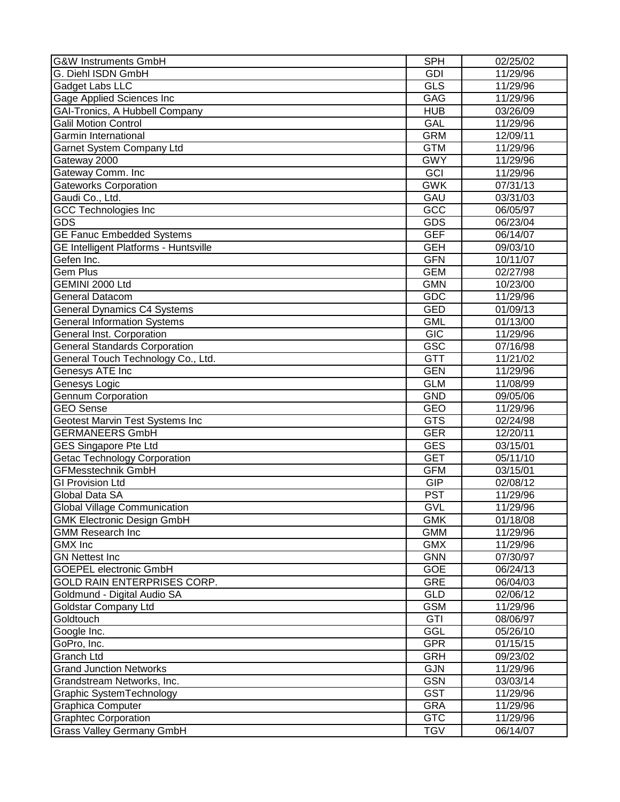| <b>G&amp;W Instruments GmbH</b>              | <b>SPH</b> | $\overline{0}$ 2/25/02 |
|----------------------------------------------|------------|------------------------|
| G. Diehl ISDN GmbH                           | <b>GDI</b> | 11/29/96               |
| Gadget Labs LLC                              | <b>GLS</b> | 11/29/96               |
| Gage Applied Sciences Inc                    | GAG        | 11/29/96               |
| GAI-Tronics, A Hubbell Company               | <b>HUB</b> | 03/26/09               |
| <b>Galil Motion Control</b>                  | GAL        | 11/29/96               |
| <b>Garmin International</b>                  | <b>GRM</b> | 12/09/11               |
| Garnet System Company Ltd                    | <b>GTM</b> | 11/29/96               |
| Gateway 2000                                 | <b>GWY</b> | 11/29/96               |
| Gateway Comm. Inc                            | GCI        | 11/29/96               |
| <b>Gateworks Corporation</b>                 | <b>GWK</b> | 07/31/13               |
| Gaudi Co., Ltd.                              | GAU        | 03/31/03               |
| <b>GCC Technologies Inc</b>                  | GCC        | 06/05/97               |
| <b>GDS</b>                                   | <b>GDS</b> | 06/23/04               |
| <b>GE Fanuc Embedded Systems</b>             | <b>GEF</b> | 06/14/07               |
| <b>GE Intelligent Platforms - Huntsville</b> | <b>GEH</b> | 09/03/10               |
| Gefen Inc.                                   | <b>GFN</b> | 10/11/07               |
| <b>Gem Plus</b>                              | <b>GEM</b> | 02/27/98               |
| GEMINI 2000 Ltd                              | <b>GMN</b> | 10/23/00               |
| <b>General Datacom</b>                       | <b>GDC</b> | 11/29/96               |
| <b>General Dynamics C4 Systems</b>           | <b>GED</b> | 01/09/13               |
| <b>General Information Systems</b>           | <b>GML</b> | 01/13/00               |
| General Inst. Corporation                    | <b>GIC</b> | 11/29/96               |
| <b>General Standards Corporation</b>         | <b>GSC</b> | 07/16/98               |
| General Touch Technology Co., Ltd.           | <b>GTT</b> | 11/21/02               |
| Genesys ATE Inc                              | <b>GEN</b> | 11/29/96               |
| Genesys Logic                                | <b>GLM</b> | 11/08/99               |
| <b>Gennum Corporation</b>                    | <b>GND</b> | 09/05/06               |
| <b>GEO Sense</b>                             | <b>GEO</b> | 11/29/96               |
| Geotest Marvin Test Systems Inc              | <b>GTS</b> | 02/24/98               |
| <b>GERMANEERS GmbH</b>                       | <b>GER</b> | 12/20/11               |
| <b>GES Singapore Pte Ltd</b>                 | <b>GES</b> | 03/15/01               |
| Getac Technology Corporation                 | <b>GET</b> | 05/11/10               |
| <b>GFMesstechnik GmbH</b>                    | <b>GFM</b> | 03/15/01               |
| <b>GI Provision Ltd</b>                      | <b>GIP</b> | 02/08/12               |
| Global Data SA                               | <b>PST</b> | 11/29/96               |
| <b>Global Village Communication</b>          | GVL        | 11/29/96               |
| <b>GMK Electronic Design GmbH</b>            | <b>GMK</b> | 01/18/08               |
| <b>GMM Research Inc</b>                      | <b>GMM</b> | 11/29/96               |
| <b>GMX</b> Inc                               | <b>GMX</b> | 11/29/96               |
| <b>GN Nettest Inc</b>                        | <b>GNN</b> | 07/30/97               |
| <b>GOEPEL electronic GmbH</b>                | <b>GOE</b> | 06/24/13               |
| GOLD RAIN ENTERPRISES CORP.                  | GRE        | 06/04/03               |
| Goldmund - Digital Audio SA                  | <b>GLD</b> | 02/06/12               |
| Goldstar Company Ltd                         | <b>GSM</b> | 11/29/96               |
| Goldtouch                                    | GTI        | 08/06/97               |
| Google Inc.                                  | GGL        | 05/26/10               |
| GoPro, Inc.                                  | <b>GPR</b> | 01/15/15               |
| Granch Ltd                                   | <b>GRH</b> | 09/23/02               |
| <b>Grand Junction Networks</b>               | <b>GJN</b> | 11/29/96               |
| Grandstream Networks, Inc.                   | <b>GSN</b> | 03/03/14               |
| Graphic SystemTechnology                     | <b>GST</b> | 11/29/96               |
| <b>Graphica Computer</b>                     | <b>GRA</b> | 11/29/96               |
| <b>Graphtec Corporation</b>                  | <b>GTC</b> | 11/29/96               |
| <b>Grass Valley Germany GmbH</b>             | <b>TGV</b> | 06/14/07               |
|                                              |            |                        |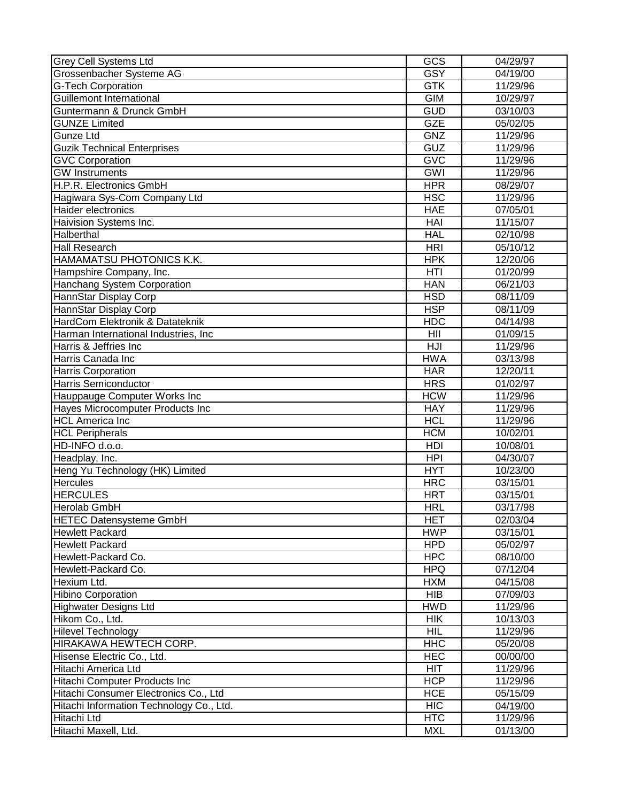| <b>Grey Cell Systems Ltd</b>             | GCS        | 04/29/97 |
|------------------------------------------|------------|----------|
| Grossenbacher Systeme AG                 | <b>GSY</b> | 04/19/00 |
| <b>G-Tech Corporation</b>                | <b>GTK</b> | 11/29/96 |
| <b>Guillemont International</b>          | <b>GIM</b> | 10/29/97 |
| Guntermann & Drunck GmbH                 | <b>GUD</b> | 03/10/03 |
| <b>GUNZE Limited</b>                     | <b>GZE</b> | 05/02/05 |
| Gunze Ltd                                | <b>GNZ</b> | 11/29/96 |
| <b>Guzik Technical Enterprises</b>       | <b>GUZ</b> | 11/29/96 |
| <b>GVC Corporation</b>                   | <b>GVC</b> | 11/29/96 |
| <b>GW</b> Instruments                    | <b>GWI</b> | 11/29/96 |
| H.P.R. Electronics GmbH                  | <b>HPR</b> | 08/29/07 |
| Hagiwara Sys-Com Company Ltd             | <b>HSC</b> | 11/29/96 |
| Haider electronics                       | <b>HAE</b> | 07/05/01 |
| Haivision Systems Inc.                   | HAI        | 11/15/07 |
| Halberthal                               | <b>HAL</b> | 02/10/98 |
| <b>Hall Research</b>                     | <b>HRI</b> | 05/10/12 |
| HAMAMATSU PHOTONICS K.K.                 | <b>HPK</b> | 12/20/06 |
| Hampshire Company, Inc.                  | HTI        | 01/20/99 |
| Hanchang System Corporation              | <b>HAN</b> | 06/21/03 |
| HannStar Display Corp                    | <b>HSD</b> | 08/11/09 |
| HannStar Display Corp                    | <b>HSP</b> | 08/11/09 |
| HardCom Elektronik & Datateknik          | <b>HDC</b> | 04/14/98 |
| Harman International Industries, Inc     | HII        | 01/09/15 |
| Harris & Jeffries Inc                    | HJI        | 11/29/96 |
| Harris Canada Inc                        | <b>HWA</b> | 03/13/98 |
| <b>Harris Corporation</b>                | <b>HAR</b> | 12/20/11 |
| <b>Harris Semiconductor</b>              | <b>HRS</b> | 01/02/97 |
| Hauppauge Computer Works Inc             | <b>HCW</b> | 11/29/96 |
| Hayes Microcomputer Products Inc         | <b>HAY</b> | 11/29/96 |
| <b>HCL America Inc</b>                   | <b>HCL</b> | 11/29/96 |
| <b>HCL Peripherals</b>                   | <b>HCM</b> | 10/02/01 |
| HD-INFO d.o.o.                           | HDI        | 10/08/01 |
| Headplay, Inc.                           | <b>HPI</b> | 04/30/07 |
| Heng Yu Technology (HK) Limited          | <b>HYT</b> | 10/23/00 |
| <b>Hercules</b>                          | <b>HRC</b> | 03/15/01 |
| <b>HERCULES</b>                          | <b>HRT</b> | 03/15/01 |
| Herolab GmbH                             | <b>HRL</b> | 03/17/98 |
| <b>HETEC Datensysteme GmbH</b>           | <b>HET</b> | 02/03/04 |
| <b>Hewlett Packard</b>                   | <b>HWP</b> | 03/15/01 |
| <b>Hewlett Packard</b>                   | <b>HPD</b> | 05/02/97 |
| Hewlett-Packard Co.                      | <b>HPC</b> | 08/10/00 |
| Hewlett-Packard Co.                      | <b>HPQ</b> | 07/12/04 |
| Hexium Ltd.                              | <b>HXM</b> | 04/15/08 |
| <b>Hibino Corporation</b>                | <b>HIB</b> | 07/09/03 |
| <b>Highwater Designs Ltd</b>             | <b>HWD</b> | 11/29/96 |
| Hikom Co., Ltd.                          | <b>HIK</b> | 10/13/03 |
| <b>Hilevel Technology</b>                | <b>HIL</b> | 11/29/96 |
| HIRAKAWA HEWTECH CORP.                   | <b>HHC</b> | 05/20/08 |
| Hisense Electric Co., Ltd.               | <b>HEC</b> | 00/00/00 |
| Hitachi America Ltd                      | <b>HIT</b> | 11/29/96 |
| Hitachi Computer Products Inc            | <b>HCP</b> | 11/29/96 |
| Hitachi Consumer Electronics Co., Ltd    | <b>HCE</b> | 05/15/09 |
| Hitachi Information Technology Co., Ltd. | <b>HIC</b> | 04/19/00 |
| Hitachi Ltd                              | <b>HTC</b> | 11/29/96 |
| Hitachi Maxell, Ltd.                     | <b>MXL</b> | 01/13/00 |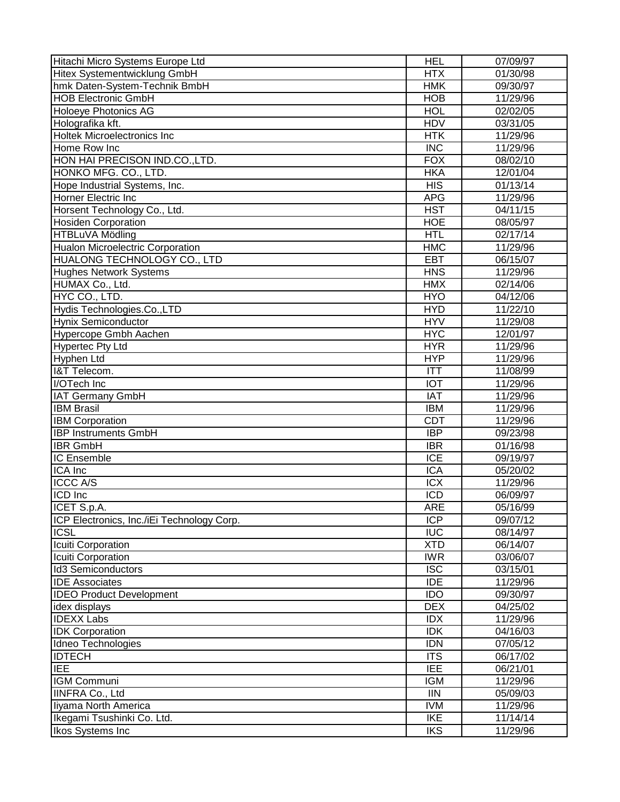| Hitachi Micro Systems Europe Ltd           | <b>HEL</b> | 07/09/97 |
|--------------------------------------------|------------|----------|
| Hitex Systementwicklung GmbH               | <b>HTX</b> | 01/30/98 |
| hmk Daten-System-Technik BmbH              | <b>HMK</b> | 09/30/97 |
| <b>HOB Electronic GmbH</b>                 | <b>HOB</b> | 11/29/96 |
| <b>Holoeye Photonics AG</b>                | <b>HOL</b> | 02/02/05 |
| Holografika kft.                           | <b>HDV</b> | 03/31/05 |
| <b>Holtek Microelectronics Inc</b>         | <b>HTK</b> | 11/29/96 |
| Home Row Inc                               | <b>INC</b> | 11/29/96 |
| HON HAI PRECISON IND.CO., LTD.             | <b>FOX</b> | 08/02/10 |
| HONKO MFG. CO., LTD.                       | <b>HKA</b> | 12/01/04 |
| Hope Industrial Systems, Inc.              | <b>HIS</b> | 01/13/14 |
| Horner Electric Inc                        | <b>APG</b> | 11/29/96 |
| Horsent Technology Co., Ltd.               | <b>HST</b> | 04/11/15 |
| <b>Hosiden Corporation</b>                 | <b>HOE</b> | 08/05/97 |
| HTBLuVA Mödling                            | <b>HTL</b> | 02/17/14 |
|                                            |            |          |
| <b>Hualon Microelectric Corporation</b>    | <b>HMC</b> | 11/29/96 |
| <b>HUALONG TECHNOLOGY CO., LTD</b>         | <b>EBT</b> | 06/15/07 |
| <b>Hughes Network Systems</b>              | <b>HNS</b> | 11/29/96 |
| HUMAX Co., Ltd.                            | <b>HMX</b> | 02/14/06 |
| HYC CO., LTD.                              | <b>HYO</b> | 04/12/06 |
| Hydis Technologies.Co.,LTD                 | <b>HYD</b> | 11/22/10 |
| <b>Hynix Semiconductor</b>                 | <b>HYV</b> | 11/29/08 |
| Hypercope Gmbh Aachen                      | <b>HXC</b> | 12/01/97 |
| <b>Hypertec Pty Ltd</b>                    | <b>HYR</b> | 11/29/96 |
| <b>Hyphen Ltd</b>                          | <b>HYP</b> | 11/29/96 |
| <b>I&amp;T Telecom.</b>                    | <b>ITT</b> | 11/08/99 |
| I/OTech Inc                                | <b>IOT</b> | 11/29/96 |
| <b>IAT Germany GmbH</b>                    | <b>IAT</b> | 11/29/96 |
| <b>IBM Brasil</b>                          | <b>IBM</b> | 11/29/96 |
| <b>IBM Corporation</b>                     | <b>CDT</b> | 11/29/96 |
| <b>IBP Instruments GmbH</b>                | <b>IBP</b> | 09/23/98 |
| <b>IBR GmbH</b>                            | <b>IBR</b> | 01/16/98 |
| <b>IC Ensemble</b>                         | <b>ICE</b> | 09/19/97 |
| <b>ICA</b> Inc                             | <b>ICA</b> | 05/20/02 |
| <b>ICCC A/S</b>                            | <b>ICX</b> | 11/29/96 |
| <b>ICD</b> Inc                             | <b>ICD</b> | 06/09/97 |
| ICET S.p.A.                                | ARE        | 05/16/99 |
| ICP Electronics, Inc./iEi Technology Corp. | <b>ICP</b> | 09/07/12 |
| <b>ICSL</b>                                | <b>IUC</b> | 08/14/97 |
| Icuiti Corporation                         | <b>XTD</b> | 06/14/07 |
| Icuiti Corporation                         | <b>IWR</b> | 03/06/07 |
| Id3 Semiconductors                         | <b>ISC</b> | 03/15/01 |
| <b>IDE Associates</b>                      | <b>IDE</b> | 11/29/96 |
| <b>IDEO Product Development</b>            | <b>IDO</b> | 09/30/97 |
| idex displays                              | <b>DEX</b> | 04/25/02 |
| <b>IDEXX Labs</b>                          | IDX        | 11/29/96 |
| <b>IDK Corporation</b>                     | <b>IDK</b> | 04/16/03 |
| Idneo Technologies                         | <b>IDN</b> | 07/05/12 |
| <b>IDTECH</b>                              | <b>ITS</b> | 06/17/02 |
| <b>IEE</b>                                 | <b>IEE</b> | 06/21/01 |
| IGM Communi                                | <b>IGM</b> | 11/29/96 |
| <b>IINFRA Co., Ltd</b>                     | III        | 05/09/03 |
| liyama North America                       | <b>IVM</b> | 11/29/96 |
| Ikegami Tsushinki Co. Ltd.                 | <b>IKE</b> | 11/14/14 |
| Ikos Systems Inc                           | <b>IKS</b> | 11/29/96 |
|                                            |            |          |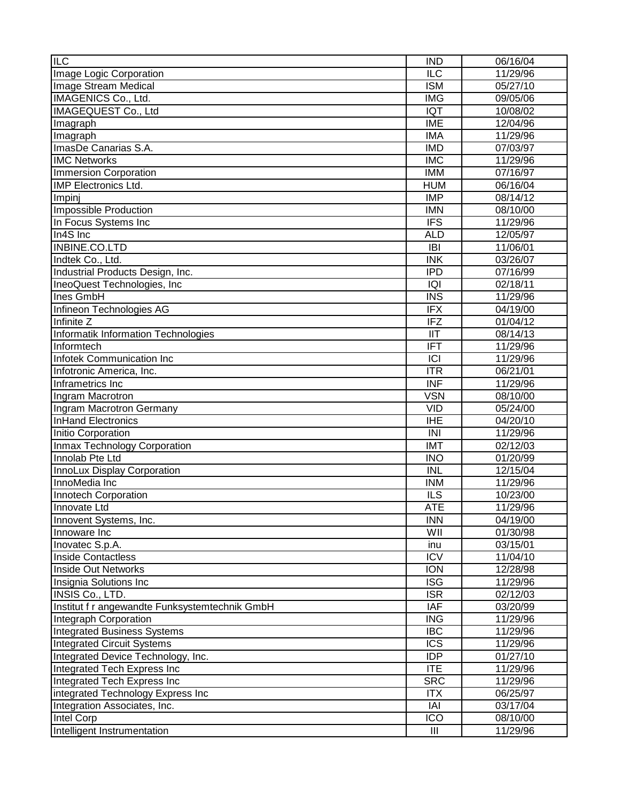| <b>ILC</b><br>11/29/96<br>Image Logic Corporation<br><b>ISM</b><br>05/27/10<br>Image Stream Medical<br>IMAGENICS Co., Ltd.<br><b>IMG</b><br>09/05/06<br>IMAGEQUEST Co., Ltd<br><b>IQT</b><br>10/08/02<br><b>IME</b><br>Imagraph<br>12/04/96<br>Imagraph<br><b>IMA</b><br>11/29/96<br>ImasDe Canarias S.A.<br>07/03/97<br><b>IMD</b><br><b>IMC Networks</b><br><b>IMC</b><br>11/29/96<br>Immersion Corporation<br><b>IMM</b><br>07/16/97<br>IMP Electronics Ltd.<br><b>HUM</b><br>06/16/04<br><b>IMP</b><br>08/14/12<br>Impinj<br><b>Impossible Production</b><br>08/10/00<br><b>IMN</b><br><b>IFS</b><br>11/29/96<br>In Focus Systems Inc<br>In4S Inc<br><b>ALD</b><br>12/05/97<br>INBINE.CO.LTD<br><b>IBI</b><br>11/06/01<br>Indtek Co., Ltd.<br><b>INK</b><br>03/26/07<br>Industrial Products Design, Inc.<br>07/16/99<br><b>IPD</b><br>IQI<br>02/18/11<br>IneoQuest Technologies, Inc<br><b>INS</b><br>11/29/96<br>Ines GmbH |
|---------------------------------------------------------------------------------------------------------------------------------------------------------------------------------------------------------------------------------------------------------------------------------------------------------------------------------------------------------------------------------------------------------------------------------------------------------------------------------------------------------------------------------------------------------------------------------------------------------------------------------------------------------------------------------------------------------------------------------------------------------------------------------------------------------------------------------------------------------------------------------------------------------------------------------|
|                                                                                                                                                                                                                                                                                                                                                                                                                                                                                                                                                                                                                                                                                                                                                                                                                                                                                                                                 |
|                                                                                                                                                                                                                                                                                                                                                                                                                                                                                                                                                                                                                                                                                                                                                                                                                                                                                                                                 |
|                                                                                                                                                                                                                                                                                                                                                                                                                                                                                                                                                                                                                                                                                                                                                                                                                                                                                                                                 |
|                                                                                                                                                                                                                                                                                                                                                                                                                                                                                                                                                                                                                                                                                                                                                                                                                                                                                                                                 |
|                                                                                                                                                                                                                                                                                                                                                                                                                                                                                                                                                                                                                                                                                                                                                                                                                                                                                                                                 |
|                                                                                                                                                                                                                                                                                                                                                                                                                                                                                                                                                                                                                                                                                                                                                                                                                                                                                                                                 |
|                                                                                                                                                                                                                                                                                                                                                                                                                                                                                                                                                                                                                                                                                                                                                                                                                                                                                                                                 |
|                                                                                                                                                                                                                                                                                                                                                                                                                                                                                                                                                                                                                                                                                                                                                                                                                                                                                                                                 |
|                                                                                                                                                                                                                                                                                                                                                                                                                                                                                                                                                                                                                                                                                                                                                                                                                                                                                                                                 |
|                                                                                                                                                                                                                                                                                                                                                                                                                                                                                                                                                                                                                                                                                                                                                                                                                                                                                                                                 |
|                                                                                                                                                                                                                                                                                                                                                                                                                                                                                                                                                                                                                                                                                                                                                                                                                                                                                                                                 |
|                                                                                                                                                                                                                                                                                                                                                                                                                                                                                                                                                                                                                                                                                                                                                                                                                                                                                                                                 |
|                                                                                                                                                                                                                                                                                                                                                                                                                                                                                                                                                                                                                                                                                                                                                                                                                                                                                                                                 |
|                                                                                                                                                                                                                                                                                                                                                                                                                                                                                                                                                                                                                                                                                                                                                                                                                                                                                                                                 |
|                                                                                                                                                                                                                                                                                                                                                                                                                                                                                                                                                                                                                                                                                                                                                                                                                                                                                                                                 |
|                                                                                                                                                                                                                                                                                                                                                                                                                                                                                                                                                                                                                                                                                                                                                                                                                                                                                                                                 |
|                                                                                                                                                                                                                                                                                                                                                                                                                                                                                                                                                                                                                                                                                                                                                                                                                                                                                                                                 |
|                                                                                                                                                                                                                                                                                                                                                                                                                                                                                                                                                                                                                                                                                                                                                                                                                                                                                                                                 |
|                                                                                                                                                                                                                                                                                                                                                                                                                                                                                                                                                                                                                                                                                                                                                                                                                                                                                                                                 |
| 04/19/00<br>Infineon Technologies AG<br><b>IFX</b>                                                                                                                                                                                                                                                                                                                                                                                                                                                                                                                                                                                                                                                                                                                                                                                                                                                                              |
| IFZ<br>Infinite Z<br>01/04/12                                                                                                                                                                                                                                                                                                                                                                                                                                                                                                                                                                                                                                                                                                                                                                                                                                                                                                   |
| 08/14/13<br>Informatik Information Technologies<br>III                                                                                                                                                                                                                                                                                                                                                                                                                                                                                                                                                                                                                                                                                                                                                                                                                                                                          |
| Informtech<br><b>IFT</b><br>11/29/96                                                                                                                                                                                                                                                                                                                                                                                                                                                                                                                                                                                                                                                                                                                                                                                                                                                                                            |
| ICI<br>11/29/96<br>Infotek Communication Inc                                                                                                                                                                                                                                                                                                                                                                                                                                                                                                                                                                                                                                                                                                                                                                                                                                                                                    |
| <b>ITR</b><br>06/21/01<br>Infotronic America, Inc.                                                                                                                                                                                                                                                                                                                                                                                                                                                                                                                                                                                                                                                                                                                                                                                                                                                                              |
| Inframetrics Inc<br><b>INF</b><br>11/29/96                                                                                                                                                                                                                                                                                                                                                                                                                                                                                                                                                                                                                                                                                                                                                                                                                                                                                      |
| <b>VSN</b><br>Ingram Macrotron<br>08/10/00                                                                                                                                                                                                                                                                                                                                                                                                                                                                                                                                                                                                                                                                                                                                                                                                                                                                                      |
| VID<br>Ingram Macrotron Germany<br>05/24/00                                                                                                                                                                                                                                                                                                                                                                                                                                                                                                                                                                                                                                                                                                                                                                                                                                                                                     |
| <b>InHand Electronics</b><br><b>IHE</b><br>04/20/10                                                                                                                                                                                                                                                                                                                                                                                                                                                                                                                                                                                                                                                                                                                                                                                                                                                                             |
| Initio Corporation<br>INI<br>11/29/96                                                                                                                                                                                                                                                                                                                                                                                                                                                                                                                                                                                                                                                                                                                                                                                                                                                                                           |
| <b>Inmax Technology Corporation</b><br><b>IMT</b><br>02/12/03                                                                                                                                                                                                                                                                                                                                                                                                                                                                                                                                                                                                                                                                                                                                                                                                                                                                   |
| Innolab Pte Ltd<br><b>INO</b><br>01/20/99                                                                                                                                                                                                                                                                                                                                                                                                                                                                                                                                                                                                                                                                                                                                                                                                                                                                                       |
| InnoLux Display Corporation<br><b>INL</b><br>12/15/04                                                                                                                                                                                                                                                                                                                                                                                                                                                                                                                                                                                                                                                                                                                                                                                                                                                                           |
| InnoMedia Inc<br><b>INM</b><br>11/29/96                                                                                                                                                                                                                                                                                                                                                                                                                                                                                                                                                                                                                                                                                                                                                                                                                                                                                         |
| 10/23/00<br>Innotech Corporation<br><b>ILS</b>                                                                                                                                                                                                                                                                                                                                                                                                                                                                                                                                                                                                                                                                                                                                                                                                                                                                                  |
| Innovate Ltd<br>ATE<br>11/29/96                                                                                                                                                                                                                                                                                                                                                                                                                                                                                                                                                                                                                                                                                                                                                                                                                                                                                                 |
| Innovent Systems, Inc.<br><b>INN</b><br>04/19/00                                                                                                                                                                                                                                                                                                                                                                                                                                                                                                                                                                                                                                                                                                                                                                                                                                                                                |
| WII<br>01/30/98<br>Innoware Inc                                                                                                                                                                                                                                                                                                                                                                                                                                                                                                                                                                                                                                                                                                                                                                                                                                                                                                 |
| 03/15/01<br>Inovatec S.p.A.<br>inu                                                                                                                                                                                                                                                                                                                                                                                                                                                                                                                                                                                                                                                                                                                                                                                                                                                                                              |
| $\overline{ICV}$<br>11/04/10<br>Inside Contactless                                                                                                                                                                                                                                                                                                                                                                                                                                                                                                                                                                                                                                                                                                                                                                                                                                                                              |
| Inside Out Networks<br>12/28/98<br><b>ION</b>                                                                                                                                                                                                                                                                                                                                                                                                                                                                                                                                                                                                                                                                                                                                                                                                                                                                                   |
| <b>ISG</b><br>11/29/96<br>Insignia Solutions Inc                                                                                                                                                                                                                                                                                                                                                                                                                                                                                                                                                                                                                                                                                                                                                                                                                                                                                |
| <b>INSIS Co., LTD.</b><br>02/12/03<br><b>ISR</b>                                                                                                                                                                                                                                                                                                                                                                                                                                                                                                                                                                                                                                                                                                                                                                                                                                                                                |
| Institut f r angewandte Funksystemtechnik GmbH<br><b>IAF</b><br>03/20/99                                                                                                                                                                                                                                                                                                                                                                                                                                                                                                                                                                                                                                                                                                                                                                                                                                                        |
| 11/29/96<br>Integraph Corporation<br><b>ING</b>                                                                                                                                                                                                                                                                                                                                                                                                                                                                                                                                                                                                                                                                                                                                                                                                                                                                                 |
| $\overline{IBC}$<br><b>Integrated Business Systems</b><br>11/29/96                                                                                                                                                                                                                                                                                                                                                                                                                                                                                                                                                                                                                                                                                                                                                                                                                                                              |
| <b>ICS</b><br>11/29/96<br><b>Integrated Circuit Systems</b>                                                                                                                                                                                                                                                                                                                                                                                                                                                                                                                                                                                                                                                                                                                                                                                                                                                                     |
| <b>IDP</b><br>01/27/10<br>Integrated Device Technology, Inc.                                                                                                                                                                                                                                                                                                                                                                                                                                                                                                                                                                                                                                                                                                                                                                                                                                                                    |
| <b>ITE</b><br>Integrated Tech Express Inc<br>11/29/96                                                                                                                                                                                                                                                                                                                                                                                                                                                                                                                                                                                                                                                                                                                                                                                                                                                                           |
| Integrated Tech Express Inc<br><b>SRC</b><br>11/29/96                                                                                                                                                                                                                                                                                                                                                                                                                                                                                                                                                                                                                                                                                                                                                                                                                                                                           |
| integrated Technology Express Inc<br><b>ITX</b><br>06/25/97                                                                                                                                                                                                                                                                                                                                                                                                                                                                                                                                                                                                                                                                                                                                                                                                                                                                     |
| Integration Associates, Inc.<br>IAI<br>$\overline{0}3/17/04$                                                                                                                                                                                                                                                                                                                                                                                                                                                                                                                                                                                                                                                                                                                                                                                                                                                                    |
| ICO<br>Intel Corp<br>08/10/00                                                                                                                                                                                                                                                                                                                                                                                                                                                                                                                                                                                                                                                                                                                                                                                                                                                                                                   |
| Intelligent Instrumentation<br>$\mathop{\mathsf{III}}\nolimits$<br>11/29/96                                                                                                                                                                                                                                                                                                                                                                                                                                                                                                                                                                                                                                                                                                                                                                                                                                                     |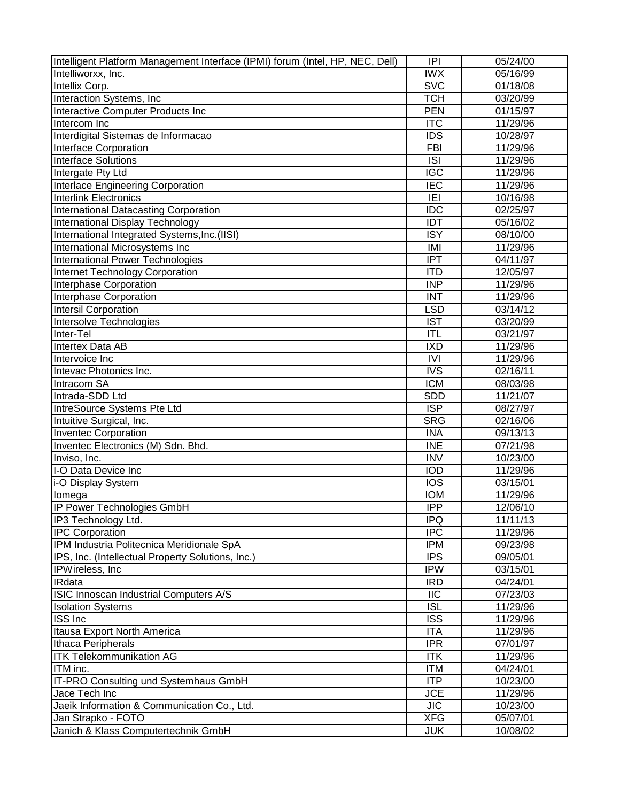| Intelligent Platform Management Interface (IPMI) forum (Intel, HP, NEC, Dell) | IPI                     | 05/24/00              |
|-------------------------------------------------------------------------------|-------------------------|-----------------------|
| Intelliworxx, Inc.                                                            | <b>IWX</b>              | 05/16/99              |
| Intellix Corp.                                                                | <b>SVC</b>              | 01/18/08              |
| Interaction Systems, Inc                                                      | <b>TCH</b>              | 03/20/99              |
| Interactive Computer Products Inc                                             | <b>PEN</b>              | 01/15/97              |
| Intercom Inc                                                                  | $\overline{\text{ITC}}$ | 11/29/96              |
| Interdigital Sistemas de Informacao                                           | <b>IDS</b>              | 10/28/97              |
| Interface Corporation                                                         | <b>FBI</b>              | 11/29/96              |
| <b>Interface Solutions</b>                                                    | <b>ISI</b>              | 11/29/96              |
| Intergate Pty Ltd                                                             | <b>IGC</b>              | 11/29/96              |
| Interlace Engineering Corporation                                             | <b>IEC</b>              | 11/29/96              |
| <b>Interlink Electronics</b>                                                  | $\overline{E}$          | 10/16/98              |
| International Datacasting Corporation                                         | <b>IDC</b>              | $\overline{02/25/97}$ |
| International Display Technology                                              | IDT                     | 05/16/02              |
| International Integrated Systems, Inc. (IISI)                                 | <b>ISY</b>              | 08/10/00              |
| International Microsystems Inc                                                | IMI                     | 11/29/96              |
| International Power Technologies                                              | <b>IPT</b>              | 04/11/97              |
| Internet Technology Corporation                                               | <b>ITD</b>              | 12/05/97              |
| Interphase Corporation                                                        | <b>INP</b>              | 11/29/96              |
| Interphase Corporation                                                        | <b>INT</b>              | 11/29/96              |
| <b>Intersil Corporation</b>                                                   | <b>LSD</b>              | 03/14/12              |
| Intersolve Technologies                                                       | <b>IST</b>              | 03/20/99              |
| Inter-Tel                                                                     | <b>ITL</b>              | 03/21/97              |
| Intertex Data AB                                                              | <b>IXD</b>              | 11/29/96              |
| Intervoice Inc                                                                | <b>IVI</b>              | 11/29/96              |
| Intevac Photonics Inc.                                                        | $\overline{\text{IVS}}$ | 02/16/11              |
| Intracom SA                                                                   | <b>ICM</b>              | 08/03/98              |
| Intrada-SDD Ltd                                                               | <b>SDD</b>              | 11/21/07              |
| IntreSource Systems Pte Ltd                                                   | <b>ISP</b>              | 08/27/97              |
| Intuitive Surgical, Inc.                                                      | <b>SRG</b>              | 02/16/06              |
| <b>Inventec Corporation</b>                                                   | <b>INA</b>              | 09/13/13              |
| Inventec Electronics (M) Sdn. Bhd.                                            | <b>INE</b>              | 07/21/98              |
| Inviso, Inc.                                                                  | <b>INV</b>              | 10/23/00              |
| I-O Data Device Inc                                                           | <b>IOD</b>              | 11/29/96              |
| i-O Display System                                                            | <b>IOS</b>              | 03/15/01              |
| lomega                                                                        | <b>IOM</b>              | 11/29/96              |
| IP Power Technologies GmbH                                                    | <b>IPP</b>              | 12/06/10              |
| IP3 Technology Ltd.                                                           | <b>IPQ</b>              | 11/11/13              |
| <b>IPC Corporation</b>                                                        | <b>IPC</b>              | 11/29/96              |
| IPM Industria Politecnica Meridionale SpA                                     | <b>IPM</b>              | 09/23/98              |
| IPS, Inc. (Intellectual Property Solutions, Inc.)                             | <b>IPS</b>              | 09/05/01              |
| IPWireless, Inc.                                                              | <b>IPW</b>              | 03/15/01              |
| <b>IRdata</b>                                                                 | <b>IRD</b>              | 04/24/01              |
| ISIC Innoscan Industrial Computers A/S                                        | <b>IIC</b>              | 07/23/03              |
| <b>Isolation Systems</b>                                                      | <b>ISL</b>              | 11/29/96              |
| <b>ISS Inc</b>                                                                | <b>ISS</b>              | 11/29/96              |
| Itausa Export North America                                                   | <b>ITA</b>              | 11/29/96              |
| Ithaca Peripherals                                                            | <b>IPR</b>              | 07/01/97              |
| <b>ITK Telekommunikation AG</b>                                               | <b>ITK</b>              | 11/29/96              |
| ITM inc.                                                                      | <b>ITM</b>              | 04/24/01              |
| IT-PRO Consulting und Systemhaus GmbH                                         | <b>ITP</b>              | 10/23/00              |
| Jace Tech Inc                                                                 | <b>JCE</b>              | 11/29/96              |
| Jaeik Information & Communication Co., Ltd.                                   | <b>JIC</b>              | 10/23/00              |
| Jan Strapko - FOTO                                                            | <b>XFG</b>              | 05/07/01              |
| Janich & Klass Computertechnik GmbH                                           | <b>JUK</b>              | 10/08/02              |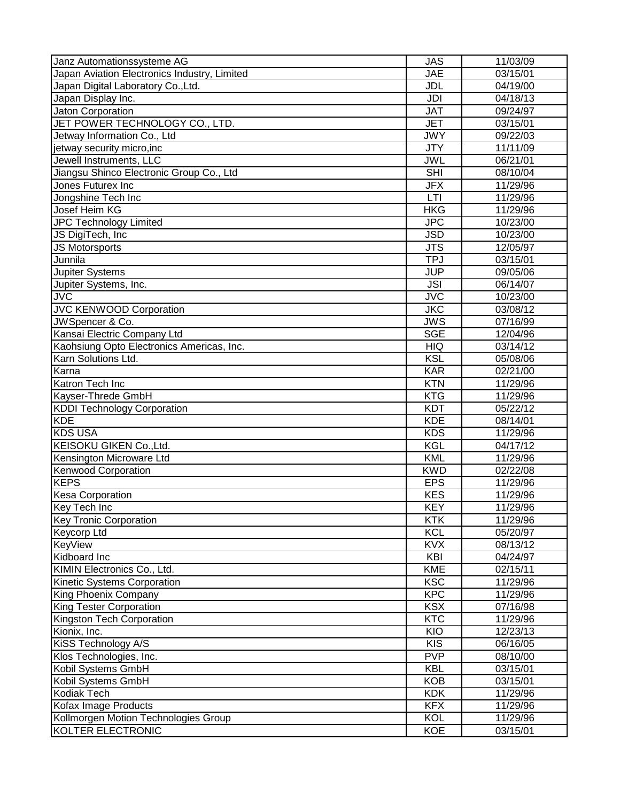| Janz Automationssysteme AG                   | <b>JAS</b> | 11/03/09 |
|----------------------------------------------|------------|----------|
| Japan Aviation Electronics Industry, Limited | <b>JAE</b> | 03/15/01 |
| Japan Digital Laboratory Co., Ltd.           | JDL        | 04/19/00 |
| Japan Display Inc.                           | JDI        | 04/18/13 |
| Jaton Corporation                            | <b>JAT</b> | 09/24/97 |
| JET POWER TECHNOLOGY CO., LTD.               | <b>JET</b> | 03/15/01 |
| Jetway Information Co., Ltd                  | <b>JWY</b> | 09/22/03 |
| jetway security micro, inc                   | <b>JTY</b> | 11/11/09 |
| Jewell Instruments, LLC                      | <b>JWL</b> | 06/21/01 |
| Jiangsu Shinco Electronic Group Co., Ltd     | <b>SHI</b> | 08/10/04 |
| Jones Futurex Inc                            | <b>JFX</b> | 11/29/96 |
| Jongshine Tech Inc                           | LTI        | 11/29/96 |
| Josef Heim KG                                | <b>HKG</b> | 11/29/96 |
| JPC Technology Limited                       | <b>JPC</b> | 10/23/00 |
| JS DigiTech, Inc.                            | <b>JSD</b> | 10/23/00 |
| <b>JS Motorsports</b>                        | <b>JTS</b> | 12/05/97 |
| Junnila                                      | <b>TPJ</b> | 03/15/01 |
| Jupiter Systems                              | <b>JUP</b> | 09/05/06 |
| Jupiter Systems, Inc.                        | <b>JSI</b> | 06/14/07 |
| <b>JVC</b>                                   | <b>JVC</b> | 10/23/00 |
| <b>JVC KENWOOD Corporation</b>               | <b>JKC</b> | 03/08/12 |
| JWSpencer & Co.                              | <b>JWS</b> | 07/16/99 |
| Kansai Electric Company Ltd                  | <b>SGE</b> | 12/04/96 |
| Kaohsiung Opto Electronics Americas, Inc.    | <b>HIQ</b> | 03/14/12 |
| Karn Solutions Ltd.                          | <b>KSL</b> | 05/08/06 |
| Karna                                        | <b>KAR</b> | 02/21/00 |
| Katron Tech Inc                              | <b>KTN</b> | 11/29/96 |
| Kayser-Threde GmbH                           | <b>KTG</b> | 11/29/96 |
| <b>KDDI Technology Corporation</b>           | <b>KDT</b> | 05/22/12 |
| <b>KDE</b>                                   | <b>KDE</b> | 08/14/01 |
| <b>KDS USA</b>                               | <b>KDS</b> | 11/29/96 |
| KEISOKU GIKEN Co., Ltd.                      | KGL        | 04/17/12 |
| Kensington Microware Ltd                     | <b>KML</b> | 11/29/96 |
| <b>Kenwood Corporation</b>                   | <b>KWD</b> | 02/22/08 |
| <b>KEPS</b>                                  | <b>EPS</b> | 11/29/96 |
| <b>Kesa Corporation</b>                      | <b>KES</b> | 11/29/96 |
| <b>Key Tech Inc</b>                          | <b>KEY</b> | 11/29/96 |
| <b>Key Tronic Corporation</b>                | <b>KTK</b> | 11/29/96 |
| <b>Keycorp Ltd</b>                           | <b>KCL</b> | 05/20/97 |
| KeyView                                      | <b>KVX</b> | 08/13/12 |
| Kidboard Inc                                 | KBI        | 04/24/97 |
| KIMIN Electronics Co., Ltd.                  | <b>KME</b> | 02/15/11 |
| Kinetic Systems Corporation                  | <b>KSC</b> | 11/29/96 |
| King Phoenix Company                         | KPC        | 11/29/96 |
| <b>King Tester Corporation</b>               | <b>KSX</b> | 07/16/98 |
| Kingston Tech Corporation                    | <b>KTC</b> | 11/29/96 |
| Kionix, Inc.                                 | KIO        | 12/23/13 |
| KiSS Technology A/S                          | <b>KIS</b> | 06/16/05 |
| Klos Technologies, Inc.                      | <b>PVP</b> | 08/10/00 |
| Kobil Systems GmbH                           | <b>KBL</b> | 03/15/01 |
| Kobil Systems GmbH                           | <b>KOB</b> | 03/15/01 |
| Kodiak Tech                                  | <b>KDK</b> | 11/29/96 |
| Kofax Image Products                         | <b>KFX</b> | 11/29/96 |
| Kollmorgen Motion Technologies Group         | <b>KOL</b> | 11/29/96 |
|                                              |            |          |
| <b>KOLTER ELECTRONIC</b>                     | <b>KOE</b> | 03/15/01 |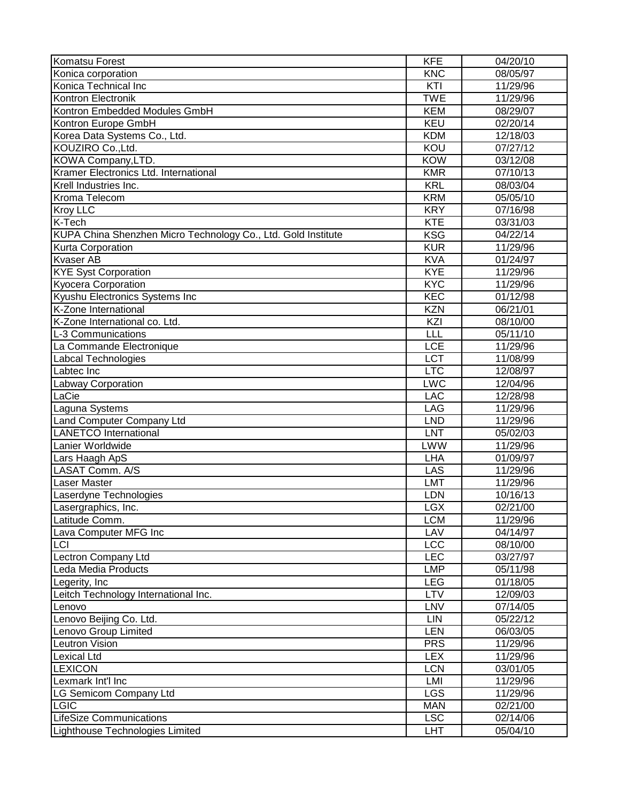| Komatsu Forest                                                | <b>KFE</b>              | 04/20/10              |
|---------------------------------------------------------------|-------------------------|-----------------------|
| Konica corporation                                            | <b>KNC</b>              | 08/05/97              |
| Konica Technical Inc                                          | KTI                     | 11/29/96              |
| Kontron Electronik                                            | <b>TWE</b>              | 11/29/96              |
| Kontron Embedded Modules GmbH                                 | <b>KEM</b>              | 08/29/07              |
| Kontron Europe GmbH                                           | KEU                     | 02/20/14              |
| Korea Data Systems Co., Ltd.                                  | <b>KDM</b>              | 12/18/03              |
| KOUZIRO Co., Ltd.                                             | KOU                     | 07/27/12              |
| KOWA Company, LTD.                                            | <b>KOW</b>              | 03/12/08              |
| Kramer Electronics Ltd. International                         | <b>KMR</b>              | 07/10/13              |
| Krell Industries Inc.                                         | <b>KRL</b>              | 08/03/04              |
| Kroma Telecom                                                 | <b>KRM</b>              | 05/05/10              |
| <b>Kroy LLC</b>                                               | <b>KRY</b>              | 07/16/98              |
| K-Tech                                                        | <b>KTE</b>              | 03/31/03              |
| KUPA China Shenzhen Micro Technology Co., Ltd. Gold Institute | <b>KSG</b>              | 04/22/14              |
| Kurta Corporation                                             | <b>KUR</b>              | 11/29/96              |
| <b>Kvaser AB</b>                                              | <b>KVA</b>              | 01/24/97              |
| <b>KYE Syst Corporation</b>                                   | KYE                     | 11/29/96              |
| <b>Kyocera Corporation</b>                                    | KYC                     | 11/29/96              |
| Kyushu Electronics Systems Inc                                | KEC                     | 01/12/98              |
| K-Zone International                                          | <b>KZN</b>              | $\overline{06/2}1/01$ |
| K-Zone International co. Ltd.                                 | KZI                     | 08/10/00              |
| L-3 Communications                                            | $\overline{\text{LLL}}$ | 05/11/10              |
| La Commande Electronique                                      | LCE                     | 11/29/96              |
| Labcal Technologies                                           | <b>LCT</b>              | 11/08/99              |
| Labtec Inc                                                    | <b>LTC</b>              | 12/08/97              |
| Labway Corporation                                            | <b>LWC</b>              | 12/04/96              |
| LaCie                                                         | LAC                     | 12/28/98              |
| Laguna Systems                                                | LAG                     | 11/29/96              |
| Land Computer Company Ltd                                     | <b>LND</b>              | 11/29/96              |
| <b>LANETCO</b> International                                  | <b>LNT</b>              | 05/02/03              |
| Lanier Worldwide                                              | <b>LWW</b>              | 11/29/96              |
| Lars Haagh ApS                                                | <b>LHA</b>              | 01/09/97              |
| LASAT Comm. A/S                                               | <b>LAS</b>              | 11/29/96              |
| <b>Laser Master</b>                                           | <b>LMT</b>              | 11/29/96              |
| Laserdyne Technologies                                        | <b>LDN</b>              | 10/16/13              |
| Lasergraphics, Inc.                                           | <b>LGX</b>              | 02/21/00              |
| Latitude Comm.                                                | <b>LCM</b>              | 11/29/96              |
| Lava Computer MFG Inc                                         | LAV                     | 04/14/97              |
| <b>LCI</b>                                                    | LCC                     | 08/10/00              |
| Lectron Company Ltd                                           | LEC                     | 03/27/97              |
| Leda Media Products                                           | <b>LMP</b>              | 05/11/98              |
| Legerity, Inc                                                 | <b>LEG</b>              | 01/18/05              |
| Leitch Technology International Inc.                          | LTV                     | 12/09/03              |
| Lenovo                                                        | LNV                     | 07/14/05              |
| Lenovo Beijing Co. Ltd.                                       | LIN                     | 05/22/12              |
| Lenovo Group Limited                                          | LEN                     | 06/03/05              |
| <b>Leutron Vision</b>                                         | <b>PRS</b>              | 11/29/96              |
| <b>Lexical Ltd</b>                                            | <b>LEX</b>              | 11/29/96              |
| LEXICON                                                       | <b>LCN</b>              | 03/01/05              |
| Lexmark Int'l Inc                                             | <b>LMI</b>              | 11/29/96              |
| LG Semicom Company Ltd                                        | <b>LGS</b>              | 11/29/96              |
| LGIC                                                          | <b>MAN</b>              | 02/21/00              |
| <b>LifeSize Communications</b>                                | <b>LSC</b>              | 02/14/06              |
| Lighthouse Technologies Limited                               | <b>LHT</b>              | 05/04/10              |
|                                                               |                         |                       |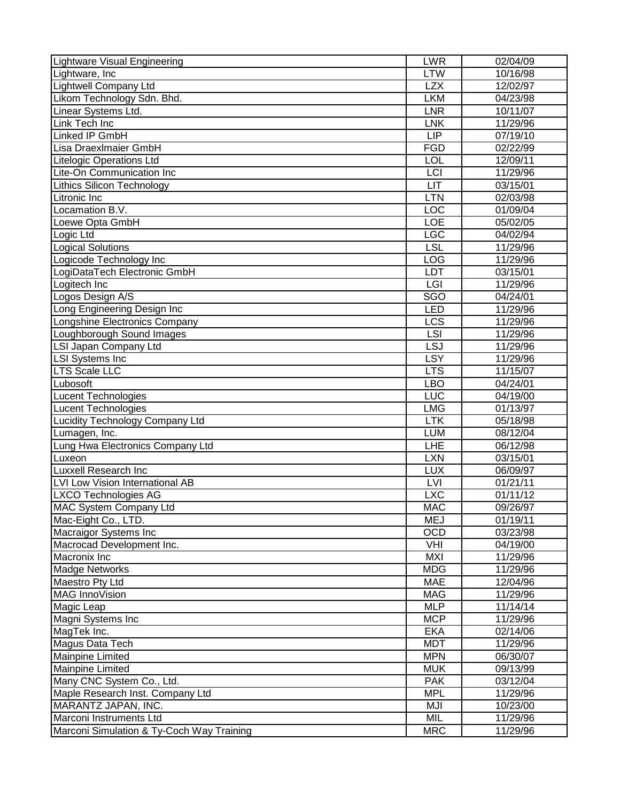| Lightware Visual Engineering              | <b>LWR</b> | 02/04/09              |
|-------------------------------------------|------------|-----------------------|
| Lightware, Inc                            | <b>LTW</b> | 10/16/98              |
| <b>Lightwell Company Ltd</b>              | <b>LZX</b> | 12/02/97              |
| Likom Technology Sdn. Bhd.                | <b>LKM</b> | 04/23/98              |
| Linear Systems Ltd.                       | <b>LNR</b> | 10/11/07              |
| Link Tech Inc                             | <b>LNK</b> | 11/29/96              |
| Linked IP GmbH                            | LIP        | 07/19/10              |
| Lisa DraexImaier GmbH                     | <b>FGD</b> | 02/22/99              |
| <b>Litelogic Operations Ltd</b>           | LOL        | 12/09/11              |
| Lite-On Communication Inc                 | LCI        | 11/29/96              |
| <b>Lithics Silicon Technology</b>         | LIT        | 03/15/01              |
| Litronic Inc                              | <b>LTN</b> | 02/03/98              |
| Locamation B.V.                           | LOC        | 01/09/04              |
| Loewe Opta GmbH                           | LOE        | 05/02/05              |
| Logic Ltd                                 | <b>LGC</b> | 04/02/94              |
| <b>Logical Solutions</b>                  | <b>LSL</b> | 11/29/96              |
| Logicode Technology Inc                   | LOG        | 11/29/96              |
| LogiDataTech Electronic GmbH              | LDT        | 03/15/01              |
| Logitech Inc                              | LGI        | 11/29/96              |
| Logos Design A/S                          | SGO        | 04/24/01              |
| Long Engineering Design Inc               | <b>LED</b> | 11/29/96              |
| Longshine Electronics Company             | <b>LCS</b> | 11/29/96              |
| Loughborough Sound Images                 | LSI        | 11/29/96              |
| LSI Japan Company Ltd                     | <b>LSJ</b> | 11/29/96              |
| <b>LSI Systems Inc</b>                    | LSY        | 11/29/96              |
| <b>LTS Scale LLC</b>                      | <b>LTS</b> | 11/15/07              |
| Lubosoft                                  | <b>LBO</b> | 04/24/01              |
| <b>Lucent Technologies</b>                | LUC        | 04/19/00              |
| <b>Lucent Technologies</b>                | <b>LMG</b> | 01/13/97              |
| Lucidity Technology Company Ltd           | <b>LTK</b> | 05/18/98              |
| Lumagen, Inc.                             | <b>LUM</b> | 08/12/04              |
| Lung Hwa Electronics Company Ltd          | <b>LHE</b> | 06/12/98              |
| Luxeon                                    | <b>LXN</b> | 03/15/01              |
| <b>Luxxell Research Inc</b>               | <b>LUX</b> | 06/09/97              |
| <b>LVI Low Vision International AB</b>    | <b>LVI</b> | 01/21/11              |
| LXCO Technologies AG                      | <b>LXC</b> | 01/11/12              |
| <b>MAC System Company Ltd</b>             | <b>MAC</b> | 09/26/97              |
| Mac-Eight Co., LTD.                       | <b>MEJ</b> | 01/19/11              |
| Macraigor Systems Inc                     | <b>OCD</b> | 03/23/98              |
| Macrocad Development Inc.                 | VHI        | 04/19/00              |
| Macronix Inc                              | <b>MXI</b> | $\frac{1}{1}$ 1/29/96 |
| Madge Networks                            | <b>MDG</b> | 11/29/96              |
| Maestro Pty Ltd                           | MAE        | 12/04/96              |
| <b>MAG InnoVision</b>                     | <b>MAG</b> | 11/29/96              |
| Magic Leap                                | <b>MLP</b> | 11/14/14              |
| Magni Systems Inc                         | <b>MCP</b> | 11/29/96              |
| MagTek Inc.                               | <b>EKA</b> | 02/14/06              |
| Magus Data Tech                           | <b>MDT</b> | 11/29/96              |
| Mainpine Limited                          | <b>MPN</b> | 06/30/07              |
| <b>Mainpine Limited</b>                   | <b>MUK</b> | $\overline{09}/13/99$ |
| Many CNC System Co., Ltd.                 | <b>PAK</b> | 03/12/04              |
| Maple Research Inst. Company Ltd          | <b>MPL</b> | 11/29/96              |
| MARANTZ JAPAN, INC.                       | MJI        | 10/23/00              |
| Marconi Instruments Ltd                   | MIL        | 11/29/96              |
| Marconi Simulation & Ty-Coch Way Training | <b>MRC</b> | 11/29/96              |
|                                           |            |                       |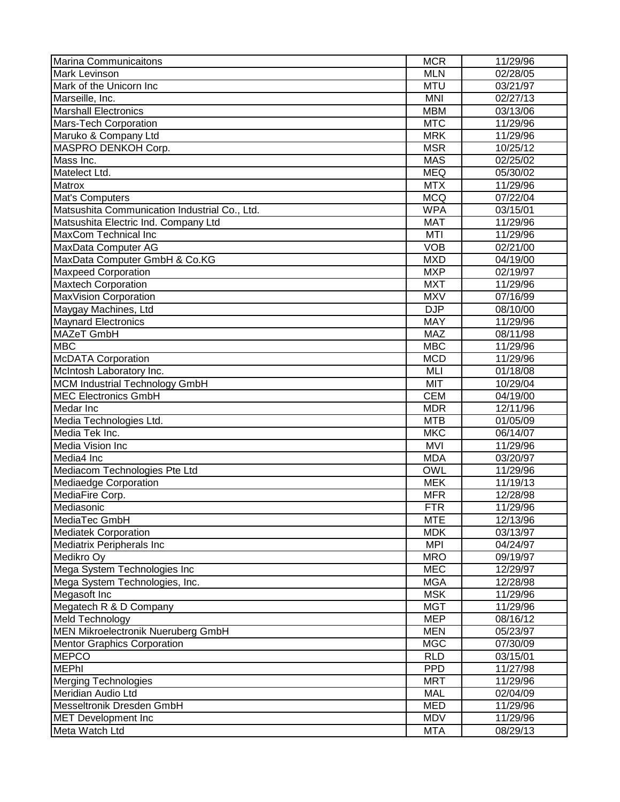| <b>Marina Communicaitons</b>                  | <b>MCR</b> | 11/29/96              |
|-----------------------------------------------|------------|-----------------------|
| Mark Levinson                                 | <b>MLN</b> | 02/28/05              |
| Mark of the Unicorn Inc                       | <b>MTU</b> | 03/21/97              |
| Marseille, Inc.                               | <b>MNI</b> | 02/27/13              |
| <b>Marshall Electronics</b>                   | <b>MBM</b> | 03/13/06              |
| Mars-Tech Corporation                         | <b>MTC</b> | 11/29/96              |
| Maruko & Company Ltd                          | <b>MRK</b> | 11/29/96              |
| MASPRO DENKOH Corp.                           | <b>MSR</b> | 10/25/12              |
| Mass Inc.                                     | <b>MAS</b> | 02/25/02              |
| Matelect Ltd.                                 | <b>MEQ</b> | 05/30/02              |
| Matrox                                        | <b>MTX</b> | 11/29/96              |
| Mat's Computers                               | <b>MCQ</b> | 07/22/04              |
| Matsushita Communication Industrial Co., Ltd. | <b>WPA</b> | $\overline{03/1}5/01$ |
| Matsushita Electric Ind. Company Ltd          | <b>MAT</b> | 11/29/96              |
| MaxCom Technical Inc                          | <b>MTI</b> | 11/29/96              |
| MaxData Computer AG                           | <b>VOB</b> | 02/21/00              |
| MaxData Computer GmbH & Co.KG                 | <b>MXD</b> | 04/19/00              |
| <b>Maxpeed Corporation</b>                    | <b>MXP</b> | 02/19/97              |
| <b>Maxtech Corporation</b>                    | <b>MXT</b> | 11/29/96              |
| <b>MaxVision Corporation</b>                  | <b>MXV</b> | 07/16/99              |
| Maygay Machines, Ltd                          | <b>DJP</b> | 08/10/00              |
| <b>Maynard Electronics</b>                    | <b>MAY</b> | 11/29/96              |
| MAZeT GmbH                                    | <b>MAZ</b> | 08/11/98              |
| <b>MBC</b>                                    | <b>MBC</b> | 11/29/96              |
| <b>McDATA Corporation</b>                     | <b>MCD</b> | 11/29/96              |
| McIntosh Laboratory Inc.                      | <b>MLI</b> | 01/18/08              |
| MCM Industrial Technology GmbH                | <b>MIT</b> | 10/29/04              |
| <b>MEC Electronics GmbH</b>                   | <b>CEM</b> | 04/19/00              |
| Medar Inc                                     | <b>MDR</b> | 12/11/96              |
| Media Technologies Ltd.                       | <b>MTB</b> | 01/05/09              |
| Media Tek Inc.                                | <b>MKC</b> | 06/14/07              |
| Media Vision Inc                              | <b>MVI</b> | 11/29/96              |
| Media4 Inc                                    | <b>MDA</b> | 03/20/97              |
| Mediacom Technologies Pte Ltd                 | <b>OWL</b> | 11/29/96              |
| Mediaedge Corporation                         | <b>MEK</b> | 11/19/13              |
| MediaFire Corp.                               | <b>MFR</b> | 12/28/98              |
| Mediasonic                                    | <b>FTR</b> | 11/29/96              |
| MediaTec GmbH                                 | <b>MTE</b> | 12/13/96              |
| <b>Mediatek Corporation</b>                   | <b>MDK</b> | 03/13/97              |
| Mediatrix Peripherals Inc                     | <b>MPI</b> | 04/24/97              |
| Medikro Oy                                    | <b>MRO</b> | 09/19/97              |
| Mega System Technologies Inc                  | <b>MEC</b> | 12/29/97              |
| Mega System Technologies, Inc.                | <b>MGA</b> | 12/28/98              |
| Megasoft Inc                                  | <b>MSK</b> | 11/29/96              |
| Megatech R & D Company                        | <b>MGT</b> | 11/29/96              |
| Meld Technology                               | <b>MEP</b> | 08/16/12              |
| <b>MEN Mikroelectronik Nueruberg GmbH</b>     | <b>MEN</b> | 05/23/97              |
| <b>Mentor Graphics Corporation</b>            | <b>MGC</b> | 07/30/09              |
| <b>MEPCO</b>                                  | <b>RLD</b> | 03/15/01              |
| <b>MEPhI</b>                                  | <b>PPD</b> | 11/27/98              |
| <b>Merging Technologies</b>                   | <b>MRT</b> | 11/29/96              |
| Meridian Audio Ltd                            | <b>MAL</b> | 02/04/09              |
| Messeltronik Dresden GmbH                     | <b>MED</b> | 11/29/96              |
| <b>MET Development Inc</b>                    | <b>MDV</b> | 11/29/96              |
| Meta Watch Ltd                                | <b>MTA</b> | 08/29/13              |
|                                               |            |                       |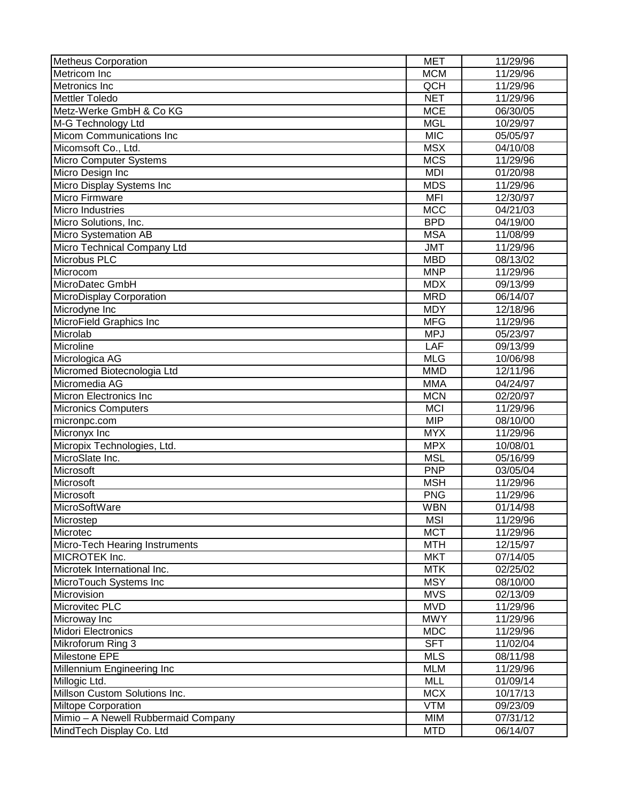| 11/29/96<br>Metricom Inc<br><b>MCM</b><br>QCH<br>Metronics Inc<br>11/29/96<br><b>NET</b><br><b>Mettler Toledo</b><br>11/29/96<br>Metz-Werke GmbH & Co KG<br><b>MCE</b><br>06/30/05<br><b>MGL</b><br>M-G Technology Ltd<br>10/29/97<br><b>Micom Communications Inc</b><br><b>MIC</b><br>05/05/97<br>Micomsoft Co., Ltd.<br><b>MSX</b><br>04/10/08<br><b>MCS</b><br><b>Micro Computer Systems</b><br>11/29/96<br>Micro Design Inc<br><b>MDI</b><br>01/20/98<br>Micro Display Systems Inc<br><b>MDS</b><br>11/29/96<br>Micro Firmware<br><b>MFI</b><br>12/30/97<br><b>Micro Industries</b><br><b>MCC</b><br>04/21/03<br><b>BPD</b><br>Micro Solutions, Inc.<br>04/19/00<br>Micro Systemation AB<br><b>MSA</b><br>11/08/99<br>Micro Technical Company Ltd<br>11/29/96<br><b>JMT</b><br><b>Microbus PLC</b><br><b>MBD</b><br>08/13/02<br>Microcom<br><b>MNP</b><br>11/29/96<br>MicroDatec GmbH<br>09/13/99<br><b>MDX</b><br><b>MRD</b><br>MicroDisplay Corporation<br>06/14/07<br>Microdyne Inc<br>12/18/96<br><b>MDY</b><br><b>MFG</b><br>MicroField Graphics Inc<br>11/29/96<br>Microlab<br><b>MPJ</b><br>05/23/97<br>Microline<br>LAF<br>$\overline{09/1}3/99$<br>Micrologica AG<br><b>MLG</b><br>10/06/98<br>Micromed Biotecnologia Ltd<br><b>MMD</b><br>12/11/96<br>Micromedia AG<br><b>MMA</b><br>04/24/97<br>Micron Electronics Inc<br><b>MCN</b><br>$\overline{0}$ 2/20/97<br><b>MCI</b><br><b>Micronics Computers</b><br>11/29/96<br><b>MIP</b><br>micronpc.com<br>08/10/00<br>Micronyx Inc<br><b>MYX</b><br>11/29/96<br>Micropix Technologies, Ltd.<br><b>MPX</b><br>10/08/01<br>MicroSlate Inc.<br><b>MSL</b><br>05/16/99<br>Microsoft<br><b>PNP</b><br>03/05/04<br>Microsoft<br><b>MSH</b><br>11/29/96<br>Microsoft<br><b>PNG</b><br>11/29/96<br>MicroSoftWare<br><b>WBN</b><br>01/14/98<br>Microstep<br><b>MSI</b><br>11/29/96<br>Microtec<br><b>MCT</b><br>11/29/96<br>Micro-Tech Hearing Instruments<br>12/15/97<br><b>MTH</b><br>07/14/05<br>MICROTEK Inc.<br><b>MKT</b><br>Microtek International Inc.<br>02/25/02<br><b>MTK</b><br><b>MSY</b><br>08/10/00<br>MicroTouch Systems Inc<br><b>MVS</b><br>02/13/09<br>Microvision<br>Microvitec PLC<br><b>MVD</b><br>11/29/96<br>11/29/96<br><b>MWY</b><br>Microway Inc<br><b>MDC</b><br><b>Midori Electronics</b><br>11/29/96<br><b>SFT</b><br>11/02/04<br>Mikroforum Ring 3<br>Milestone EPE<br><b>MLS</b><br>08/11/98<br>Millennium Engineering Inc<br><b>MLM</b><br>11/29/96<br>Millogic Ltd.<br><b>MLL</b><br>01/09/14<br>Millson Custom Solutions Inc.<br><b>MCX</b><br>10/17/13<br><b>VTM</b><br><b>Miltope Corporation</b><br>09/23/09<br>Mimio - A Newell Rubbermaid Company<br><b>MIM</b><br>07/31/12<br>MindTech Display Co. Ltd<br><b>MTD</b><br>06/14/07 | <b>Metheus Corporation</b> | <b>MET</b> | 11/29/96 |
|-------------------------------------------------------------------------------------------------------------------------------------------------------------------------------------------------------------------------------------------------------------------------------------------------------------------------------------------------------------------------------------------------------------------------------------------------------------------------------------------------------------------------------------------------------------------------------------------------------------------------------------------------------------------------------------------------------------------------------------------------------------------------------------------------------------------------------------------------------------------------------------------------------------------------------------------------------------------------------------------------------------------------------------------------------------------------------------------------------------------------------------------------------------------------------------------------------------------------------------------------------------------------------------------------------------------------------------------------------------------------------------------------------------------------------------------------------------------------------------------------------------------------------------------------------------------------------------------------------------------------------------------------------------------------------------------------------------------------------------------------------------------------------------------------------------------------------------------------------------------------------------------------------------------------------------------------------------------------------------------------------------------------------------------------------------------------------------------------------------------------------------------------------------------------------------------------------------------------------------------------------------------------------------------------------------------------------------------------------------------------------------------------------------------------------------------------------------------------------------------------------------------------------------------------------------------------------------------------------------------------------------------------------------------------------------------------------------------------------|----------------------------|------------|----------|
|                                                                                                                                                                                                                                                                                                                                                                                                                                                                                                                                                                                                                                                                                                                                                                                                                                                                                                                                                                                                                                                                                                                                                                                                                                                                                                                                                                                                                                                                                                                                                                                                                                                                                                                                                                                                                                                                                                                                                                                                                                                                                                                                                                                                                                                                                                                                                                                                                                                                                                                                                                                                                                                                                                                               |                            |            |          |
|                                                                                                                                                                                                                                                                                                                                                                                                                                                                                                                                                                                                                                                                                                                                                                                                                                                                                                                                                                                                                                                                                                                                                                                                                                                                                                                                                                                                                                                                                                                                                                                                                                                                                                                                                                                                                                                                                                                                                                                                                                                                                                                                                                                                                                                                                                                                                                                                                                                                                                                                                                                                                                                                                                                               |                            |            |          |
|                                                                                                                                                                                                                                                                                                                                                                                                                                                                                                                                                                                                                                                                                                                                                                                                                                                                                                                                                                                                                                                                                                                                                                                                                                                                                                                                                                                                                                                                                                                                                                                                                                                                                                                                                                                                                                                                                                                                                                                                                                                                                                                                                                                                                                                                                                                                                                                                                                                                                                                                                                                                                                                                                                                               |                            |            |          |
|                                                                                                                                                                                                                                                                                                                                                                                                                                                                                                                                                                                                                                                                                                                                                                                                                                                                                                                                                                                                                                                                                                                                                                                                                                                                                                                                                                                                                                                                                                                                                                                                                                                                                                                                                                                                                                                                                                                                                                                                                                                                                                                                                                                                                                                                                                                                                                                                                                                                                                                                                                                                                                                                                                                               |                            |            |          |
|                                                                                                                                                                                                                                                                                                                                                                                                                                                                                                                                                                                                                                                                                                                                                                                                                                                                                                                                                                                                                                                                                                                                                                                                                                                                                                                                                                                                                                                                                                                                                                                                                                                                                                                                                                                                                                                                                                                                                                                                                                                                                                                                                                                                                                                                                                                                                                                                                                                                                                                                                                                                                                                                                                                               |                            |            |          |
|                                                                                                                                                                                                                                                                                                                                                                                                                                                                                                                                                                                                                                                                                                                                                                                                                                                                                                                                                                                                                                                                                                                                                                                                                                                                                                                                                                                                                                                                                                                                                                                                                                                                                                                                                                                                                                                                                                                                                                                                                                                                                                                                                                                                                                                                                                                                                                                                                                                                                                                                                                                                                                                                                                                               |                            |            |          |
|                                                                                                                                                                                                                                                                                                                                                                                                                                                                                                                                                                                                                                                                                                                                                                                                                                                                                                                                                                                                                                                                                                                                                                                                                                                                                                                                                                                                                                                                                                                                                                                                                                                                                                                                                                                                                                                                                                                                                                                                                                                                                                                                                                                                                                                                                                                                                                                                                                                                                                                                                                                                                                                                                                                               |                            |            |          |
|                                                                                                                                                                                                                                                                                                                                                                                                                                                                                                                                                                                                                                                                                                                                                                                                                                                                                                                                                                                                                                                                                                                                                                                                                                                                                                                                                                                                                                                                                                                                                                                                                                                                                                                                                                                                                                                                                                                                                                                                                                                                                                                                                                                                                                                                                                                                                                                                                                                                                                                                                                                                                                                                                                                               |                            |            |          |
|                                                                                                                                                                                                                                                                                                                                                                                                                                                                                                                                                                                                                                                                                                                                                                                                                                                                                                                                                                                                                                                                                                                                                                                                                                                                                                                                                                                                                                                                                                                                                                                                                                                                                                                                                                                                                                                                                                                                                                                                                                                                                                                                                                                                                                                                                                                                                                                                                                                                                                                                                                                                                                                                                                                               |                            |            |          |
|                                                                                                                                                                                                                                                                                                                                                                                                                                                                                                                                                                                                                                                                                                                                                                                                                                                                                                                                                                                                                                                                                                                                                                                                                                                                                                                                                                                                                                                                                                                                                                                                                                                                                                                                                                                                                                                                                                                                                                                                                                                                                                                                                                                                                                                                                                                                                                                                                                                                                                                                                                                                                                                                                                                               |                            |            |          |
|                                                                                                                                                                                                                                                                                                                                                                                                                                                                                                                                                                                                                                                                                                                                                                                                                                                                                                                                                                                                                                                                                                                                                                                                                                                                                                                                                                                                                                                                                                                                                                                                                                                                                                                                                                                                                                                                                                                                                                                                                                                                                                                                                                                                                                                                                                                                                                                                                                                                                                                                                                                                                                                                                                                               |                            |            |          |
|                                                                                                                                                                                                                                                                                                                                                                                                                                                                                                                                                                                                                                                                                                                                                                                                                                                                                                                                                                                                                                                                                                                                                                                                                                                                                                                                                                                                                                                                                                                                                                                                                                                                                                                                                                                                                                                                                                                                                                                                                                                                                                                                                                                                                                                                                                                                                                                                                                                                                                                                                                                                                                                                                                                               |                            |            |          |
|                                                                                                                                                                                                                                                                                                                                                                                                                                                                                                                                                                                                                                                                                                                                                                                                                                                                                                                                                                                                                                                                                                                                                                                                                                                                                                                                                                                                                                                                                                                                                                                                                                                                                                                                                                                                                                                                                                                                                                                                                                                                                                                                                                                                                                                                                                                                                                                                                                                                                                                                                                                                                                                                                                                               |                            |            |          |
|                                                                                                                                                                                                                                                                                                                                                                                                                                                                                                                                                                                                                                                                                                                                                                                                                                                                                                                                                                                                                                                                                                                                                                                                                                                                                                                                                                                                                                                                                                                                                                                                                                                                                                                                                                                                                                                                                                                                                                                                                                                                                                                                                                                                                                                                                                                                                                                                                                                                                                                                                                                                                                                                                                                               |                            |            |          |
|                                                                                                                                                                                                                                                                                                                                                                                                                                                                                                                                                                                                                                                                                                                                                                                                                                                                                                                                                                                                                                                                                                                                                                                                                                                                                                                                                                                                                                                                                                                                                                                                                                                                                                                                                                                                                                                                                                                                                                                                                                                                                                                                                                                                                                                                                                                                                                                                                                                                                                                                                                                                                                                                                                                               |                            |            |          |
|                                                                                                                                                                                                                                                                                                                                                                                                                                                                                                                                                                                                                                                                                                                                                                                                                                                                                                                                                                                                                                                                                                                                                                                                                                                                                                                                                                                                                                                                                                                                                                                                                                                                                                                                                                                                                                                                                                                                                                                                                                                                                                                                                                                                                                                                                                                                                                                                                                                                                                                                                                                                                                                                                                                               |                            |            |          |
|                                                                                                                                                                                                                                                                                                                                                                                                                                                                                                                                                                                                                                                                                                                                                                                                                                                                                                                                                                                                                                                                                                                                                                                                                                                                                                                                                                                                                                                                                                                                                                                                                                                                                                                                                                                                                                                                                                                                                                                                                                                                                                                                                                                                                                                                                                                                                                                                                                                                                                                                                                                                                                                                                                                               |                            |            |          |
|                                                                                                                                                                                                                                                                                                                                                                                                                                                                                                                                                                                                                                                                                                                                                                                                                                                                                                                                                                                                                                                                                                                                                                                                                                                                                                                                                                                                                                                                                                                                                                                                                                                                                                                                                                                                                                                                                                                                                                                                                                                                                                                                                                                                                                                                                                                                                                                                                                                                                                                                                                                                                                                                                                                               |                            |            |          |
|                                                                                                                                                                                                                                                                                                                                                                                                                                                                                                                                                                                                                                                                                                                                                                                                                                                                                                                                                                                                                                                                                                                                                                                                                                                                                                                                                                                                                                                                                                                                                                                                                                                                                                                                                                                                                                                                                                                                                                                                                                                                                                                                                                                                                                                                                                                                                                                                                                                                                                                                                                                                                                                                                                                               |                            |            |          |
|                                                                                                                                                                                                                                                                                                                                                                                                                                                                                                                                                                                                                                                                                                                                                                                                                                                                                                                                                                                                                                                                                                                                                                                                                                                                                                                                                                                                                                                                                                                                                                                                                                                                                                                                                                                                                                                                                                                                                                                                                                                                                                                                                                                                                                                                                                                                                                                                                                                                                                                                                                                                                                                                                                                               |                            |            |          |
|                                                                                                                                                                                                                                                                                                                                                                                                                                                                                                                                                                                                                                                                                                                                                                                                                                                                                                                                                                                                                                                                                                                                                                                                                                                                                                                                                                                                                                                                                                                                                                                                                                                                                                                                                                                                                                                                                                                                                                                                                                                                                                                                                                                                                                                                                                                                                                                                                                                                                                                                                                                                                                                                                                                               |                            |            |          |
|                                                                                                                                                                                                                                                                                                                                                                                                                                                                                                                                                                                                                                                                                                                                                                                                                                                                                                                                                                                                                                                                                                                                                                                                                                                                                                                                                                                                                                                                                                                                                                                                                                                                                                                                                                                                                                                                                                                                                                                                                                                                                                                                                                                                                                                                                                                                                                                                                                                                                                                                                                                                                                                                                                                               |                            |            |          |
|                                                                                                                                                                                                                                                                                                                                                                                                                                                                                                                                                                                                                                                                                                                                                                                                                                                                                                                                                                                                                                                                                                                                                                                                                                                                                                                                                                                                                                                                                                                                                                                                                                                                                                                                                                                                                                                                                                                                                                                                                                                                                                                                                                                                                                                                                                                                                                                                                                                                                                                                                                                                                                                                                                                               |                            |            |          |
|                                                                                                                                                                                                                                                                                                                                                                                                                                                                                                                                                                                                                                                                                                                                                                                                                                                                                                                                                                                                                                                                                                                                                                                                                                                                                                                                                                                                                                                                                                                                                                                                                                                                                                                                                                                                                                                                                                                                                                                                                                                                                                                                                                                                                                                                                                                                                                                                                                                                                                                                                                                                                                                                                                                               |                            |            |          |
|                                                                                                                                                                                                                                                                                                                                                                                                                                                                                                                                                                                                                                                                                                                                                                                                                                                                                                                                                                                                                                                                                                                                                                                                                                                                                                                                                                                                                                                                                                                                                                                                                                                                                                                                                                                                                                                                                                                                                                                                                                                                                                                                                                                                                                                                                                                                                                                                                                                                                                                                                                                                                                                                                                                               |                            |            |          |
|                                                                                                                                                                                                                                                                                                                                                                                                                                                                                                                                                                                                                                                                                                                                                                                                                                                                                                                                                                                                                                                                                                                                                                                                                                                                                                                                                                                                                                                                                                                                                                                                                                                                                                                                                                                                                                                                                                                                                                                                                                                                                                                                                                                                                                                                                                                                                                                                                                                                                                                                                                                                                                                                                                                               |                            |            |          |
|                                                                                                                                                                                                                                                                                                                                                                                                                                                                                                                                                                                                                                                                                                                                                                                                                                                                                                                                                                                                                                                                                                                                                                                                                                                                                                                                                                                                                                                                                                                                                                                                                                                                                                                                                                                                                                                                                                                                                                                                                                                                                                                                                                                                                                                                                                                                                                                                                                                                                                                                                                                                                                                                                                                               |                            |            |          |
|                                                                                                                                                                                                                                                                                                                                                                                                                                                                                                                                                                                                                                                                                                                                                                                                                                                                                                                                                                                                                                                                                                                                                                                                                                                                                                                                                                                                                                                                                                                                                                                                                                                                                                                                                                                                                                                                                                                                                                                                                                                                                                                                                                                                                                                                                                                                                                                                                                                                                                                                                                                                                                                                                                                               |                            |            |          |
|                                                                                                                                                                                                                                                                                                                                                                                                                                                                                                                                                                                                                                                                                                                                                                                                                                                                                                                                                                                                                                                                                                                                                                                                                                                                                                                                                                                                                                                                                                                                                                                                                                                                                                                                                                                                                                                                                                                                                                                                                                                                                                                                                                                                                                                                                                                                                                                                                                                                                                                                                                                                                                                                                                                               |                            |            |          |
|                                                                                                                                                                                                                                                                                                                                                                                                                                                                                                                                                                                                                                                                                                                                                                                                                                                                                                                                                                                                                                                                                                                                                                                                                                                                                                                                                                                                                                                                                                                                                                                                                                                                                                                                                                                                                                                                                                                                                                                                                                                                                                                                                                                                                                                                                                                                                                                                                                                                                                                                                                                                                                                                                                                               |                            |            |          |
|                                                                                                                                                                                                                                                                                                                                                                                                                                                                                                                                                                                                                                                                                                                                                                                                                                                                                                                                                                                                                                                                                                                                                                                                                                                                                                                                                                                                                                                                                                                                                                                                                                                                                                                                                                                                                                                                                                                                                                                                                                                                                                                                                                                                                                                                                                                                                                                                                                                                                                                                                                                                                                                                                                                               |                            |            |          |
|                                                                                                                                                                                                                                                                                                                                                                                                                                                                                                                                                                                                                                                                                                                                                                                                                                                                                                                                                                                                                                                                                                                                                                                                                                                                                                                                                                                                                                                                                                                                                                                                                                                                                                                                                                                                                                                                                                                                                                                                                                                                                                                                                                                                                                                                                                                                                                                                                                                                                                                                                                                                                                                                                                                               |                            |            |          |
|                                                                                                                                                                                                                                                                                                                                                                                                                                                                                                                                                                                                                                                                                                                                                                                                                                                                                                                                                                                                                                                                                                                                                                                                                                                                                                                                                                                                                                                                                                                                                                                                                                                                                                                                                                                                                                                                                                                                                                                                                                                                                                                                                                                                                                                                                                                                                                                                                                                                                                                                                                                                                                                                                                                               |                            |            |          |
|                                                                                                                                                                                                                                                                                                                                                                                                                                                                                                                                                                                                                                                                                                                                                                                                                                                                                                                                                                                                                                                                                                                                                                                                                                                                                                                                                                                                                                                                                                                                                                                                                                                                                                                                                                                                                                                                                                                                                                                                                                                                                                                                                                                                                                                                                                                                                                                                                                                                                                                                                                                                                                                                                                                               |                            |            |          |
|                                                                                                                                                                                                                                                                                                                                                                                                                                                                                                                                                                                                                                                                                                                                                                                                                                                                                                                                                                                                                                                                                                                                                                                                                                                                                                                                                                                                                                                                                                                                                                                                                                                                                                                                                                                                                                                                                                                                                                                                                                                                                                                                                                                                                                                                                                                                                                                                                                                                                                                                                                                                                                                                                                                               |                            |            |          |
|                                                                                                                                                                                                                                                                                                                                                                                                                                                                                                                                                                                                                                                                                                                                                                                                                                                                                                                                                                                                                                                                                                                                                                                                                                                                                                                                                                                                                                                                                                                                                                                                                                                                                                                                                                                                                                                                                                                                                                                                                                                                                                                                                                                                                                                                                                                                                                                                                                                                                                                                                                                                                                                                                                                               |                            |            |          |
|                                                                                                                                                                                                                                                                                                                                                                                                                                                                                                                                                                                                                                                                                                                                                                                                                                                                                                                                                                                                                                                                                                                                                                                                                                                                                                                                                                                                                                                                                                                                                                                                                                                                                                                                                                                                                                                                                                                                                                                                                                                                                                                                                                                                                                                                                                                                                                                                                                                                                                                                                                                                                                                                                                                               |                            |            |          |
|                                                                                                                                                                                                                                                                                                                                                                                                                                                                                                                                                                                                                                                                                                                                                                                                                                                                                                                                                                                                                                                                                                                                                                                                                                                                                                                                                                                                                                                                                                                                                                                                                                                                                                                                                                                                                                                                                                                                                                                                                                                                                                                                                                                                                                                                                                                                                                                                                                                                                                                                                                                                                                                                                                                               |                            |            |          |
|                                                                                                                                                                                                                                                                                                                                                                                                                                                                                                                                                                                                                                                                                                                                                                                                                                                                                                                                                                                                                                                                                                                                                                                                                                                                                                                                                                                                                                                                                                                                                                                                                                                                                                                                                                                                                                                                                                                                                                                                                                                                                                                                                                                                                                                                                                                                                                                                                                                                                                                                                                                                                                                                                                                               |                            |            |          |
|                                                                                                                                                                                                                                                                                                                                                                                                                                                                                                                                                                                                                                                                                                                                                                                                                                                                                                                                                                                                                                                                                                                                                                                                                                                                                                                                                                                                                                                                                                                                                                                                                                                                                                                                                                                                                                                                                                                                                                                                                                                                                                                                                                                                                                                                                                                                                                                                                                                                                                                                                                                                                                                                                                                               |                            |            |          |
|                                                                                                                                                                                                                                                                                                                                                                                                                                                                                                                                                                                                                                                                                                                                                                                                                                                                                                                                                                                                                                                                                                                                                                                                                                                                                                                                                                                                                                                                                                                                                                                                                                                                                                                                                                                                                                                                                                                                                                                                                                                                                                                                                                                                                                                                                                                                                                                                                                                                                                                                                                                                                                                                                                                               |                            |            |          |
|                                                                                                                                                                                                                                                                                                                                                                                                                                                                                                                                                                                                                                                                                                                                                                                                                                                                                                                                                                                                                                                                                                                                                                                                                                                                                                                                                                                                                                                                                                                                                                                                                                                                                                                                                                                                                                                                                                                                                                                                                                                                                                                                                                                                                                                                                                                                                                                                                                                                                                                                                                                                                                                                                                                               |                            |            |          |
|                                                                                                                                                                                                                                                                                                                                                                                                                                                                                                                                                                                                                                                                                                                                                                                                                                                                                                                                                                                                                                                                                                                                                                                                                                                                                                                                                                                                                                                                                                                                                                                                                                                                                                                                                                                                                                                                                                                                                                                                                                                                                                                                                                                                                                                                                                                                                                                                                                                                                                                                                                                                                                                                                                                               |                            |            |          |
|                                                                                                                                                                                                                                                                                                                                                                                                                                                                                                                                                                                                                                                                                                                                                                                                                                                                                                                                                                                                                                                                                                                                                                                                                                                                                                                                                                                                                                                                                                                                                                                                                                                                                                                                                                                                                                                                                                                                                                                                                                                                                                                                                                                                                                                                                                                                                                                                                                                                                                                                                                                                                                                                                                                               |                            |            |          |
|                                                                                                                                                                                                                                                                                                                                                                                                                                                                                                                                                                                                                                                                                                                                                                                                                                                                                                                                                                                                                                                                                                                                                                                                                                                                                                                                                                                                                                                                                                                                                                                                                                                                                                                                                                                                                                                                                                                                                                                                                                                                                                                                                                                                                                                                                                                                                                                                                                                                                                                                                                                                                                                                                                                               |                            |            |          |
|                                                                                                                                                                                                                                                                                                                                                                                                                                                                                                                                                                                                                                                                                                                                                                                                                                                                                                                                                                                                                                                                                                                                                                                                                                                                                                                                                                                                                                                                                                                                                                                                                                                                                                                                                                                                                                                                                                                                                                                                                                                                                                                                                                                                                                                                                                                                                                                                                                                                                                                                                                                                                                                                                                                               |                            |            |          |
|                                                                                                                                                                                                                                                                                                                                                                                                                                                                                                                                                                                                                                                                                                                                                                                                                                                                                                                                                                                                                                                                                                                                                                                                                                                                                                                                                                                                                                                                                                                                                                                                                                                                                                                                                                                                                                                                                                                                                                                                                                                                                                                                                                                                                                                                                                                                                                                                                                                                                                                                                                                                                                                                                                                               |                            |            |          |
|                                                                                                                                                                                                                                                                                                                                                                                                                                                                                                                                                                                                                                                                                                                                                                                                                                                                                                                                                                                                                                                                                                                                                                                                                                                                                                                                                                                                                                                                                                                                                                                                                                                                                                                                                                                                                                                                                                                                                                                                                                                                                                                                                                                                                                                                                                                                                                                                                                                                                                                                                                                                                                                                                                                               |                            |            |          |
|                                                                                                                                                                                                                                                                                                                                                                                                                                                                                                                                                                                                                                                                                                                                                                                                                                                                                                                                                                                                                                                                                                                                                                                                                                                                                                                                                                                                                                                                                                                                                                                                                                                                                                                                                                                                                                                                                                                                                                                                                                                                                                                                                                                                                                                                                                                                                                                                                                                                                                                                                                                                                                                                                                                               |                            |            |          |
|                                                                                                                                                                                                                                                                                                                                                                                                                                                                                                                                                                                                                                                                                                                                                                                                                                                                                                                                                                                                                                                                                                                                                                                                                                                                                                                                                                                                                                                                                                                                                                                                                                                                                                                                                                                                                                                                                                                                                                                                                                                                                                                                                                                                                                                                                                                                                                                                                                                                                                                                                                                                                                                                                                                               |                            |            |          |
|                                                                                                                                                                                                                                                                                                                                                                                                                                                                                                                                                                                                                                                                                                                                                                                                                                                                                                                                                                                                                                                                                                                                                                                                                                                                                                                                                                                                                                                                                                                                                                                                                                                                                                                                                                                                                                                                                                                                                                                                                                                                                                                                                                                                                                                                                                                                                                                                                                                                                                                                                                                                                                                                                                                               |                            |            |          |
|                                                                                                                                                                                                                                                                                                                                                                                                                                                                                                                                                                                                                                                                                                                                                                                                                                                                                                                                                                                                                                                                                                                                                                                                                                                                                                                                                                                                                                                                                                                                                                                                                                                                                                                                                                                                                                                                                                                                                                                                                                                                                                                                                                                                                                                                                                                                                                                                                                                                                                                                                                                                                                                                                                                               |                            |            |          |
|                                                                                                                                                                                                                                                                                                                                                                                                                                                                                                                                                                                                                                                                                                                                                                                                                                                                                                                                                                                                                                                                                                                                                                                                                                                                                                                                                                                                                                                                                                                                                                                                                                                                                                                                                                                                                                                                                                                                                                                                                                                                                                                                                                                                                                                                                                                                                                                                                                                                                                                                                                                                                                                                                                                               |                            |            |          |
|                                                                                                                                                                                                                                                                                                                                                                                                                                                                                                                                                                                                                                                                                                                                                                                                                                                                                                                                                                                                                                                                                                                                                                                                                                                                                                                                                                                                                                                                                                                                                                                                                                                                                                                                                                                                                                                                                                                                                                                                                                                                                                                                                                                                                                                                                                                                                                                                                                                                                                                                                                                                                                                                                                                               |                            |            |          |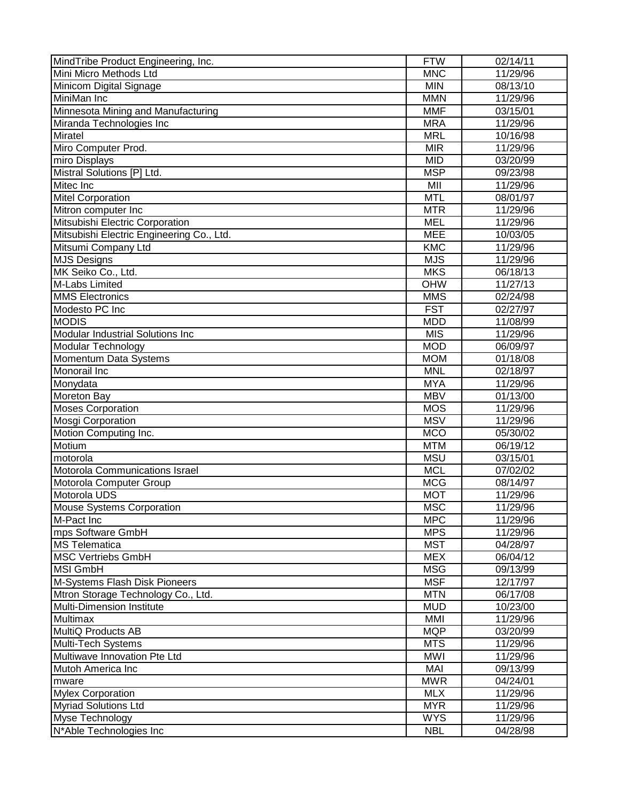| MindTribe Product Engineering, Inc.       | <b>FTW</b> | 02/14/11 |
|-------------------------------------------|------------|----------|
| Mini Micro Methods Ltd                    | <b>MNC</b> | 11/29/96 |
| Minicom Digital Signage                   | <b>MIN</b> | 08/13/10 |
| MiniMan Inc                               | <b>MMN</b> | 11/29/96 |
| Minnesota Mining and Manufacturing        | <b>MMF</b> | 03/15/01 |
| Miranda Technologies Inc                  | <b>MRA</b> | 11/29/96 |
| Miratel                                   | <b>MRL</b> | 10/16/98 |
| Miro Computer Prod.                       | <b>MIR</b> | 11/29/96 |
| miro Displays                             | <b>MID</b> | 03/20/99 |
| Mistral Solutions [P] Ltd.                | <b>MSP</b> | 09/23/98 |
| Mitec Inc                                 | MII        | 11/29/96 |
| <b>Mitel Corporation</b>                  | <b>MTL</b> | 08/01/97 |
| Mitron computer Inc                       | <b>MTR</b> | 11/29/96 |
| Mitsubishi Electric Corporation           | <b>MEL</b> | 11/29/96 |
| Mitsubishi Electric Engineering Co., Ltd. | <b>MEE</b> | 10/03/05 |
| Mitsumi Company Ltd                       | <b>KMC</b> | 11/29/96 |
| <b>MJS Designs</b>                        | <b>MJS</b> | 11/29/96 |
| MK Seiko Co., Ltd.                        | <b>MKS</b> | 06/18/13 |
| M-Labs Limited                            | OHW        | 11/27/13 |
| <b>MMS Electronics</b>                    | <b>MMS</b> | 02/24/98 |
| Modesto PC Inc                            | <b>FST</b> | 02/27/97 |
| <b>MODIS</b>                              | <b>MDD</b> | 11/08/99 |
| <b>Modular Industrial Solutions Inc</b>   | <b>MIS</b> | 11/29/96 |
| Modular Technology                        | <b>MOD</b> | 06/09/97 |
| Momentum Data Systems                     | <b>MOM</b> | 01/18/08 |
| Monorail Inc                              | <b>MNL</b> | 02/18/97 |
| Monydata                                  | <b>MYA</b> | 11/29/96 |
| Moreton Bay                               | <b>MBV</b> | 01/13/00 |
| Moses Corporation                         | <b>MOS</b> | 11/29/96 |
| Mosgi Corporation                         | <b>MSV</b> | 11/29/96 |
| Motion Computing Inc.                     | <b>MCO</b> | 05/30/02 |
| Motium                                    | <b>MTM</b> | 06/19/12 |
| motorola                                  | <b>MSU</b> | 03/15/01 |
| Motorola Communications Israel            | <b>MCL</b> | 07/02/02 |
| Motorola Computer Group                   | <b>MCG</b> | 08/14/97 |
| Motorola UDS                              | <b>MOT</b> | 11/29/96 |
| <b>Mouse Systems Corporation</b>          | <b>MSC</b> | 11/29/96 |
| M-Pact Inc                                | <b>MPC</b> | 11/29/96 |
| mps Software GmbH                         | <b>MPS</b> | 11/29/96 |
| <b>MS Telematica</b>                      | <b>MST</b> | 04/28/97 |
| <b>MSC Vertriebs GmbH</b>                 | <b>MEX</b> | 06/04/12 |
| <b>MSI GmbH</b>                           | <b>MSG</b> | 09/13/99 |
| M-Systems Flash Disk Pioneers             | <b>MSF</b> | 12/17/97 |
| Mtron Storage Technology Co., Ltd.        | <b>MTN</b> | 06/17/08 |
| <b>Multi-Dimension Institute</b>          | <b>MUD</b> | 10/23/00 |
| Multimax                                  | <b>MMI</b> | 11/29/96 |
| MultiQ Products AB                        | <b>MQP</b> | 03/20/99 |
| Multi-Tech Systems                        | <b>MTS</b> | 11/29/96 |
| Multiwave Innovation Pte Ltd              | <b>MWI</b> | 11/29/96 |
| Mutoh America Inc                         | <b>MAI</b> | 09/13/99 |
| mware                                     | <b>MWR</b> | 04/24/01 |
| Mylex Corporation                         | <b>MLX</b> | 11/29/96 |
| <b>Myriad Solutions Ltd</b>               | <b>MYR</b> | 11/29/96 |
| Myse Technology                           | <b>WYS</b> | 11/29/96 |
| N*Able Technologies Inc                   | <b>NBL</b> | 04/28/98 |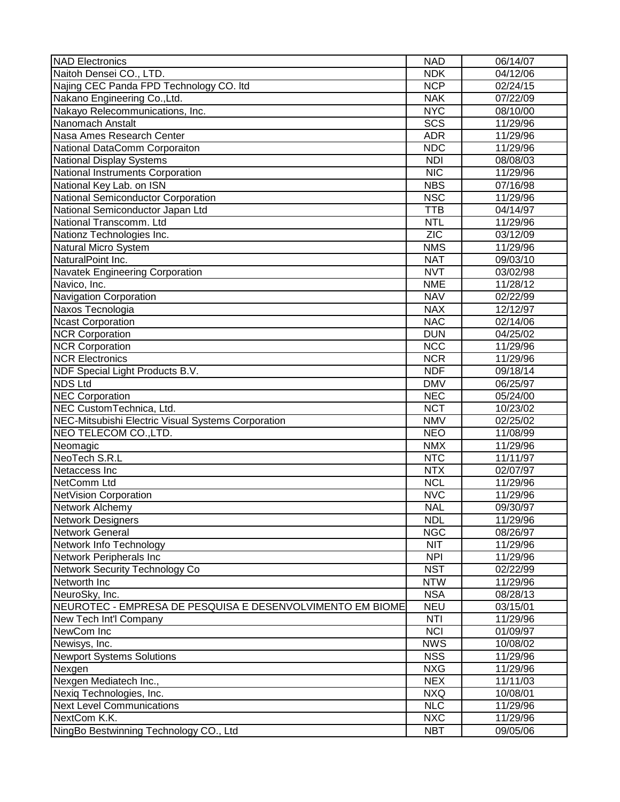| <b>NAD Electronics</b>                                    | <b>NAD</b> | 06/14/07 |
|-----------------------------------------------------------|------------|----------|
| Naitoh Densei CO., LTD.                                   | <b>NDK</b> | 04/12/06 |
| Najing CEC Panda FPD Technology CO. Itd                   | <b>NCP</b> | 02/24/15 |
| Nakano Engineering Co., Ltd.                              | <b>NAK</b> | 07/22/09 |
| Nakayo Relecommunications, Inc.                           | <b>NYC</b> | 08/10/00 |
| Nanomach Anstalt                                          | <b>SCS</b> | 11/29/96 |
| Nasa Ames Research Center                                 | <b>ADR</b> | 11/29/96 |
| National DataComm Corporaiton                             | <b>NDC</b> | 11/29/96 |
| <b>National Display Systems</b>                           | <b>NDI</b> | 08/08/03 |
| <b>National Instruments Corporation</b>                   | <b>NIC</b> | 11/29/96 |
| National Key Lab. on ISN                                  | <b>NBS</b> | 07/16/98 |
| National Semiconductor Corporation                        | <b>NSC</b> | 11/29/96 |
| National Semiconductor Japan Ltd                          | <b>TTB</b> | 04/14/97 |
| National Transcomm. Ltd                                   | <b>NTL</b> | 11/29/96 |
| Nationz Technologies Inc.                                 | ZIC        | 03/12/09 |
| Natural Micro System                                      | <b>NMS</b> | 11/29/96 |
| NaturalPoint Inc.                                         | <b>NAT</b> | 09/03/10 |
| <b>Navatek Engineering Corporation</b>                    | <b>NVT</b> | 03/02/98 |
| Navico, Inc.                                              | <b>NME</b> | 11/28/12 |
| Navigation Corporation                                    | <b>NAV</b> | 02/22/99 |
| Naxos Tecnologia                                          | <b>NAX</b> | 12/12/97 |
| <b>Ncast Corporation</b>                                  | <b>NAC</b> | 02/14/06 |
| <b>NCR Corporation</b>                                    | <b>DUN</b> | 04/25/02 |
| <b>NCR Corporation</b>                                    | <b>NCC</b> | 11/29/96 |
| <b>NCR Electronics</b>                                    | <b>NCR</b> | 11/29/96 |
| NDF Special Light Products B.V.                           | <b>NDF</b> | 09/18/14 |
| <b>NDS Ltd</b>                                            | <b>DMV</b> | 06/25/97 |
| <b>NEC Corporation</b>                                    | <b>NEC</b> | 05/24/00 |
| NEC Custom Technica, Ltd.                                 | <b>NCT</b> | 10/23/02 |
| NEC-Mitsubishi Electric Visual Systems Corporation        | <b>NMV</b> | 02/25/02 |
| NEO TELECOM CO., LTD.                                     | <b>NEO</b> | 11/08/99 |
| Neomagic                                                  | <b>NMX</b> | 11/29/96 |
| NeoTech S.R.L                                             | <b>NTC</b> | 11/11/97 |
| Netaccess Inc                                             | <b>NTX</b> | 02/07/97 |
| NetComm Ltd                                               | <b>NCL</b> | 11/29/96 |
| <b>NetVision Corporation</b>                              | <b>NVC</b> | 11/29/96 |
| Network Alchemy                                           | <b>NAL</b> | 09/30/97 |
| <b>Network Designers</b>                                  | <b>NDL</b> | 11/29/96 |
| Network General                                           | <b>NGC</b> | 08/26/97 |
| Network Info Technology                                   | <b>NIT</b> | 11/29/96 |
| Network Peripherals Inc                                   | <b>NPI</b> | 11/29/96 |
| <b>Network Security Technology Co</b>                     | <b>NST</b> | 02/22/99 |
| Networth Inc                                              | <b>NTW</b> | 11/29/96 |
| NeuroSky, Inc.                                            | <b>NSA</b> | 08/28/13 |
| NEUROTEC - EMPRESA DE PESQUISA E DESENVOLVIMENTO EM BIOME | <b>NEU</b> | 03/15/01 |
| New Tech Int'l Company                                    | <b>NTI</b> | 11/29/96 |
| NewCom Inc                                                | <b>NCI</b> | 01/09/97 |
| Newisys, Inc.                                             | <b>NWS</b> | 10/08/02 |
| <b>Newport Systems Solutions</b>                          | <b>NSS</b> | 11/29/96 |
| Nexgen                                                    | <b>NXG</b> | 11/29/96 |
| Nexgen Mediatech Inc.,                                    | <b>NEX</b> | 11/11/03 |
| Nexiq Technologies, Inc.                                  | <b>NXQ</b> | 10/08/01 |
| <b>Next Level Communications</b>                          | <b>NLC</b> | 11/29/96 |
| NextCom K.K.                                              | <b>NXC</b> | 11/29/96 |
| NingBo Bestwinning Technology CO., Ltd                    | <b>NBT</b> | 09/05/06 |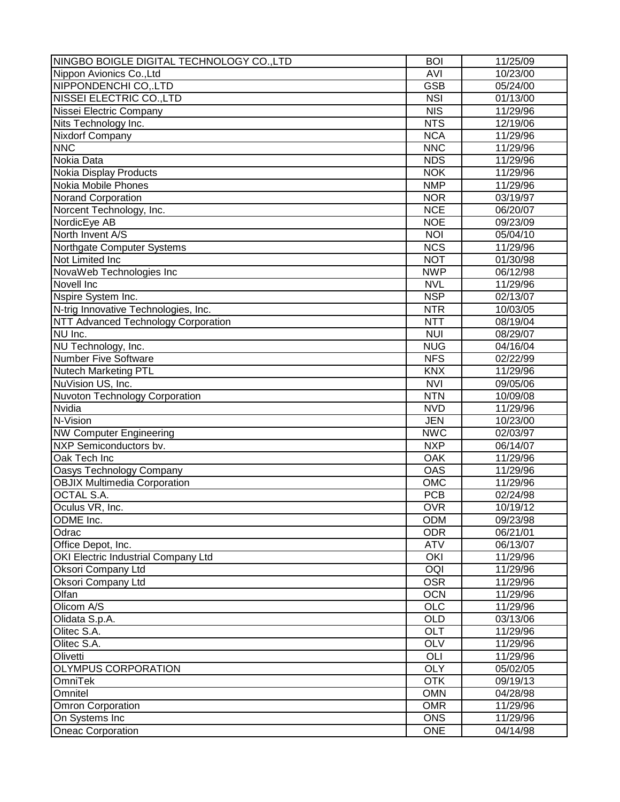| NINGBO BOIGLE DIGITAL TECHNOLOGY CO.,LTD   | <b>BOI</b> | 11/25/09 |
|--------------------------------------------|------------|----------|
| Nippon Avionics Co., Ltd                   | <b>AVI</b> | 10/23/00 |
| NIPPONDENCHI CO, LTD                       | <b>GSB</b> | 05/24/00 |
| NISSEI ELECTRIC CO., LTD                   | <b>NSI</b> | 01/13/00 |
| Nissei Electric Company                    | <b>NIS</b> | 11/29/96 |
| Nits Technology Inc.                       | <b>NTS</b> | 12/19/06 |
| <b>Nixdorf Company</b>                     | <b>NCA</b> | 11/29/96 |
| <b>NNC</b>                                 | <b>NNC</b> | 11/29/96 |
| Nokia Data                                 | <b>NDS</b> | 11/29/96 |
| Nokia Display Products                     | <b>NOK</b> | 11/29/96 |
| Nokia Mobile Phones                        | <b>NMP</b> | 11/29/96 |
| <b>Norand Corporation</b>                  | <b>NOR</b> | 03/19/97 |
| Norcent Technology, Inc.                   | <b>NCE</b> | 06/20/07 |
| NordicEye AB                               | <b>NOE</b> | 09/23/09 |
| North Invent A/S                           | <b>NOI</b> | 05/04/10 |
| Northgate Computer Systems                 | <b>NCS</b> | 11/29/96 |
| Not Limited Inc                            | <b>NOT</b> | 01/30/98 |
| NovaWeb Technologies Inc                   | <b>NWP</b> | 06/12/98 |
| Novell Inc                                 | <b>NVL</b> | 11/29/96 |
| Nspire System Inc.                         | <b>NSP</b> | 02/13/07 |
| N-trig Innovative Technologies, Inc.       | <b>NTR</b> | 10/03/05 |
| <b>NTT Advanced Technology Corporation</b> | <b>NTT</b> | 08/19/04 |
| NU Inc.                                    | <b>NUI</b> | 08/29/07 |
| NU Technology, Inc.                        | <b>NUG</b> | 04/16/04 |
| <b>Number Five Software</b>                | <b>NFS</b> | 02/22/99 |
| <b>Nutech Marketing PTL</b>                | <b>KNX</b> | 11/29/96 |
| NuVision US, Inc.                          | <b>NVI</b> | 09/05/06 |
| Nuvoton Technology Corporation             | <b>NTN</b> | 10/09/08 |
| Nvidia                                     | <b>NVD</b> | 11/29/96 |
| $N-V$ ision                                | <b>JEN</b> | 10/23/00 |
| <b>NW Computer Engineering</b>             | <b>NWC</b> | 02/03/97 |
| NXP Semiconductors bv.                     | <b>NXP</b> | 06/14/07 |
| Oak Tech Inc                               | OAK        | 11/29/96 |
| Oasys Technology Company                   | <b>OAS</b> | 11/29/96 |
| <b>OBJIX Multimedia Corporation</b>        | OMC        | 11/29/96 |
| OCTAL S.A.                                 | <b>PCB</b> | 02/24/98 |
| Oculus VR, Inc.                            | <b>OVR</b> | 10/19/12 |
| ODME Inc.                                  | <b>ODM</b> | 09/23/98 |
| Odrac                                      | <b>ODR</b> | 06/21/01 |
| Office Depot, Inc.                         | <b>ATV</b> | 06/13/07 |
| OKI Electric Industrial Company Ltd        | OKI        | 11/29/96 |
| Oksori Company Ltd                         | <b>OQI</b> | 11/29/96 |
| <b>Oksori Company Ltd</b>                  | <b>OSR</b> | 11/29/96 |
| Olfan                                      | <b>OCN</b> | 11/29/96 |
| Olicom A/S                                 | <b>OLC</b> | 11/29/96 |
| Olidata S.p.A.                             | <b>OLD</b> | 03/13/06 |
| Olitec S.A.                                | OLT        | 11/29/96 |
| Olitec S.A.                                | <b>OLV</b> | 11/29/96 |
| Olivetti                                   | OLI        | 11/29/96 |
| <b>OLYMPUS CORPORATION</b>                 | <b>OLY</b> | 05/02/05 |
| OmniTek                                    | <b>OTK</b> | 09/19/13 |
| Omnitel                                    | <b>OMN</b> | 04/28/98 |
| <b>Omron Corporation</b>                   | <b>OMR</b> | 11/29/96 |
| On Systems Inc                             | <b>ONS</b> | 11/29/96 |
| Oneac Corporation                          | <b>ONE</b> | 04/14/98 |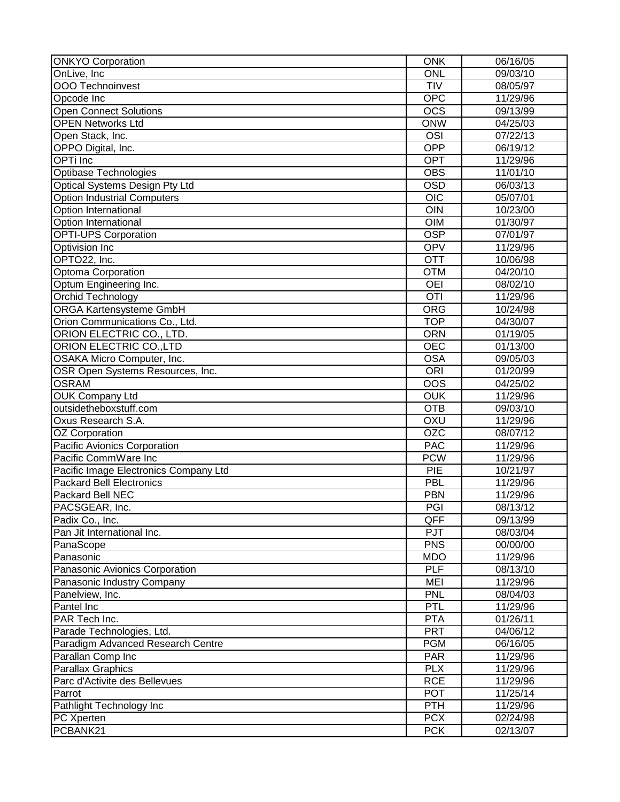| <b>ONKYO Corporation</b>              | <b>ONK</b>       | 06/16/05 |
|---------------------------------------|------------------|----------|
| OnLive, Inc                           | <b>ONL</b>       | 09/03/10 |
| <b>OOO Technoinvest</b>               | <b>TIV</b>       | 08/05/97 |
| Opcode Inc                            | <b>OPC</b>       | 11/29/96 |
| <b>Open Connect Solutions</b>         | <b>OCS</b>       | 09/13/99 |
| <b>OPEN Networks Ltd</b>              | <b>ONW</b>       | 04/25/03 |
| Open Stack, Inc.                      | OSI              | 07/22/13 |
| OPPO Digital, Inc.                    | <b>OPP</b>       | 06/19/12 |
| OPTi Inc                              | OPT              | 11/29/96 |
| Optibase Technologies                 | <b>OBS</b>       | 11/01/10 |
| Optical Systems Design Pty Ltd        | <b>OSD</b>       | 06/03/13 |
| <b>Option Industrial Computers</b>    | <b>OIC</b>       | 05/07/01 |
| Option International                  | OIN              | 10/23/00 |
| Option International                  | <b>OIM</b>       | 01/30/97 |
| <b>OPTI-UPS Corporation</b>           | <b>OSP</b>       | 07/01/97 |
| Optivision Inc                        | <b>OPV</b>       | 11/29/96 |
| OPTO22, Inc.                          | <b>OTT</b>       | 10/06/98 |
| Optoma Corporation                    | <b>OTM</b>       | 04/20/10 |
| Optum Engineering Inc.                | <b>OEI</b>       | 08/02/10 |
| Orchid Technology                     | $\overline{OTI}$ | 11/29/96 |
| ORGA Kartensysteme GmbH               | <b>ORG</b>       | 10/24/98 |
| Orion Communications Co., Ltd.        | <b>TOP</b>       | 04/30/07 |
| ORION ELECTRIC CO., LTD.              | <b>ORN</b>       | 01/19/05 |
| ORION ELECTRIC CO., LTD               | OEC              | 01/13/00 |
| OSAKA Micro Computer, Inc.            | <b>OSA</b>       | 09/05/03 |
| OSR Open Systems Resources, Inc.      | ORI              | 01/20/99 |
| <b>OSRAM</b>                          | OOS              | 04/25/02 |
| <b>OUK Company Ltd</b>                | <b>OUK</b>       | 11/29/96 |
| outsidetheboxstuff.com                | <b>OTB</b>       | 09/03/10 |
| Oxus Research S.A.                    | OXU              | 11/29/96 |
| OZ Corporation                        | <b>OZC</b>       | 08/07/12 |
| Pacific Avionics Corporation          | PAC              | 11/29/96 |
| Pacific CommWare Inc                  | <b>PCW</b>       | 11/29/96 |
| Pacific Image Electronics Company Ltd | PIE              | 10/21/97 |
| <b>Packard Bell Electronics</b>       | <b>PBL</b>       | 11/29/96 |
| Packard Bell NEC                      | <b>PBN</b>       | 11/29/96 |
| PACSGEAR, Inc.                        | PGI              | 08/13/12 |
| Padix Co., Inc.                       | QFF              | 09/13/99 |
| Pan Jit International Inc.            | PJT              | 08/03/04 |
| PanaScope                             | <b>PNS</b>       | 00/00/00 |
| Panasonic                             | <b>MDO</b>       | 11/29/96 |
| Panasonic Avionics Corporation        | <b>PLF</b>       | 08/13/10 |
| Panasonic Industry Company            | MEI              | 11/29/96 |
| Panelview, Inc.                       | <b>PNL</b>       | 08/04/03 |
| Pantel Inc                            | PTL              | 11/29/96 |
| PAR Tech Inc.                         | <b>PTA</b>       | 01/26/11 |
| Parade Technologies, Ltd.             | <b>PRT</b>       | 04/06/12 |
| Paradigm Advanced Research Centre     | <b>PGM</b>       | 06/16/05 |
| Parallan Comp Inc                     | <b>PAR</b>       | 11/29/96 |
| <b>Parallax Graphics</b>              | <b>PLX</b>       | 11/29/96 |
| Parc d'Activite des Bellevues         | <b>RCE</b>       | 11/29/96 |
| Parrot                                | POT              | 11/25/14 |
| Pathlight Technology Inc              | <b>PTH</b>       | 11/29/96 |
| PC Xperten                            | <b>PCX</b>       | 02/24/98 |
| PCBANK21                              | <b>PCK</b>       | 02/13/07 |
|                                       |                  |          |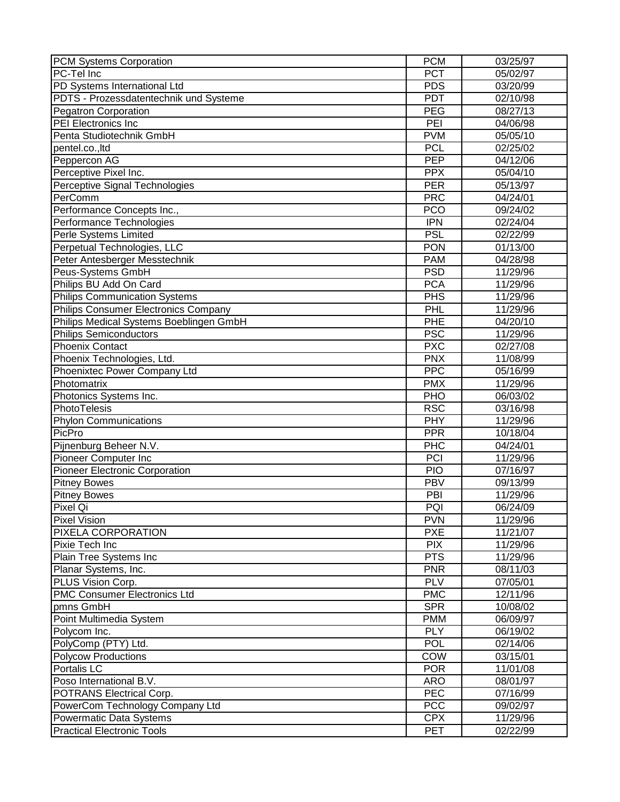| <b>PCM Systems Corporation</b>              | <b>PCM</b> | 03/25/97             |
|---------------------------------------------|------------|----------------------|
| PC-Tel Inc                                  | <b>PCT</b> | 05/02/97             |
| PD Systems International Ltd                | <b>PDS</b> | 03/20/99             |
| PDTS - Prozessdatentechnik und Systeme      | <b>PDT</b> | 02/10/98             |
| <b>Pegatron Corporation</b>                 | <b>PEG</b> | 08/27/13             |
| PEI Electronics Inc                         | PEI        | 04/06/98             |
| Penta Studiotechnik GmbH                    | <b>PVM</b> | 05/05/10             |
| pentel.co., ltd                             | <b>PCL</b> | 02/25/02             |
| Peppercon AG                                | <b>PEP</b> | 04/12/06             |
| Perceptive Pixel Inc.                       | <b>PPX</b> | 05/04/10             |
| Perceptive Signal Technologies              | <b>PER</b> | 05/13/97             |
| PerComm                                     | <b>PRC</b> | 04/24/01             |
| Performance Concepts Inc.,                  | <b>PCO</b> | 09/24/02             |
| Performance Technologies                    | <b>IPN</b> | 02/24/04             |
| Perle Systems Limited                       | <b>PSL</b> | 02/22/99             |
| Perpetual Technologies, LLC                 | <b>PON</b> | 01/13/00             |
| Peter Antesberger Messtechnik               | <b>PAM</b> | 04/28/98             |
| Peus-Systems GmbH                           | <b>PSD</b> | 11/29/96             |
| Philips BU Add On Card                      | <b>PCA</b> | 11/29/96             |
| <b>Philips Communication Systems</b>        | PHS        | 11/29/96             |
| Philips Consumer Electronics Company        | PHL        | 11/29/96             |
| Philips Medical Systems Boeblingen GmbH     | PHE        | 04/20/10             |
| <b>Philips Semiconductors</b>               | <b>PSC</b> | 11/29/96             |
| <b>Phoenix Contact</b>                      | PXC        | 02/27/08             |
| Phoenix Technologies, Ltd.                  | <b>PNX</b> | 11/08/99             |
| Phoenixtec Power Company Ltd                | PPC        | 05/16/99             |
| Photomatrix                                 | <b>PMX</b> | 11/29/96             |
| Photonics Systems Inc.                      | PHO        | 06/03/02             |
| PhotoTelesis                                | <b>RSC</b> | 03/16/98             |
| <b>Phylon Communications</b>                | <b>PHY</b> | 11/29/96             |
| PicPro                                      | <b>PPR</b> | 10/18/04             |
| Pijnenburg Beheer N.V.                      | <b>PHC</b> | 04/24/01             |
| Pioneer Computer Inc                        | PCI        | 11/29/96             |
| Pioneer Electronic Corporation              | <b>PIO</b> | 07/16/97             |
| <b>Pitney Bowes</b>                         | <b>PBV</b> | 09/13/99             |
|                                             | PBI        | 11/29/96             |
| <b>Pitney Bowes</b>                         | PQI        | 06/24/09             |
| Pixel Qi<br><b>Pixel Vision</b>             | <b>PVN</b> | 11/29/96             |
|                                             | <b>PXE</b> | 11/21/07             |
| <b>PIXELA CORPORATION</b><br>Pixie Tech Inc | <b>PIX</b> |                      |
| Plain Tree Systems Inc                      | PTS        | 11/29/96<br>11/29/96 |
| Planar Systems, Inc.                        |            |                      |
|                                             | <b>PNR</b> | 08/11/03             |
| PLUS Vision Corp.                           | <b>PLV</b> | 07/05/01             |
| <b>PMC Consumer Electronics Ltd</b>         | <b>PMC</b> | 12/11/96             |
| pmns GmbH                                   | <b>SPR</b> | 10/08/02             |
| Point Multimedia System                     | <b>PMM</b> | 06/09/97             |
| Polycom Inc.                                | <b>PLY</b> | 06/19/02             |
| PolyComp (PTY) Ltd.                         | POL        | 02/14/06             |
| <b>Polycow Productions</b>                  | COW        | 03/15/01             |
| Portalis LC                                 | <b>POR</b> | 11/01/08             |
| Poso International B.V.                     | <b>ARO</b> | 08/01/97             |
| POTRANS Electrical Corp.                    | <b>PEC</b> | 07/16/99             |
| PowerCom Technology Company Ltd             | <b>PCC</b> | 09/02/97             |
| Powermatic Data Systems                     | <b>CPX</b> | 11/29/96             |
| <b>Practical Electronic Tools</b>           | PET        | 02/22/99             |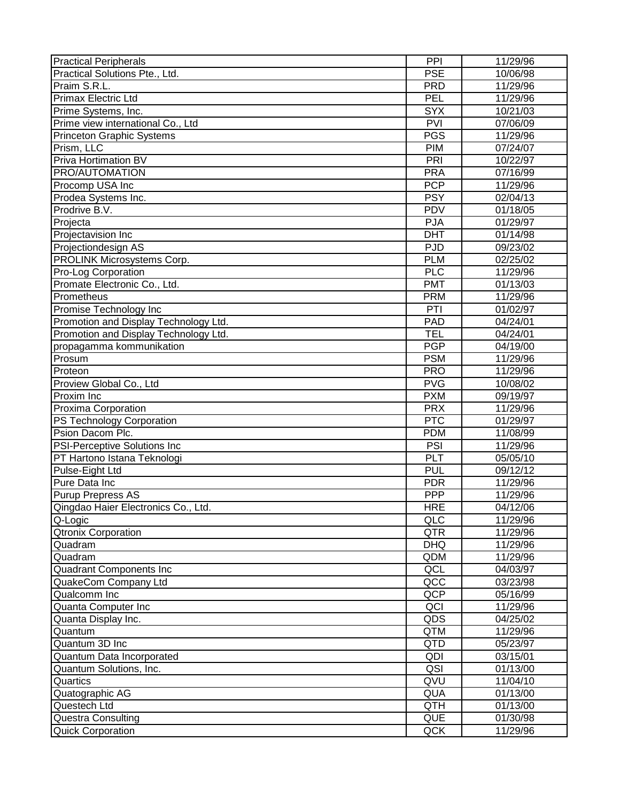| <b>Practical Peripherals</b>          | PPI        | 11/29/96 |
|---------------------------------------|------------|----------|
| Practical Solutions Pte., Ltd.        | <b>PSE</b> | 10/06/98 |
| Praim S.R.L.                          | <b>PRD</b> | 11/29/96 |
| <b>Primax Electric Ltd</b>            | PEL        | 11/29/96 |
| Prime Systems, Inc.                   | <b>SYX</b> | 10/21/03 |
| Prime view international Co., Ltd     | <b>PVI</b> | 07/06/09 |
| <b>Princeton Graphic Systems</b>      | <b>PGS</b> | 11/29/96 |
| Prism, LLC                            | PIM        | 07/24/07 |
| <b>Priva Hortimation BV</b>           | PRI        | 10/22/97 |
| <b>PRO/AUTOMATION</b>                 | <b>PRA</b> | 07/16/99 |
| Procomp USA Inc                       | <b>PCP</b> | 11/29/96 |
| Prodea Systems Inc.                   | <b>PSY</b> | 02/04/13 |
| Prodrive B.V.                         | <b>PDV</b> | 01/18/05 |
| Projecta                              | <b>PJA</b> | 01/29/97 |
| Projectavision Inc                    | <b>DHT</b> | 01/14/98 |
| Projectiondesign AS                   | <b>PJD</b> | 09/23/02 |
| <b>PROLINK Microsystems Corp.</b>     | <b>PLM</b> | 02/25/02 |
| Pro-Log Corporation                   | <b>PLC</b> | 11/29/96 |
| Promate Electronic Co., Ltd.          | <b>PMT</b> | 01/13/03 |
| Prometheus                            | <b>PRM</b> | 11/29/96 |
| Promise Technology Inc                | PTI        | 01/02/97 |
| Promotion and Display Technology Ltd. | PAD        | 04/24/01 |
| Promotion and Display Technology Ltd. | <b>TEL</b> | 04/24/01 |
| propagamma kommunikation              | <b>PGP</b> | 04/19/00 |
| Prosum                                | <b>PSM</b> | 11/29/96 |
| Proteon                               | <b>PRO</b> | 11/29/96 |
| Proview Global Co., Ltd               | <b>PVG</b> | 10/08/02 |
| Proxim Inc                            | <b>PXM</b> | 09/19/97 |
| <b>Proxima Corporation</b>            | <b>PRX</b> | 11/29/96 |
| PS Technology Corporation             | <b>PTC</b> | 01/29/97 |
| Psion Dacom Plc.                      | <b>PDM</b> | 11/08/99 |
| <b>PSI-Perceptive Solutions Inc</b>   | PSI        | 11/29/96 |
| PT Hartono Istana Teknologi           | PLT        | 05/05/10 |
| Pulse-Eight Ltd                       | <b>PUL</b> | 09/12/12 |
| Pure Data Inc                         | <b>PDR</b> | 11/29/96 |
| Purup Prepress AS                     | <b>PPP</b> | 11/29/96 |
| Qingdao Haier Electronics Co., Ltd.   | <b>HRE</b> | 04/12/06 |
| Q-Logic                               | QLC        | 11/29/96 |
| <b>Qtronix Corporation</b>            | <b>QTR</b> | 11/29/96 |
| Quadram                               | <b>DHQ</b> | 11/29/96 |
| Quadram                               | QDM        | 11/29/96 |
| Quadrant Components Inc               | QCL        | 04/03/97 |
| QuakeCom Company Ltd                  | QCC        | 03/23/98 |
| Qualcomm Inc                          | QCP        | 05/16/99 |
| Quanta Computer Inc                   | QCI        | 11/29/96 |
| Quanta Display Inc.                   | QDS        | 04/25/02 |
| Quantum                               | <b>QTM</b> | 11/29/96 |
| Quantum 3D Inc                        | QTD        | 05/23/97 |
| Quantum Data Incorporated             | QDI        | 03/15/01 |
| Quantum Solutions, Inc.               | QSI        | 01/13/00 |
| Quartics                              | QVU        | 11/04/10 |
| Quatographic AG                       | <b>QUA</b> | 01/13/00 |
| Questech Ltd                          | <b>QTH</b> | 01/13/00 |
| Questra Consulting                    | QUE        | 01/30/98 |
| <b>Quick Corporation</b>              | QCK        | 11/29/96 |
|                                       |            |          |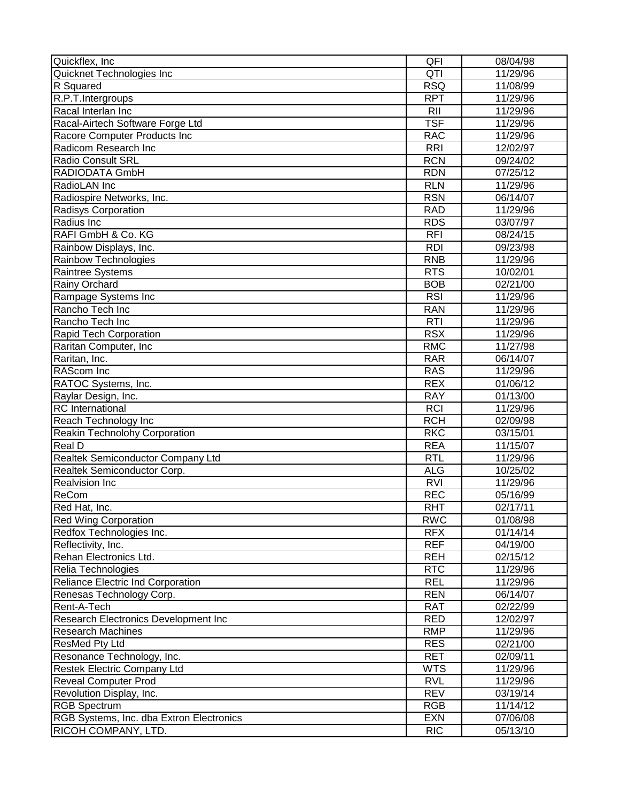| Quickflex, Inc                           | QFI        | 08/04/98 |
|------------------------------------------|------------|----------|
| Quicknet Technologies Inc                | QTI        | 11/29/96 |
| R Squared                                | <b>RSQ</b> | 11/08/99 |
| R.P.T.Intergroups                        | <b>RPT</b> | 11/29/96 |
| Racal Interlan Inc                       | <b>RII</b> | 11/29/96 |
| Racal-Airtech Software Forge Ltd         | <b>TSF</b> | 11/29/96 |
| Racore Computer Products Inc             | <b>RAC</b> | 11/29/96 |
| Radicom Research Inc                     | <b>RRI</b> | 12/02/97 |
| <b>Radio Consult SRL</b>                 | <b>RCN</b> | 09/24/02 |
| <b>RADIODATA GmbH</b>                    | <b>RDN</b> | 07/25/12 |
| RadioLAN Inc                             | <b>RLN</b> | 11/29/96 |
| Radiospire Networks, Inc.                | <b>RSN</b> | 06/14/07 |
| Radisys Corporation                      | <b>RAD</b> | 11/29/96 |
| Radius Inc                               | <b>RDS</b> | 03/07/97 |
| RAFI GmbH & Co. KG                       | <b>RFI</b> | 08/24/15 |
| Rainbow Displays, Inc.                   | <b>RDI</b> | 09/23/98 |
| Rainbow Technologies                     | <b>RNB</b> | 11/29/96 |
| Raintree Systems                         | <b>RTS</b> | 10/02/01 |
| Rainy Orchard                            | <b>BOB</b> | 02/21/00 |
| Rampage Systems Inc                      | <b>RSI</b> | 11/29/96 |
| Rancho Tech Inc                          | <b>RAN</b> | 11/29/96 |
| Rancho Tech Inc                          | <b>RTI</b> | 11/29/96 |
| Rapid Tech Corporation                   | <b>RSX</b> | 11/29/96 |
| Raritan Computer, Inc                    | <b>RMC</b> | 11/27/98 |
| Raritan, Inc.                            | <b>RAR</b> | 06/14/07 |
| RAScom Inc                               | <b>RAS</b> | 11/29/96 |
| RATOC Systems, Inc.                      | <b>REX</b> | 01/06/12 |
| Raylar Design, Inc.                      | <b>RAY</b> | 01/13/00 |
| <b>RC</b> International                  | <b>RCI</b> | 11/29/96 |
| Reach Technology Inc                     | <b>RCH</b> | 02/09/98 |
| <b>Reakin Technolohy Corporation</b>     | <b>RKC</b> | 03/15/01 |
| Real D                                   | <b>REA</b> | 11/15/07 |
| Realtek Semiconductor Company Ltd        | <b>RTL</b> | 11/29/96 |
| Realtek Semiconductor Corp.              | <b>ALG</b> | 10/25/02 |
| <b>Realvision Inc</b>                    | <b>RVI</b> | 11/29/96 |
| ReCom                                    | <b>REC</b> | 05/16/99 |
| Red Hat, Inc.                            | <b>RHT</b> | 02/17/11 |
| <b>Red Wing Corporation</b>              | <b>RWC</b> | 01/08/98 |
| Redfox Technologies Inc.                 | <b>RFX</b> | 01/14/14 |
| Reflectivity, Inc.                       | <b>REF</b> | 04/19/00 |
| Rehan Electronics Ltd.                   | <b>REH</b> | 02/15/12 |
| Relia Technologies                       | <b>RTC</b> | 11/29/96 |
| Reliance Electric Ind Corporation        | <b>REL</b> | 11/29/96 |
| Renesas Technology Corp.                 | <b>REN</b> | 06/14/07 |
| Rent-A-Tech                              | <b>RAT</b> | 02/22/99 |
| Research Electronics Development Inc     | <b>RED</b> | 12/02/97 |
| <b>Research Machines</b>                 | <b>RMP</b> | 11/29/96 |
| <b>ResMed Pty Ltd</b>                    | <b>RES</b> | 02/21/00 |
| Resonance Technology, Inc.               | <b>RET</b> | 02/09/11 |
| <b>Restek Electric Company Ltd</b>       | <b>WTS</b> | 11/29/96 |
| <b>Reveal Computer Prod</b>              | <b>RVL</b> | 11/29/96 |
| Revolution Display, Inc.                 | <b>REV</b> | 03/19/14 |
| <b>RGB Spectrum</b>                      | <b>RGB</b> | 11/14/12 |
| RGB Systems, Inc. dba Extron Electronics | <b>EXN</b> | 07/06/08 |
| RICOH COMPANY, LTD.                      | <b>RIC</b> | 05/13/10 |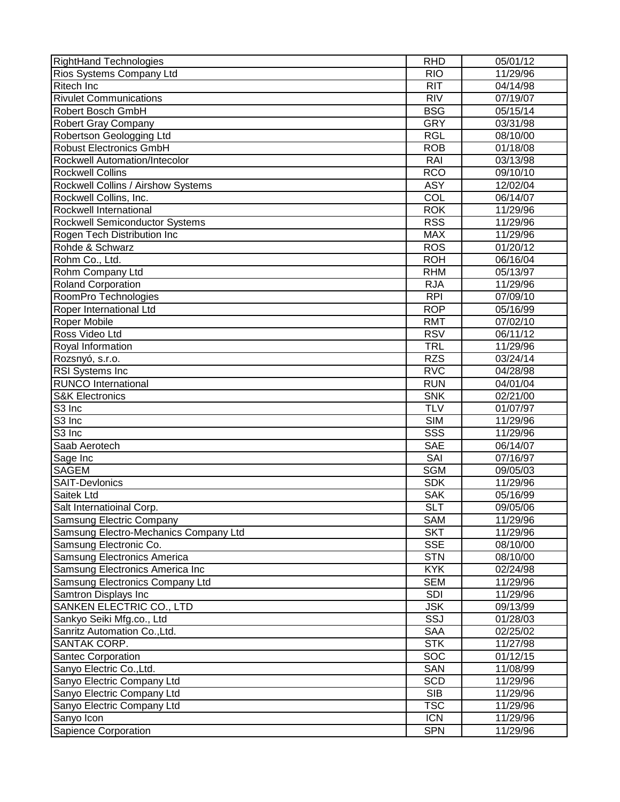| <b>RightHand Technologies</b>         | <b>RHD</b> | 05/01/12 |
|---------------------------------------|------------|----------|
| Rios Systems Company Ltd              | <b>RIO</b> | 11/29/96 |
| <b>Ritech Inc</b>                     | <b>RIT</b> | 04/14/98 |
| <b>Rivulet Communications</b>         | <b>RIV</b> | 07/19/07 |
| Robert Bosch GmbH                     | <b>BSG</b> | 05/15/14 |
| <b>Robert Gray Company</b>            | <b>GRY</b> | 03/31/98 |
| Robertson Geologging Ltd              | <b>RGL</b> | 08/10/00 |
| <b>Robust Electronics GmbH</b>        | <b>ROB</b> | 01/18/08 |
| Rockwell Automation/Intecolor         | RAI        | 03/13/98 |
| <b>Rockwell Collins</b>               | <b>RCO</b> | 09/10/10 |
| Rockwell Collins / Airshow Systems    | <b>ASY</b> | 12/02/04 |
| Rockwell Collins, Inc.                | COL        | 06/14/07 |
| Rockwell International                | <b>ROK</b> | 11/29/96 |
| Rockwell Semiconductor Systems        | <b>RSS</b> | 11/29/96 |
| Rogen Tech Distribution Inc           | <b>MAX</b> | 11/29/96 |
| Rohde & Schwarz                       | <b>ROS</b> | 01/20/12 |
| Rohm Co., Ltd.                        | <b>ROH</b> | 06/16/04 |
| Rohm Company Ltd                      | <b>RHM</b> | 05/13/97 |
| <b>Roland Corporation</b>             | <b>RJA</b> | 11/29/96 |
| RoomPro Technologies                  | <b>RPI</b> | 07/09/10 |
| Roper International Ltd               | <b>ROP</b> | 05/16/99 |
| Roper Mobile                          | <b>RMT</b> | 07/02/10 |
| Ross Video Ltd                        | <b>RSV</b> | 06/11/12 |
| Royal Information                     | <b>TRL</b> | 11/29/96 |
| Rozsnyó, s.r.o.                       | <b>RZS</b> | 03/24/14 |
| <b>RSI</b> Systems Inc                | <b>RVC</b> | 04/28/98 |
| <b>RUNCO</b> International            | <b>RUN</b> | 04/01/04 |
| <b>S&amp;K Electronics</b>            | <b>SNK</b> | 02/21/00 |
| S3 Inc                                | <b>TLV</b> | 01/07/97 |
| S3 Inc                                | <b>SIM</b> | 11/29/96 |
| S3 Inc                                | SSS        | 11/29/96 |
| Saab Aerotech                         | <b>SAE</b> | 06/14/07 |
| Sage Inc                              | SAI        | 07/16/97 |
| <b>SAGEM</b>                          | <b>SGM</b> | 09/05/03 |
| <b>SAIT-Devlonics</b>                 | <b>SDK</b> | 11/29/96 |
| Saitek Ltd                            | <b>SAK</b> | 05/16/99 |
| Salt Internatioinal Corp.             | <b>SLT</b> | 09/05/06 |
| Samsung Electric Company              | SAM        | 11/29/96 |
| Samsung Electro-Mechanics Company Ltd | <b>SKT</b> | 11/29/96 |
| Samsung Electronic Co.                | <b>SSE</b> | 08/10/00 |
| Samsung Electronics America           | <b>STN</b> | 08/10/00 |
| Samsung Electronics America Inc       | <b>KYK</b> | 02/24/98 |
| Samsung Electronics Company Ltd       | <b>SEM</b> | 11/29/96 |
| Samtron Displays Inc                  | SDI        | 11/29/96 |
| SANKEN ELECTRIC CO., LTD              | <b>JSK</b> | 09/13/99 |
| Sankyo Seiki Mfg.co., Ltd             | SSJ        | 01/28/03 |
| Sanritz Automation Co., Ltd.          | SAA        | 02/25/02 |
| SANTAK CORP.                          | <b>STK</b> | 11/27/98 |
| Santec Corporation                    | SOC        | 01/12/15 |
| Sanyo Electric Co., Ltd.              | SAN        | 11/08/99 |
| Sanyo Electric Company Ltd            | SCD        | 11/29/96 |
| Sanyo Electric Company Ltd            | <b>SIB</b> | 11/29/96 |
| Sanyo Electric Company Ltd            | <b>TSC</b> | 11/29/96 |
| Sanyo Icon                            | <b>ICN</b> | 11/29/96 |
| Sapience Corporation                  | <b>SPN</b> | 11/29/96 |
|                                       |            |          |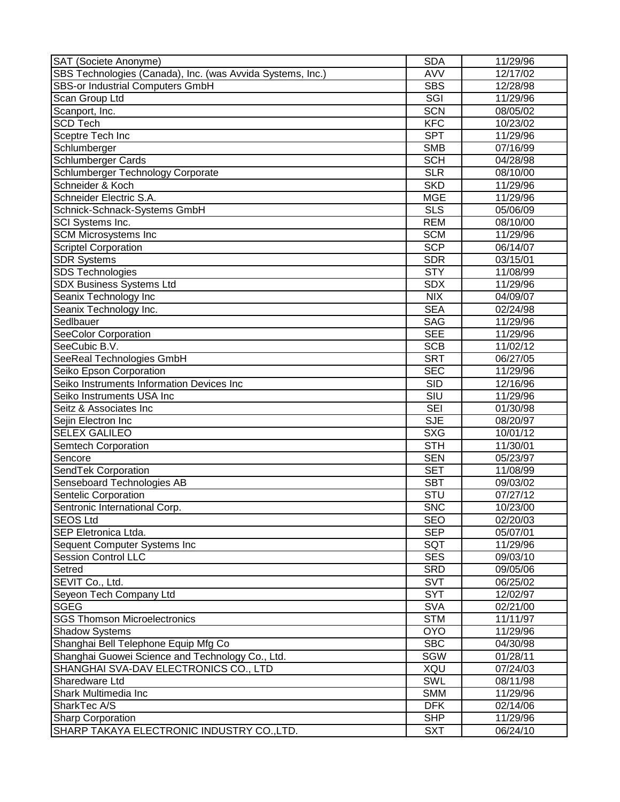| SBS Technologies (Canada), Inc. (was Avvida Systems, Inc.)<br><b>AVV</b><br>12/17/02<br><b>SBS</b><br><b>SBS-or Industrial Computers GmbH</b><br>12/28/98<br>SGI<br>Scan Group Ltd<br>11/29/96<br><b>SCN</b><br>Scanport, Inc.<br>08/05/02<br><b>SCD Tech</b><br><b>KFC</b><br>10/23/02<br><b>SPT</b><br>Sceptre Tech Inc<br>11/29/96<br>Schlumberger<br><b>SMB</b><br>07/16/99<br>Schlumberger Cards<br><b>SCH</b><br>04/28/98<br>Schlumberger Technology Corporate<br><b>SLR</b><br>08/10/00<br>Schneider & Koch<br><b>SKD</b><br>11/29/96<br>Schneider Electric S.A.<br><b>MGE</b><br>11/29/96<br>Schnick-Schnack-Systems GmbH<br><b>SLS</b><br>05/06/09<br>SCI Systems Inc.<br><b>REM</b><br>08/10/00<br><b>SCM Microsystems Inc</b><br><b>SCM</b><br>11/29/96<br><b>Scriptel Corporation</b><br><b>SCP</b><br>06/14/07<br><b>SDR</b> Systems<br><b>SDR</b><br>03/15/01<br><b>SDS Technologies</b><br><b>STY</b><br>11/08/99<br><b>SDX Business Systems Ltd</b><br><b>SDX</b><br>11/29/96<br>Seanix Technology Inc<br><b>NIX</b><br>04/09/07<br>Seanix Technology Inc.<br><b>SEA</b><br>02/24/98<br>Sedlbauer<br><b>SAG</b><br>11/29/96<br>SeeColor Corporation<br><b>SEE</b><br>11/29/96<br>SeeCubic B.V.<br><b>SCB</b><br>11/02/12<br>SeeReal Technologies GmbH<br><b>SRT</b><br>06/27/05<br><b>SEC</b><br>11/29/96<br>Seiko Epson Corporation<br><b>SID</b><br>Seiko Instruments Information Devices Inc<br>12/16/96<br>Seiko Instruments USA Inc<br>SIU<br>11/29/96<br><b>SEI</b><br>Seitz & Associates Inc<br>01/30/98<br><b>SJE</b><br>08/20/97<br>Sejin Electron Inc<br><b>SELEX GALILEO</b><br><b>SXG</b><br>10/01/12<br><b>STH</b><br>11/30/01<br>Semtech Corporation<br><b>SEN</b><br>05/23/97<br>Sencore<br><b>SET</b><br>SendTek Corporation<br>11/08/99<br>Senseboard Technologies AB<br><b>SBT</b><br>09/03/02<br><b>STU</b><br>Sentelic Corporation<br>07/27/12<br>Sentronic International Corp.<br><b>SNC</b><br>10/23/00<br>SEOS <sub>Ltd</sub><br><b>SEO</b><br>02/20/03<br>SEP Eletronica Ltda.<br><b>SEP</b><br>05/07/01<br>Sequent Computer Systems Inc<br>SQT<br>11/29/96<br>Session Control LLC<br><b>SES</b><br>09/03/10<br>Setred<br><b>SRD</b><br>09/05/06<br>SEVIT Co., Ltd.<br>SVT<br>06/25/02<br>Seyeon Tech Company Ltd<br><b>SYT</b><br>12/02/97<br><b>SGEG</b><br><b>SVA</b><br>02/21/00<br><b>SGS Thomson Microelectronics</b><br><b>STM</b><br>11/11/97<br>Shadow Systems<br><b>OYO</b><br>11/29/96<br>Shanghai Bell Telephone Equip Mfg Co<br><b>SBC</b><br>04/30/98 | SAT (Societe Anonyme)                            | <b>SDA</b> | 11/29/96 |
|-------------------------------------------------------------------------------------------------------------------------------------------------------------------------------------------------------------------------------------------------------------------------------------------------------------------------------------------------------------------------------------------------------------------------------------------------------------------------------------------------------------------------------------------------------------------------------------------------------------------------------------------------------------------------------------------------------------------------------------------------------------------------------------------------------------------------------------------------------------------------------------------------------------------------------------------------------------------------------------------------------------------------------------------------------------------------------------------------------------------------------------------------------------------------------------------------------------------------------------------------------------------------------------------------------------------------------------------------------------------------------------------------------------------------------------------------------------------------------------------------------------------------------------------------------------------------------------------------------------------------------------------------------------------------------------------------------------------------------------------------------------------------------------------------------------------------------------------------------------------------------------------------------------------------------------------------------------------------------------------------------------------------------------------------------------------------------------------------------------------------------------------------------------------------------------------------------------------------------------------------------------------------------------------------------------------------------------------------------------------------------------------------------------------------------------------------------------------------------------------------------------|--------------------------------------------------|------------|----------|
|                                                                                                                                                                                                                                                                                                                                                                                                                                                                                                                                                                                                                                                                                                                                                                                                                                                                                                                                                                                                                                                                                                                                                                                                                                                                                                                                                                                                                                                                                                                                                                                                                                                                                                                                                                                                                                                                                                                                                                                                                                                                                                                                                                                                                                                                                                                                                                                                                                                                                                             |                                                  |            |          |
|                                                                                                                                                                                                                                                                                                                                                                                                                                                                                                                                                                                                                                                                                                                                                                                                                                                                                                                                                                                                                                                                                                                                                                                                                                                                                                                                                                                                                                                                                                                                                                                                                                                                                                                                                                                                                                                                                                                                                                                                                                                                                                                                                                                                                                                                                                                                                                                                                                                                                                             |                                                  |            |          |
|                                                                                                                                                                                                                                                                                                                                                                                                                                                                                                                                                                                                                                                                                                                                                                                                                                                                                                                                                                                                                                                                                                                                                                                                                                                                                                                                                                                                                                                                                                                                                                                                                                                                                                                                                                                                                                                                                                                                                                                                                                                                                                                                                                                                                                                                                                                                                                                                                                                                                                             |                                                  |            |          |
|                                                                                                                                                                                                                                                                                                                                                                                                                                                                                                                                                                                                                                                                                                                                                                                                                                                                                                                                                                                                                                                                                                                                                                                                                                                                                                                                                                                                                                                                                                                                                                                                                                                                                                                                                                                                                                                                                                                                                                                                                                                                                                                                                                                                                                                                                                                                                                                                                                                                                                             |                                                  |            |          |
|                                                                                                                                                                                                                                                                                                                                                                                                                                                                                                                                                                                                                                                                                                                                                                                                                                                                                                                                                                                                                                                                                                                                                                                                                                                                                                                                                                                                                                                                                                                                                                                                                                                                                                                                                                                                                                                                                                                                                                                                                                                                                                                                                                                                                                                                                                                                                                                                                                                                                                             |                                                  |            |          |
|                                                                                                                                                                                                                                                                                                                                                                                                                                                                                                                                                                                                                                                                                                                                                                                                                                                                                                                                                                                                                                                                                                                                                                                                                                                                                                                                                                                                                                                                                                                                                                                                                                                                                                                                                                                                                                                                                                                                                                                                                                                                                                                                                                                                                                                                                                                                                                                                                                                                                                             |                                                  |            |          |
|                                                                                                                                                                                                                                                                                                                                                                                                                                                                                                                                                                                                                                                                                                                                                                                                                                                                                                                                                                                                                                                                                                                                                                                                                                                                                                                                                                                                                                                                                                                                                                                                                                                                                                                                                                                                                                                                                                                                                                                                                                                                                                                                                                                                                                                                                                                                                                                                                                                                                                             |                                                  |            |          |
|                                                                                                                                                                                                                                                                                                                                                                                                                                                                                                                                                                                                                                                                                                                                                                                                                                                                                                                                                                                                                                                                                                                                                                                                                                                                                                                                                                                                                                                                                                                                                                                                                                                                                                                                                                                                                                                                                                                                                                                                                                                                                                                                                                                                                                                                                                                                                                                                                                                                                                             |                                                  |            |          |
|                                                                                                                                                                                                                                                                                                                                                                                                                                                                                                                                                                                                                                                                                                                                                                                                                                                                                                                                                                                                                                                                                                                                                                                                                                                                                                                                                                                                                                                                                                                                                                                                                                                                                                                                                                                                                                                                                                                                                                                                                                                                                                                                                                                                                                                                                                                                                                                                                                                                                                             |                                                  |            |          |
|                                                                                                                                                                                                                                                                                                                                                                                                                                                                                                                                                                                                                                                                                                                                                                                                                                                                                                                                                                                                                                                                                                                                                                                                                                                                                                                                                                                                                                                                                                                                                                                                                                                                                                                                                                                                                                                                                                                                                                                                                                                                                                                                                                                                                                                                                                                                                                                                                                                                                                             |                                                  |            |          |
|                                                                                                                                                                                                                                                                                                                                                                                                                                                                                                                                                                                                                                                                                                                                                                                                                                                                                                                                                                                                                                                                                                                                                                                                                                                                                                                                                                                                                                                                                                                                                                                                                                                                                                                                                                                                                                                                                                                                                                                                                                                                                                                                                                                                                                                                                                                                                                                                                                                                                                             |                                                  |            |          |
|                                                                                                                                                                                                                                                                                                                                                                                                                                                                                                                                                                                                                                                                                                                                                                                                                                                                                                                                                                                                                                                                                                                                                                                                                                                                                                                                                                                                                                                                                                                                                                                                                                                                                                                                                                                                                                                                                                                                                                                                                                                                                                                                                                                                                                                                                                                                                                                                                                                                                                             |                                                  |            |          |
|                                                                                                                                                                                                                                                                                                                                                                                                                                                                                                                                                                                                                                                                                                                                                                                                                                                                                                                                                                                                                                                                                                                                                                                                                                                                                                                                                                                                                                                                                                                                                                                                                                                                                                                                                                                                                                                                                                                                                                                                                                                                                                                                                                                                                                                                                                                                                                                                                                                                                                             |                                                  |            |          |
|                                                                                                                                                                                                                                                                                                                                                                                                                                                                                                                                                                                                                                                                                                                                                                                                                                                                                                                                                                                                                                                                                                                                                                                                                                                                                                                                                                                                                                                                                                                                                                                                                                                                                                                                                                                                                                                                                                                                                                                                                                                                                                                                                                                                                                                                                                                                                                                                                                                                                                             |                                                  |            |          |
|                                                                                                                                                                                                                                                                                                                                                                                                                                                                                                                                                                                                                                                                                                                                                                                                                                                                                                                                                                                                                                                                                                                                                                                                                                                                                                                                                                                                                                                                                                                                                                                                                                                                                                                                                                                                                                                                                                                                                                                                                                                                                                                                                                                                                                                                                                                                                                                                                                                                                                             |                                                  |            |          |
|                                                                                                                                                                                                                                                                                                                                                                                                                                                                                                                                                                                                                                                                                                                                                                                                                                                                                                                                                                                                                                                                                                                                                                                                                                                                                                                                                                                                                                                                                                                                                                                                                                                                                                                                                                                                                                                                                                                                                                                                                                                                                                                                                                                                                                                                                                                                                                                                                                                                                                             |                                                  |            |          |
|                                                                                                                                                                                                                                                                                                                                                                                                                                                                                                                                                                                                                                                                                                                                                                                                                                                                                                                                                                                                                                                                                                                                                                                                                                                                                                                                                                                                                                                                                                                                                                                                                                                                                                                                                                                                                                                                                                                                                                                                                                                                                                                                                                                                                                                                                                                                                                                                                                                                                                             |                                                  |            |          |
|                                                                                                                                                                                                                                                                                                                                                                                                                                                                                                                                                                                                                                                                                                                                                                                                                                                                                                                                                                                                                                                                                                                                                                                                                                                                                                                                                                                                                                                                                                                                                                                                                                                                                                                                                                                                                                                                                                                                                                                                                                                                                                                                                                                                                                                                                                                                                                                                                                                                                                             |                                                  |            |          |
|                                                                                                                                                                                                                                                                                                                                                                                                                                                                                                                                                                                                                                                                                                                                                                                                                                                                                                                                                                                                                                                                                                                                                                                                                                                                                                                                                                                                                                                                                                                                                                                                                                                                                                                                                                                                                                                                                                                                                                                                                                                                                                                                                                                                                                                                                                                                                                                                                                                                                                             |                                                  |            |          |
|                                                                                                                                                                                                                                                                                                                                                                                                                                                                                                                                                                                                                                                                                                                                                                                                                                                                                                                                                                                                                                                                                                                                                                                                                                                                                                                                                                                                                                                                                                                                                                                                                                                                                                                                                                                                                                                                                                                                                                                                                                                                                                                                                                                                                                                                                                                                                                                                                                                                                                             |                                                  |            |          |
|                                                                                                                                                                                                                                                                                                                                                                                                                                                                                                                                                                                                                                                                                                                                                                                                                                                                                                                                                                                                                                                                                                                                                                                                                                                                                                                                                                                                                                                                                                                                                                                                                                                                                                                                                                                                                                                                                                                                                                                                                                                                                                                                                                                                                                                                                                                                                                                                                                                                                                             |                                                  |            |          |
|                                                                                                                                                                                                                                                                                                                                                                                                                                                                                                                                                                                                                                                                                                                                                                                                                                                                                                                                                                                                                                                                                                                                                                                                                                                                                                                                                                                                                                                                                                                                                                                                                                                                                                                                                                                                                                                                                                                                                                                                                                                                                                                                                                                                                                                                                                                                                                                                                                                                                                             |                                                  |            |          |
|                                                                                                                                                                                                                                                                                                                                                                                                                                                                                                                                                                                                                                                                                                                                                                                                                                                                                                                                                                                                                                                                                                                                                                                                                                                                                                                                                                                                                                                                                                                                                                                                                                                                                                                                                                                                                                                                                                                                                                                                                                                                                                                                                                                                                                                                                                                                                                                                                                                                                                             |                                                  |            |          |
|                                                                                                                                                                                                                                                                                                                                                                                                                                                                                                                                                                                                                                                                                                                                                                                                                                                                                                                                                                                                                                                                                                                                                                                                                                                                                                                                                                                                                                                                                                                                                                                                                                                                                                                                                                                                                                                                                                                                                                                                                                                                                                                                                                                                                                                                                                                                                                                                                                                                                                             |                                                  |            |          |
|                                                                                                                                                                                                                                                                                                                                                                                                                                                                                                                                                                                                                                                                                                                                                                                                                                                                                                                                                                                                                                                                                                                                                                                                                                                                                                                                                                                                                                                                                                                                                                                                                                                                                                                                                                                                                                                                                                                                                                                                                                                                                                                                                                                                                                                                                                                                                                                                                                                                                                             |                                                  |            |          |
|                                                                                                                                                                                                                                                                                                                                                                                                                                                                                                                                                                                                                                                                                                                                                                                                                                                                                                                                                                                                                                                                                                                                                                                                                                                                                                                                                                                                                                                                                                                                                                                                                                                                                                                                                                                                                                                                                                                                                                                                                                                                                                                                                                                                                                                                                                                                                                                                                                                                                                             |                                                  |            |          |
|                                                                                                                                                                                                                                                                                                                                                                                                                                                                                                                                                                                                                                                                                                                                                                                                                                                                                                                                                                                                                                                                                                                                                                                                                                                                                                                                                                                                                                                                                                                                                                                                                                                                                                                                                                                                                                                                                                                                                                                                                                                                                                                                                                                                                                                                                                                                                                                                                                                                                                             |                                                  |            |          |
|                                                                                                                                                                                                                                                                                                                                                                                                                                                                                                                                                                                                                                                                                                                                                                                                                                                                                                                                                                                                                                                                                                                                                                                                                                                                                                                                                                                                                                                                                                                                                                                                                                                                                                                                                                                                                                                                                                                                                                                                                                                                                                                                                                                                                                                                                                                                                                                                                                                                                                             |                                                  |            |          |
|                                                                                                                                                                                                                                                                                                                                                                                                                                                                                                                                                                                                                                                                                                                                                                                                                                                                                                                                                                                                                                                                                                                                                                                                                                                                                                                                                                                                                                                                                                                                                                                                                                                                                                                                                                                                                                                                                                                                                                                                                                                                                                                                                                                                                                                                                                                                                                                                                                                                                                             |                                                  |            |          |
|                                                                                                                                                                                                                                                                                                                                                                                                                                                                                                                                                                                                                                                                                                                                                                                                                                                                                                                                                                                                                                                                                                                                                                                                                                                                                                                                                                                                                                                                                                                                                                                                                                                                                                                                                                                                                                                                                                                                                                                                                                                                                                                                                                                                                                                                                                                                                                                                                                                                                                             |                                                  |            |          |
|                                                                                                                                                                                                                                                                                                                                                                                                                                                                                                                                                                                                                                                                                                                                                                                                                                                                                                                                                                                                                                                                                                                                                                                                                                                                                                                                                                                                                                                                                                                                                                                                                                                                                                                                                                                                                                                                                                                                                                                                                                                                                                                                                                                                                                                                                                                                                                                                                                                                                                             |                                                  |            |          |
|                                                                                                                                                                                                                                                                                                                                                                                                                                                                                                                                                                                                                                                                                                                                                                                                                                                                                                                                                                                                                                                                                                                                                                                                                                                                                                                                                                                                                                                                                                                                                                                                                                                                                                                                                                                                                                                                                                                                                                                                                                                                                                                                                                                                                                                                                                                                                                                                                                                                                                             |                                                  |            |          |
|                                                                                                                                                                                                                                                                                                                                                                                                                                                                                                                                                                                                                                                                                                                                                                                                                                                                                                                                                                                                                                                                                                                                                                                                                                                                                                                                                                                                                                                                                                                                                                                                                                                                                                                                                                                                                                                                                                                                                                                                                                                                                                                                                                                                                                                                                                                                                                                                                                                                                                             |                                                  |            |          |
|                                                                                                                                                                                                                                                                                                                                                                                                                                                                                                                                                                                                                                                                                                                                                                                                                                                                                                                                                                                                                                                                                                                                                                                                                                                                                                                                                                                                                                                                                                                                                                                                                                                                                                                                                                                                                                                                                                                                                                                                                                                                                                                                                                                                                                                                                                                                                                                                                                                                                                             |                                                  |            |          |
|                                                                                                                                                                                                                                                                                                                                                                                                                                                                                                                                                                                                                                                                                                                                                                                                                                                                                                                                                                                                                                                                                                                                                                                                                                                                                                                                                                                                                                                                                                                                                                                                                                                                                                                                                                                                                                                                                                                                                                                                                                                                                                                                                                                                                                                                                                                                                                                                                                                                                                             |                                                  |            |          |
|                                                                                                                                                                                                                                                                                                                                                                                                                                                                                                                                                                                                                                                                                                                                                                                                                                                                                                                                                                                                                                                                                                                                                                                                                                                                                                                                                                                                                                                                                                                                                                                                                                                                                                                                                                                                                                                                                                                                                                                                                                                                                                                                                                                                                                                                                                                                                                                                                                                                                                             |                                                  |            |          |
|                                                                                                                                                                                                                                                                                                                                                                                                                                                                                                                                                                                                                                                                                                                                                                                                                                                                                                                                                                                                                                                                                                                                                                                                                                                                                                                                                                                                                                                                                                                                                                                                                                                                                                                                                                                                                                                                                                                                                                                                                                                                                                                                                                                                                                                                                                                                                                                                                                                                                                             |                                                  |            |          |
|                                                                                                                                                                                                                                                                                                                                                                                                                                                                                                                                                                                                                                                                                                                                                                                                                                                                                                                                                                                                                                                                                                                                                                                                                                                                                                                                                                                                                                                                                                                                                                                                                                                                                                                                                                                                                                                                                                                                                                                                                                                                                                                                                                                                                                                                                                                                                                                                                                                                                                             |                                                  |            |          |
|                                                                                                                                                                                                                                                                                                                                                                                                                                                                                                                                                                                                                                                                                                                                                                                                                                                                                                                                                                                                                                                                                                                                                                                                                                                                                                                                                                                                                                                                                                                                                                                                                                                                                                                                                                                                                                                                                                                                                                                                                                                                                                                                                                                                                                                                                                                                                                                                                                                                                                             |                                                  |            |          |
|                                                                                                                                                                                                                                                                                                                                                                                                                                                                                                                                                                                                                                                                                                                                                                                                                                                                                                                                                                                                                                                                                                                                                                                                                                                                                                                                                                                                                                                                                                                                                                                                                                                                                                                                                                                                                                                                                                                                                                                                                                                                                                                                                                                                                                                                                                                                                                                                                                                                                                             |                                                  |            |          |
|                                                                                                                                                                                                                                                                                                                                                                                                                                                                                                                                                                                                                                                                                                                                                                                                                                                                                                                                                                                                                                                                                                                                                                                                                                                                                                                                                                                                                                                                                                                                                                                                                                                                                                                                                                                                                                                                                                                                                                                                                                                                                                                                                                                                                                                                                                                                                                                                                                                                                                             |                                                  |            |          |
|                                                                                                                                                                                                                                                                                                                                                                                                                                                                                                                                                                                                                                                                                                                                                                                                                                                                                                                                                                                                                                                                                                                                                                                                                                                                                                                                                                                                                                                                                                                                                                                                                                                                                                                                                                                                                                                                                                                                                                                                                                                                                                                                                                                                                                                                                                                                                                                                                                                                                                             |                                                  |            |          |
|                                                                                                                                                                                                                                                                                                                                                                                                                                                                                                                                                                                                                                                                                                                                                                                                                                                                                                                                                                                                                                                                                                                                                                                                                                                                                                                                                                                                                                                                                                                                                                                                                                                                                                                                                                                                                                                                                                                                                                                                                                                                                                                                                                                                                                                                                                                                                                                                                                                                                                             |                                                  |            |          |
|                                                                                                                                                                                                                                                                                                                                                                                                                                                                                                                                                                                                                                                                                                                                                                                                                                                                                                                                                                                                                                                                                                                                                                                                                                                                                                                                                                                                                                                                                                                                                                                                                                                                                                                                                                                                                                                                                                                                                                                                                                                                                                                                                                                                                                                                                                                                                                                                                                                                                                             |                                                  |            |          |
|                                                                                                                                                                                                                                                                                                                                                                                                                                                                                                                                                                                                                                                                                                                                                                                                                                                                                                                                                                                                                                                                                                                                                                                                                                                                                                                                                                                                                                                                                                                                                                                                                                                                                                                                                                                                                                                                                                                                                                                                                                                                                                                                                                                                                                                                                                                                                                                                                                                                                                             |                                                  |            |          |
|                                                                                                                                                                                                                                                                                                                                                                                                                                                                                                                                                                                                                                                                                                                                                                                                                                                                                                                                                                                                                                                                                                                                                                                                                                                                                                                                                                                                                                                                                                                                                                                                                                                                                                                                                                                                                                                                                                                                                                                                                                                                                                                                                                                                                                                                                                                                                                                                                                                                                                             |                                                  |            |          |
|                                                                                                                                                                                                                                                                                                                                                                                                                                                                                                                                                                                                                                                                                                                                                                                                                                                                                                                                                                                                                                                                                                                                                                                                                                                                                                                                                                                                                                                                                                                                                                                                                                                                                                                                                                                                                                                                                                                                                                                                                                                                                                                                                                                                                                                                                                                                                                                                                                                                                                             |                                                  |            |          |
|                                                                                                                                                                                                                                                                                                                                                                                                                                                                                                                                                                                                                                                                                                                                                                                                                                                                                                                                                                                                                                                                                                                                                                                                                                                                                                                                                                                                                                                                                                                                                                                                                                                                                                                                                                                                                                                                                                                                                                                                                                                                                                                                                                                                                                                                                                                                                                                                                                                                                                             | Shanghai Guowei Science and Technology Co., Ltd. | SGW        | 01/28/11 |
| SHANGHAI SVA-DAV ELECTRONICS CO., LTD<br>XQU<br>07/24/03                                                                                                                                                                                                                                                                                                                                                                                                                                                                                                                                                                                                                                                                                                                                                                                                                                                                                                                                                                                                                                                                                                                                                                                                                                                                                                                                                                                                                                                                                                                                                                                                                                                                                                                                                                                                                                                                                                                                                                                                                                                                                                                                                                                                                                                                                                                                                                                                                                                    |                                                  |            |          |
| SWL<br>Sharedware Ltd<br>08/11/98                                                                                                                                                                                                                                                                                                                                                                                                                                                                                                                                                                                                                                                                                                                                                                                                                                                                                                                                                                                                                                                                                                                                                                                                                                                                                                                                                                                                                                                                                                                                                                                                                                                                                                                                                                                                                                                                                                                                                                                                                                                                                                                                                                                                                                                                                                                                                                                                                                                                           |                                                  |            |          |
| <b>SMM</b><br>Shark Multimedia Inc<br>11/29/96                                                                                                                                                                                                                                                                                                                                                                                                                                                                                                                                                                                                                                                                                                                                                                                                                                                                                                                                                                                                                                                                                                                                                                                                                                                                                                                                                                                                                                                                                                                                                                                                                                                                                                                                                                                                                                                                                                                                                                                                                                                                                                                                                                                                                                                                                                                                                                                                                                                              |                                                  |            |          |
| SharkTec A/S<br><b>DFK</b><br>02/14/06                                                                                                                                                                                                                                                                                                                                                                                                                                                                                                                                                                                                                                                                                                                                                                                                                                                                                                                                                                                                                                                                                                                                                                                                                                                                                                                                                                                                                                                                                                                                                                                                                                                                                                                                                                                                                                                                                                                                                                                                                                                                                                                                                                                                                                                                                                                                                                                                                                                                      |                                                  |            |          |
| <b>SHP</b><br><b>Sharp Corporation</b><br>11/29/96                                                                                                                                                                                                                                                                                                                                                                                                                                                                                                                                                                                                                                                                                                                                                                                                                                                                                                                                                                                                                                                                                                                                                                                                                                                                                                                                                                                                                                                                                                                                                                                                                                                                                                                                                                                                                                                                                                                                                                                                                                                                                                                                                                                                                                                                                                                                                                                                                                                          |                                                  |            |          |
| SHARP TAKAYA ELECTRONIC INDUSTRY CO., LTD.<br><b>SXT</b><br>06/24/10                                                                                                                                                                                                                                                                                                                                                                                                                                                                                                                                                                                                                                                                                                                                                                                                                                                                                                                                                                                                                                                                                                                                                                                                                                                                                                                                                                                                                                                                                                                                                                                                                                                                                                                                                                                                                                                                                                                                                                                                                                                                                                                                                                                                                                                                                                                                                                                                                                        |                                                  |            |          |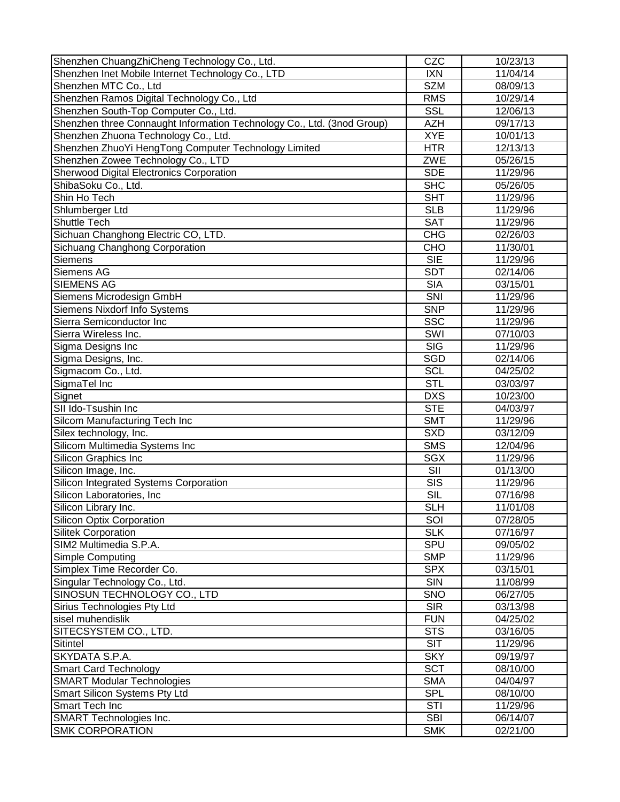| Shenzhen ChuangZhiCheng Technology Co., Ltd.                           | CZC                     | 10/23/13                          |
|------------------------------------------------------------------------|-------------------------|-----------------------------------|
| Shenzhen Inet Mobile Internet Technology Co., LTD                      | <b>IXN</b>              | 11/04/14                          |
| Shenzhen MTC Co., Ltd                                                  | <b>SZM</b>              | 08/09/13                          |
| Shenzhen Ramos Digital Technology Co., Ltd                             | <b>RMS</b>              | 10/29/14                          |
| Shenzhen South-Top Computer Co., Ltd.                                  | <b>SSL</b>              | 12/06/13                          |
| Shenzhen three Connaught Information Technology Co., Ltd. (3nod Group) | <b>AZH</b>              | 09/17/13                          |
| Shenzhen Zhuona Technology Co., Ltd.                                   | <b>XYE</b>              | 10/01/13                          |
| Shenzhen ZhuoYi HengTong Computer Technology Limited                   | <b>HTR</b>              | $\overline{1}$ 2/13/13            |
| Shenzhen Zowee Technology Co., LTD                                     | ZWE                     | 05/26/15                          |
| Sherwood Digital Electronics Corporation                               | <b>SDE</b>              | 11/29/96                          |
| ShibaSoku Co., Ltd.                                                    | <b>SHC</b>              | 05/26/05                          |
| Shin Ho Tech                                                           | <b>SHT</b>              | 11/29/96                          |
| Shlumberger Ltd                                                        | <b>SLB</b>              | 11/29/96                          |
| Shuttle Tech                                                           | <b>SAT</b>              | 11/29/96                          |
| Sichuan Changhong Electric CO, LTD.                                    | <b>CHG</b>              | 02/26/03                          |
| Sichuang Changhong Corporation                                         | CHO                     | 11/30/01                          |
| Siemens                                                                | <b>SIE</b>              | 11/29/96                          |
| Siemens AG                                                             | <b>SDT</b>              | 02/14/06                          |
| <b>SIEMENS AG</b>                                                      | <b>SIA</b>              | 03/15/01                          |
| Siemens Microdesign GmbH                                               | <b>SNI</b>              | 11/29/96                          |
| Siemens Nixdorf Info Systems                                           | <b>SNP</b>              | 11/29/96                          |
| Sierra Semiconductor Inc                                               | <b>SSC</b>              | 11/29/96                          |
| Sierra Wireless Inc.                                                   | SWI                     | 07/10/03                          |
| Sigma Designs Inc                                                      | $\overline{\text{SIG}}$ | 11/29/96                          |
| Sigma Designs, Inc.                                                    | <b>SGD</b>              | 02/14/06                          |
| Sigmacom Co., Ltd.                                                     | <b>SCL</b>              | 04/25/02                          |
| SigmaTel Inc                                                           | <b>STL</b>              | 03/03/97                          |
| Signet                                                                 | <b>DXS</b>              | 10/23/00                          |
| SII Ido-Tsushin Inc                                                    | <b>STE</b>              | 04/03/97                          |
| Silcom Manufacturing Tech Inc                                          | <b>SMT</b>              | 11/29/96                          |
| Silex technology, Inc.                                                 | <b>SXD</b>              | 03/12/09                          |
| Silicom Multimedia Systems Inc                                         | <b>SMS</b>              | 12/04/96                          |
| Silicon Graphics Inc                                                   | <b>SGX</b>              | 11/29/96                          |
| Silicon Image, Inc.                                                    | SII                     | 01/13/00                          |
| Silicon Integrated Systems Corporation                                 | <b>SIS</b>              | 11/29/96                          |
| Silicon Laboratories, Inc                                              | $\overline{\text{SIL}}$ | 07/16/98                          |
|                                                                        | <b>SLH</b>              |                                   |
| Silicon Library Inc.                                                   | SOI                     | 11/01/08<br>$\overline{07}/28/05$ |
| Silicon Optix Corporation<br><b>Silitek Corporation</b>                | <b>SLK</b>              | 07/16/97                          |
| SIM2 Multimedia S.P.A.                                                 | SPU                     | 09/05/02                          |
| Simple Computing                                                       | <b>SMP</b>              | 11/29/96                          |
|                                                                        |                         |                                   |
| Simplex Time Recorder Co.                                              | <b>SPX</b>              | 03/15/01                          |
| Singular Technology Co., Ltd.                                          | SIN                     | 11/08/99                          |
| SINOSUN TECHNOLOGY CO., LTD                                            | SNO                     | 06/27/05                          |
| Sirius Technologies Pty Ltd                                            | <b>SIR</b>              | 03/13/98                          |
| sisel muhendislik                                                      | <b>FUN</b>              | 04/25/02                          |
| SITECSYSTEM CO., LTD.                                                  | <b>STS</b>              | 03/16/05                          |
| Sitintel                                                               | <b>SIT</b>              | 11/29/96                          |
| SKYDATA S.P.A.                                                         | <b>SKY</b>              | 09/19/97                          |
| <b>Smart Card Technology</b>                                           | <b>SCT</b>              | 08/10/00                          |
| <b>SMART Modular Technologies</b>                                      | <b>SMA</b>              | 04/04/97                          |
| <b>Smart Silicon Systems Pty Ltd</b>                                   | SPL                     | 08/10/00                          |
| <b>Smart Tech Inc</b>                                                  | STI                     | 11/29/96                          |
| SMART Technologies Inc.                                                | <b>SBI</b>              | 06/14/07                          |
| <b>SMK CORPORATION</b>                                                 | <b>SMK</b>              | 02/21/00                          |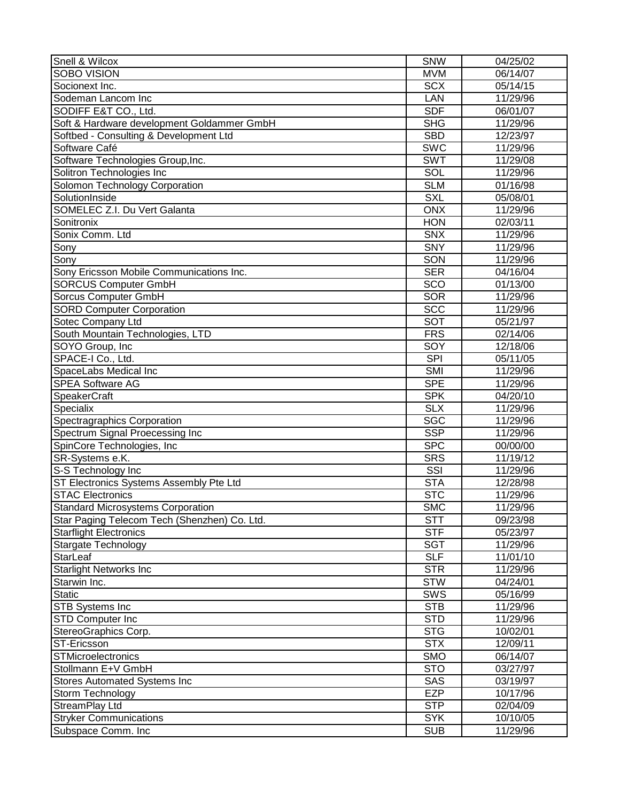| Snell & Wilcox                               | <b>SNW</b> | 04/25/02 |
|----------------------------------------------|------------|----------|
| <b>SOBO VISION</b>                           | <b>MVM</b> | 06/14/07 |
| Socionext Inc.                               | <b>SCX</b> | 05/14/15 |
| Sodeman Lancom Inc                           | <b>LAN</b> | 11/29/96 |
| SODIFF E&T CO., Ltd.                         | <b>SDF</b> | 06/01/07 |
| Soft & Hardware development Goldammer GmbH   | <b>SHG</b> | 11/29/96 |
| Softbed - Consulting & Development Ltd       | <b>SBD</b> | 12/23/97 |
| Software Café                                | <b>SWC</b> | 11/29/96 |
| Software Technologies Group, Inc.            | <b>SWT</b> | 11/29/08 |
| Solitron Technologies Inc                    | SOL        | 11/29/96 |
| Solomon Technology Corporation               | <b>SLM</b> | 01/16/98 |
| SolutionInside                               | <b>SXL</b> | 05/08/01 |
| SOMELEC Z.I. Du Vert Galanta                 | <b>ONX</b> | 11/29/96 |
| Sonitronix                                   | <b>HON</b> | 02/03/11 |
| Sonix Comm. Ltd                              | <b>SNX</b> | 11/29/96 |
| Sony                                         | <b>SNY</b> | 11/29/96 |
| Sony                                         | SON        | 11/29/96 |
| Sony Ericsson Mobile Communications Inc.     | <b>SER</b> | 04/16/04 |
| <b>SORCUS Computer GmbH</b>                  | SCO        | 01/13/00 |
| Sorcus Computer GmbH                         | <b>SOR</b> | 11/29/96 |
| <b>SORD Computer Corporation</b>             | <b>SCC</b> | 11/29/96 |
| Sotec Company Ltd                            | <b>SOT</b> | 05/21/97 |
| South Mountain Technologies, LTD             | <b>FRS</b> | 02/14/06 |
| SOYO Group, Inc                              | SOY        | 12/18/06 |
| SPACE-I Co., Ltd.                            | SPI        | 05/11/05 |
| SpaceLabs Medical Inc                        | SMI        | 11/29/96 |
| <b>SPEA Software AG</b>                      | <b>SPE</b> | 11/29/96 |
| SpeakerCraft                                 | <b>SPK</b> | 04/20/10 |
| Specialix                                    | <b>SLX</b> | 11/29/96 |
| Spectragraphics Corporation                  | <b>SGC</b> | 11/29/96 |
| Spectrum Signal Proecessing Inc              | <b>SSP</b> | 11/29/96 |
| SpinCore Technologies, Inc                   | <b>SPC</b> | 00/00/00 |
| SR-Systems e.K.                              | <b>SRS</b> | 11/19/12 |
| S-S Technology Inc                           | SSI        | 11/29/96 |
| ST Electronics Systems Assembly Pte Ltd      | <b>STA</b> | 12/28/98 |
| <b>STAC Electronics</b>                      | <b>STC</b> | 11/29/96 |
| <b>Standard Microsystems Corporation</b>     | <b>SMC</b> | 11/29/96 |
| Star Paging Telecom Tech (Shenzhen) Co. Ltd. | <b>STT</b> | 09/23/98 |
| <b>Starflight Electronics</b>                | <b>STF</b> | 05/23/97 |
|                                              | <b>SGT</b> | 11/29/96 |
| Stargate Technology<br>StarLeaf              | <b>SLF</b> | 11/01/10 |
| <b>Starlight Networks Inc</b>                | <b>STR</b> | 11/29/96 |
|                                              | <b>STW</b> |          |
| Starwin Inc.<br>Static                       | SWS        | 04/24/01 |
|                                              |            | 05/16/99 |
| STB Systems Inc                              | <b>STB</b> | 11/29/96 |
| STD Computer Inc                             | <b>STD</b> | 11/29/96 |
| StereoGraphics Corp.                         | <b>STG</b> | 10/02/01 |
| ST-Ericsson                                  | <b>STX</b> | 12/09/11 |
| STMicroelectronics                           | <b>SMO</b> | 06/14/07 |
| Stollmann E+V GmbH                           | <b>STO</b> | 03/27/97 |
| <b>Stores Automated Systems Inc</b>          | SAS        | 03/19/97 |
| Storm Technology                             | <b>EZP</b> | 10/17/96 |
| StreamPlay Ltd                               | <b>STP</b> | 02/04/09 |
| <b>Stryker Communications</b>                | <b>SYK</b> | 10/10/05 |
| Subspace Comm. Inc                           | <b>SUB</b> | 11/29/96 |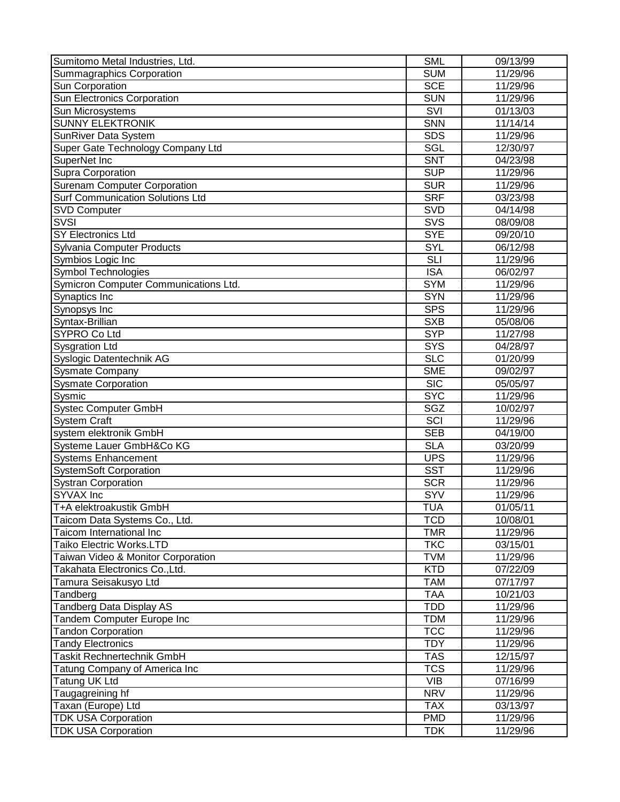| Sumitomo Metal Industries, Ltd.         | <b>SML</b> | 09/13/99 |
|-----------------------------------------|------------|----------|
| Summagraphics Corporation               | <b>SUM</b> | 11/29/96 |
| Sun Corporation                         | <b>SCE</b> | 11/29/96 |
| <b>Sun Electronics Corporation</b>      | <b>SUN</b> | 11/29/96 |
| Sun Microsystems                        | SVI        | 01/13/03 |
| <b>SUNNY ELEKTRONIK</b>                 | <b>SNN</b> | 11/14/14 |
| <b>SunRiver Data System</b>             | <b>SDS</b> | 11/29/96 |
| Super Gate Technology Company Ltd       | SGL        | 12/30/97 |
| SuperNet Inc                            | <b>SNT</b> | 04/23/98 |
| <b>Supra Corporation</b>                | <b>SUP</b> | 11/29/96 |
| Surenam Computer Corporation            | <b>SUR</b> | 11/29/96 |
| <b>Surf Communication Solutions Ltd</b> | <b>SRF</b> | 03/23/98 |
| SVD Computer                            | <b>SVD</b> | 04/14/98 |
| <b>SVSI</b>                             | SVS        | 08/09/08 |
| <b>SY Electronics Ltd</b>               | <b>SYE</b> | 09/20/10 |
| Sylvania Computer Products              | SYL        | 06/12/98 |
| Symbios Logic Inc                       | <b>SLI</b> | 11/29/96 |
| Symbol Technologies                     | <b>ISA</b> | 06/02/97 |
| Symicron Computer Communications Ltd.   | <b>SYM</b> | 11/29/96 |
| Synaptics Inc                           | <b>SYN</b> | 11/29/96 |
| Synopsys Inc                            | <b>SPS</b> | 11/29/96 |
| Syntax-Brillian                         | <b>SXB</b> | 05/08/06 |
| <b>SYPRO Co Ltd</b>                     | <b>SYP</b> | 11/27/98 |
| <b>Sysgration Ltd</b>                   | <b>SYS</b> | 04/28/97 |
| Syslogic Datentechnik AG                | <b>SLC</b> | 01/20/99 |
| <b>Sysmate Company</b>                  | <b>SME</b> | 09/02/97 |
| <b>Sysmate Corporation</b>              | <b>SIC</b> | 05/05/97 |
| Sysmic                                  | <b>SYC</b> | 11/29/96 |
| <b>Systec Computer GmbH</b>             | SGZ        | 10/02/97 |
| <b>System Craft</b>                     | SCI        | 11/29/96 |
| system elektronik GmbH                  | <b>SEB</b> | 04/19/00 |
| Systeme Lauer GmbH&Co KG                | <b>SLA</b> | 03/20/99 |
| <b>Systems Enhancement</b>              | <b>UPS</b> |          |
|                                         |            | 11/29/96 |
| <b>SystemSoft Corporation</b>           | <b>SST</b> | 11/29/96 |
| Systran Corporation<br>SYVAX Inc        | <b>SCR</b> | 11/29/96 |
|                                         | SYV        | 11/29/96 |
| T+A elektroakustik GmbH                 | <b>TUA</b> | 01/05/11 |
| Taicom Data Systems Co., Ltd.           | <b>TCD</b> | 10/08/01 |
| <b>Taicom International Inc</b>         | <b>TMR</b> | 11/29/96 |
| Taiko Electric Works.LTD                | <b>TKC</b> | 03/15/01 |
| Taiwan Video & Monitor Corporation      | <b>TVM</b> | 11/29/96 |
| Takahata Electronics Co., Ltd.          | <b>KTD</b> | 07/22/09 |
| Tamura Seisakusyo Ltd                   | <b>TAM</b> | 07/17/97 |
| Tandberg                                | <b>TAA</b> | 10/21/03 |
| <b>Tandberg Data Display AS</b>         | <b>TDD</b> | 11/29/96 |
| <b>Tandem Computer Europe Inc</b>       | <b>TDM</b> | 11/29/96 |
| <b>Tandon Corporation</b>               | <b>TCC</b> | 11/29/96 |
| <b>Tandy Electronics</b>                | <b>TDY</b> | 11/29/96 |
| <b>Taskit Rechnertechnik GmbH</b>       | <b>TAS</b> | 12/15/97 |
| <b>Tatung Company of America Inc</b>    | <b>TCS</b> | 11/29/96 |
| <b>Tatung UK Ltd</b>                    | <b>VIB</b> | 07/16/99 |
| Taugagreining hf                        | <b>NRV</b> | 11/29/96 |
| Taxan (Europe) Ltd                      | <b>TAX</b> | 03/13/97 |
| <b>TDK USA Corporation</b>              | <b>PMD</b> | 11/29/96 |
| <b>TDK USA Corporation</b>              | <b>TDK</b> | 11/29/96 |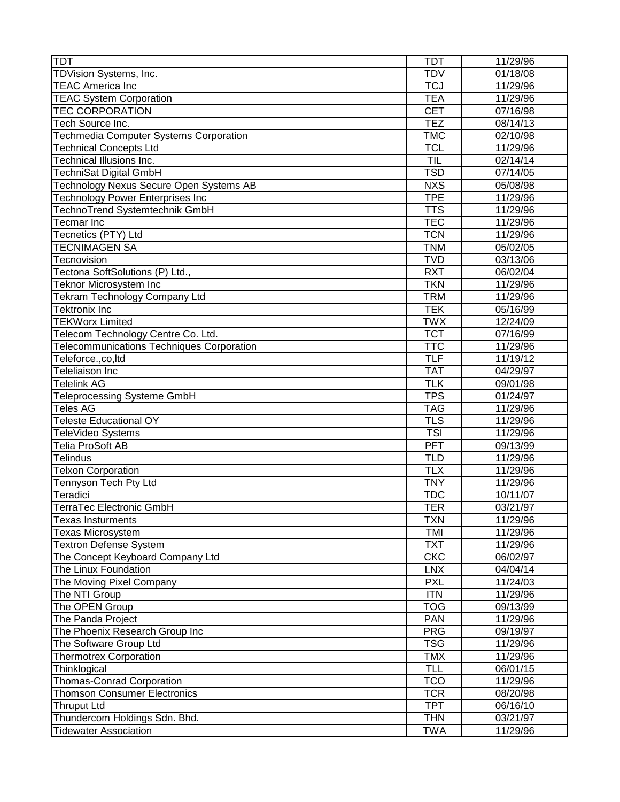| <b>TDT</b>                                | <b>TDT</b> | 11/29/96 |
|-------------------------------------------|------------|----------|
| TDVision Systems, Inc.                    | <b>TDV</b> | 01/18/08 |
| <b>TEAC America Inc</b>                   | <b>TCJ</b> | 11/29/96 |
| <b>TEAC System Corporation</b>            | <b>TEA</b> | 11/29/96 |
| TEC CORPORATION                           | <b>CET</b> | 07/16/98 |
| Tech Source Inc.                          | <b>TEZ</b> | 08/14/13 |
| Techmedia Computer Systems Corporation    | <b>TMC</b> | 02/10/98 |
| <b>Technical Concepts Ltd</b>             | <b>TCL</b> | 11/29/96 |
| Technical Illusions Inc.                  | <b>TIL</b> | 02/14/14 |
| TechniSat Digital GmbH                    | <b>TSD</b> | 07/14/05 |
| Technology Nexus Secure Open Systems AB   | <b>NXS</b> | 05/08/98 |
| Fechnology Power Enterprises Inc          | <b>TPE</b> | 11/29/96 |
| TechnoTrend Systemtechnik GmbH            | <b>TTS</b> | 11/29/96 |
| Tecmar Inc                                | <b>TEC</b> | 11/29/96 |
| Tecnetics (PTY) Ltd                       | <b>TCN</b> | 11/29/96 |
| <b>TECNIMAGEN SA</b>                      | <b>TNM</b> | 05/02/05 |
| Tecnovision                               | <b>TVD</b> | 03/13/06 |
| Tectona SoftSolutions (P) Ltd.,           | <b>RXT</b> | 06/02/04 |
| Teknor Microsystem Inc                    | <b>TKN</b> | 11/29/96 |
| Tekram Technology Company Ltd             | <b>TRM</b> | 11/29/96 |
| Tektronix Inc                             | <b>TEK</b> | 05/16/99 |
| <b>TEKWorx Limited</b>                    | <b>TWX</b> | 12/24/09 |
| Telecom Technology Centre Co. Ltd.        | <b>TCT</b> | 07/16/99 |
| Telecommunications Techniques Corporation | <b>TTC</b> | 11/29/96 |
| Teleforce.,co,ltd                         | <b>TLF</b> | 11/19/12 |
| Teleliaison Inc                           | <b>TAT</b> | 04/29/97 |
| <b>Telelink AG</b>                        | <b>TLK</b> | 09/01/98 |
| Teleprocessing Systeme GmbH               | <b>TPS</b> | 01/24/97 |
| Teles AG                                  | <b>TAG</b> | 11/29/96 |
| <b>Teleste Educational OY</b>             | <b>TLS</b> | 11/29/96 |
| TeleVideo Systems                         | <b>TSI</b> | 11/29/96 |
| Telia ProSoft AB                          | <b>PFT</b> | 09/13/99 |
| <b>Telindus</b>                           | <b>TLD</b> | 11/29/96 |
| <b>Telxon Corporation</b>                 | <b>TLX</b> | 11/29/96 |
| Tennyson Tech Pty Ltd                     | <b>TNY</b> | 11/29/96 |
| Teradici                                  | <b>TDC</b> | 10/11/07 |
| TerraTec Electronic GmbH                  | <b>TER</b> | 03/21/97 |
| Texas Insturments                         | <b>TXN</b> | 11/29/96 |
| Texas Microsystem                         | <b>TMI</b> | 11/29/96 |
| <b>Textron Defense System</b>             | <b>TXT</b> | 11/29/96 |
| The Concept Keyboard Company Ltd          | CKC        | 06/02/97 |
| The Linux Foundation                      | <b>LNX</b> | 04/04/14 |
| The Moving Pixel Company                  | <b>PXL</b> | 11/24/03 |
| The NTI Group                             | <b>ITN</b> | 11/29/96 |
| The OPEN Group                            | <b>TOG</b> | 09/13/99 |
| The Panda Project                         | PAN        | 11/29/96 |
| The Phoenix Research Group Inc            | <b>PRG</b> | 09/19/97 |
| The Software Group Ltd                    | <b>TSG</b> | 11/29/96 |
| <b>Thermotrex Corporation</b>             | <b>TMX</b> | 11/29/96 |
| Thinklogical                              | <b>TLL</b> | 06/01/15 |
| Thomas-Conrad Corporation                 | <b>TCO</b> | 11/29/96 |
| <b>Thomson Consumer Electronics</b>       | <b>TCR</b> | 08/20/98 |
| <b>Thruput Ltd</b>                        | <b>TPT</b> | 06/16/10 |
| Thundercom Holdings Sdn. Bhd.             | <b>THN</b> | 03/21/97 |
| <b>Tidewater Association</b>              | <b>TWA</b> | 11/29/96 |
|                                           |            |          |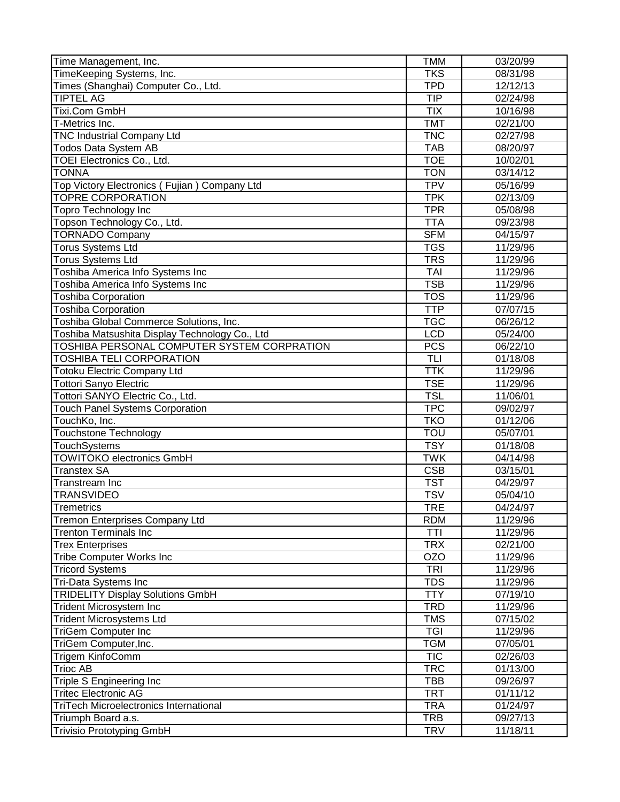| Time Management, Inc.                          | <b>TMM</b>       | 03/20/99              |
|------------------------------------------------|------------------|-----------------------|
| TimeKeeping Systems, Inc.                      | <b>TKS</b>       | 08/31/98              |
| Times (Shanghai) Computer Co., Ltd.            | <b>TPD</b>       | 12/12/13              |
| <b>TIPTEL AG</b>                               | <b>TIP</b>       | 02/24/98              |
| Tixi.Com GmbH                                  | <b>TIX</b>       | 10/16/98              |
| T-Metrics Inc.                                 | <b>TMT</b>       | 02/21/00              |
| <b>TNC Industrial Company Ltd</b>              | <b>TNC</b>       | 02/27/98              |
| Todos Data System AB                           | <b>TAB</b>       | 08/20/97              |
| TOEI Electronics Co., Ltd.                     | <b>TOE</b>       | 10/02/01              |
| <b>TONNA</b>                                   | <b>TON</b>       | 03/14/12              |
| Top Victory Electronics (Fujian) Company Ltd   | <b>TPV</b>       | 05/16/99              |
| <b>TOPRE CORPORATION</b>                       | <b>TPK</b>       | 02/13/09              |
| Topro Technology Inc                           | <b>TPR</b>       | 05/08/98              |
| Topson Technology Co., Ltd.                    | <b>TTA</b>       | $\overline{09/2}3/98$ |
| <b>TORNADO Company</b>                         | <b>SFM</b>       | 04/15/97              |
| <b>Torus Systems Ltd</b>                       | <b>TGS</b>       | 11/29/96              |
| <b>Torus Systems Ltd</b>                       | <b>TRS</b>       | 11/29/96              |
| Toshiba America Info Systems Inc               | TAI              | 11/29/96              |
| Toshiba America Info Systems Inc               | <b>TSB</b>       | 11/29/96              |
| <b>Toshiba Corporation</b>                     | $\overline{TOS}$ | 11/29/96              |
| <b>Toshiba Corporation</b>                     | <b>TTP</b>       | 07/07/15              |
| Toshiba Global Commerce Solutions, Inc.        | <b>TGC</b>       | 06/26/12              |
| Toshiba Matsushita Display Technology Co., Ltd | <b>LCD</b>       | 05/24/00              |
| TOSHIBA PERSONAL COMPUTER SYSTEM CORPRATION    | <b>PCS</b>       | 06/22/10              |
| TOSHIBA TELI CORPORATION                       | TLI              | 01/18/08              |
| Totoku Electric Company Ltd                    | <b>TTK</b>       | 11/29/96              |
| Tottori Sanyo Electric                         | <b>TSE</b>       | 11/29/96              |
| Tottori SANYO Electric Co., Ltd.               | <b>TSL</b>       | 11/06/01              |
| <b>Touch Panel Systems Corporation</b>         | <b>TPC</b>       | 09/02/97              |
| TouchKo, Inc.                                  | <b>TKO</b>       | 01/12/06              |
| <b>Touchstone Technology</b>                   | <b>TOU</b>       | 05/07/01              |
| TouchSystems                                   | <b>TSY</b>       | 01/18/08              |
| <b>TOWITOKO electronics GmbH</b>               | <b>TWK</b>       | 04/14/98              |
| <b>Transtex SA</b>                             | <b>CSB</b>       | 03/15/01              |
| Transtream Inc                                 | <b>TST</b>       | 04/29/97              |
| <b>TRANSVIDEO</b>                              | <b>TSV</b>       | 05/04/10              |
| Tremetrics                                     | <b>TRE</b>       | 04/24/97              |
| <b>Tremon Enterprises Company Ltd</b>          | <b>RDM</b>       | 11/29/96              |
| <b>Trenton Terminals Inc</b>                   | <b>TTI</b>       | 11/29/96              |
| <b>Trex Enterprises</b>                        | <b>TRX</b>       | 02/21/00              |
| <b>Tribe Computer Works Inc</b>                | <b>OZO</b>       | 11/29/96              |
| <b>Tricord Systems</b>                         | <b>TRI</b>       | 11/29/96              |
| Tri-Data Systems Inc                           | <b>TDS</b>       | 11/29/96              |
| <b>TRIDELITY Display Solutions GmbH</b>        | <b>TTY</b>       | 07/19/10              |
| <b>Trident Microsystem Inc</b>                 | <b>TRD</b>       | 11/29/96              |
| <b>Trident Microsystems Ltd</b>                | <b>TMS</b>       | 07/15/02              |
| <b>TriGem Computer Inc</b>                     | <b>TGI</b>       | 11/29/96              |
| TriGem Computer, Inc.                          | <b>TGM</b>       | 07/05/01              |
| Trigem KinfoComm                               | <b>TIC</b>       | 02/26/03              |
| <b>Trioc AB</b>                                | <b>TRC</b>       | 01/13/00              |
| Triple S Engineering Inc                       | TBB              | 09/26/97              |
| <b>Tritec Electronic AG</b>                    | <b>TRT</b>       | 01/11/12              |
| <b>TriTech Microelectronics International</b>  | <b>TRA</b>       | 01/24/97              |
| Triumph Board a.s.                             | <b>TRB</b>       | 09/27/13              |
| <b>Trivisio Prototyping GmbH</b>               | <b>TRV</b>       | 11/18/11              |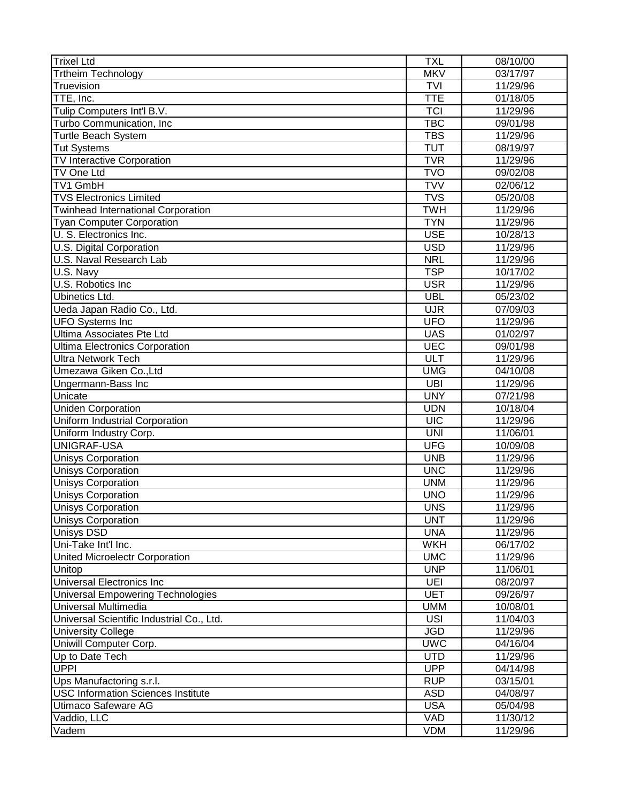| <b>Trixel Ltd</b>                         | <b>TXL</b> | 08/10/00              |
|-------------------------------------------|------------|-----------------------|
| Trtheim Technology                        | <b>MKV</b> | 03/17/97              |
| Truevision                                | <b>TVI</b> | 11/29/96              |
| TTE, Inc.                                 | <b>TTE</b> | 01/18/05              |
| Tulip Computers Int'l B.V.                | <b>TCI</b> | 11/29/96              |
| Turbo Communication, Inc                  | <b>TBC</b> | 09/01/98              |
| <b>Turtle Beach System</b>                | <b>TBS</b> | 11/29/96              |
| <b>Tut Systems</b>                        | <b>TUT</b> | 08/19/97              |
| <b>TV Interactive Corporation</b>         | <b>TVR</b> | 11/29/96              |
| TV One Ltd                                | <b>TVO</b> | 09/02/08              |
| <b>TV1 GmbH</b>                           | <b>TVV</b> | 02/06/12              |
| <b>TVS Electronics Limited</b>            | <b>TVS</b> | 05/20/08              |
| <b>Twinhead International Corporation</b> | <b>TWH</b> | 11/29/96              |
| <b>Tyan Computer Corporation</b>          | <b>TYN</b> | 11/29/96              |
| U. S. Electronics Inc.                    | <b>USE</b> | 10/28/13              |
| U.S. Digital Corporation                  | <b>USD</b> | 11/29/96              |
| U.S. Naval Research Lab                   | <b>NRL</b> | 11/29/96              |
| U.S. Navy                                 | <b>TSP</b> | 10/17/02              |
| U.S. Robotics Inc                         | <b>USR</b> | 11/29/96              |
| Ubinetics Ltd.                            | <b>UBL</b> | 05/23/02              |
| Ueda Japan Radio Co., Ltd.                | <b>UJR</b> | 07/09/03              |
| <b>UFO Systems Inc</b>                    | <b>UFO</b> | 11/29/96              |
| Ultima Associates Pte Ltd                 | <b>UAS</b> | 01/02/97              |
|                                           |            |                       |
| <b>Ultima Electronics Corporation</b>     | <b>UEC</b> | 09/01/98              |
| <b>Ultra Network Tech</b>                 | ULT        | 11/29/96              |
| Umezawa Giken Co., Ltd                    | <b>UMG</b> | 04/10/08              |
| Ungermann-Bass Inc                        | <b>UBI</b> | 11/29/96              |
| Unicate                                   | <b>UNY</b> | $\overline{07}/21/98$ |
| <b>Uniden Corporation</b>                 | <b>UDN</b> | 10/18/04              |
| Uniform Industrial Corporation            | <b>UIC</b> | 11/29/96              |
| Uniform Industry Corp.                    | <b>UNI</b> | 11/06/01              |
| UNIGRAF-USA                               | <b>UFG</b> | 10/09/08              |
| <b>Unisys Corporation</b>                 | <b>UNB</b> | 11/29/96              |
| <b>Unisys Corporation</b>                 | <b>UNC</b> | 11/29/96              |
| <b>Unisys Corporation</b>                 | <b>UNM</b> | 11/29/96              |
| <b>Unisys Corporation</b>                 | <b>UNO</b> | 11/29/96              |
| Unisys Corporation                        | <b>UNS</b> | 11/29/96              |
| <b>Unisys Corporation</b>                 | <b>UNT</b> | 11/29/96              |
| <b>Unisys DSD</b>                         | <b>UNA</b> | 11/29/96              |
| Uni-Take Int'l Inc.                       | <b>WKH</b> | 06/17/02              |
| United Microelectr Corporation            | <b>UMC</b> | 11/29/96              |
| Unitop                                    | <b>UNP</b> | 11/06/01              |
| Universal Electronics Inc                 | <b>UEI</b> | 08/20/97              |
| Universal Empowering Technologies         | <b>UET</b> | 09/26/97              |
| Universal Multimedia                      | <b>UMM</b> | 10/08/01              |
| Universal Scientific Industrial Co., Ltd. | <b>USI</b> | 11/04/03              |
| <b>University College</b>                 | <b>JGD</b> | 11/29/96              |
| Uniwill Computer Corp.                    | <b>UWC</b> | 04/16/04              |
| Up to Date Tech                           | <b>UTD</b> | 11/29/96              |
| <b>UPPI</b>                               | <b>UPP</b> | 04/14/98              |
| Ups Manufactoring s.r.l.                  | <b>RUP</b> | 03/15/01              |
| <b>USC Information Sciences Institute</b> | <b>ASD</b> | 04/08/97              |
| Utimaco Safeware AG                       | <b>USA</b> | 05/04/98              |
| Vaddio, LLC                               | VAD        | 11/30/12              |
| Vadem                                     | <b>VDM</b> | 11/29/96              |
|                                           |            |                       |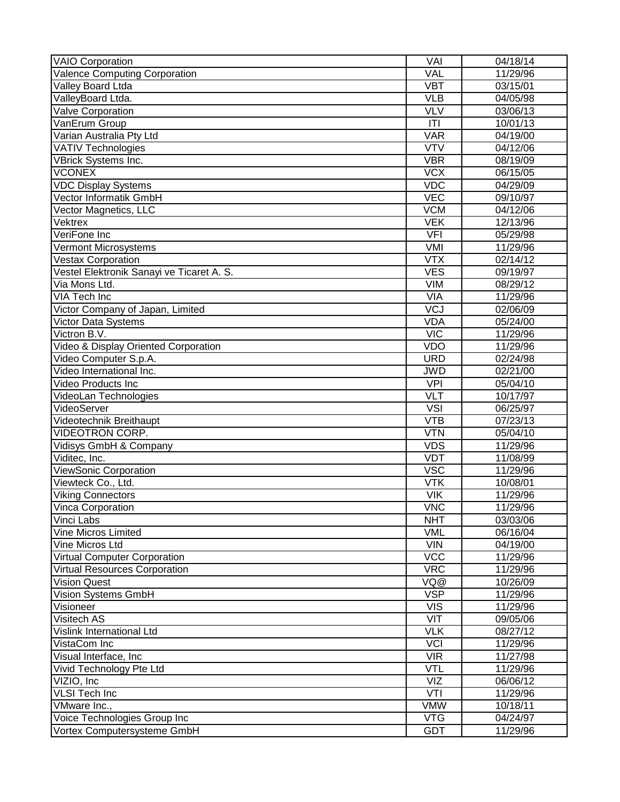| <b>VAIO Corporation</b>                   | VAI        | 04/18/14              |
|-------------------------------------------|------------|-----------------------|
| <b>Valence Computing Corporation</b>      | <b>VAL</b> | 11/29/96              |
| Valley Board Ltda                         | <b>VBT</b> | 03/15/01              |
| ValleyBoard Ltda.                         | <b>VLB</b> | 04/05/98              |
| Valve Corporation                         | <b>VLV</b> | 03/06/13              |
| VanErum Group                             | T          | 10/01/13              |
| Varian Australia Pty Ltd                  | <b>VAR</b> | 04/19/00              |
| <b>VATIV Technologies</b>                 | <b>VTV</b> | 04/12/06              |
| VBrick Systems Inc.                       | <b>VBR</b> | 08/19/09              |
| <b>VCONEX</b>                             | <b>VCX</b> | 06/15/05              |
| <b>VDC Display Systems</b>                | <b>VDC</b> | 04/29/09              |
| Vector Informatik GmbH                    | <b>VEC</b> | 09/10/97              |
| Vector Magnetics, LLC                     | <b>VCM</b> | 04/12/06              |
| <b>Vektrex</b>                            | <b>VEK</b> | 12/13/96              |
| VeriFone Inc                              | <b>VFI</b> | 05/29/98              |
| Vermont Microsystems                      | VMI        | 11/29/96              |
| <b>Vestax Corporation</b>                 | <b>VTX</b> | 02/14/12              |
| Vestel Elektronik Sanayi ve Ticaret A. S. | <b>VES</b> | 09/19/97              |
| Via Mons Ltd.                             | <b>VIM</b> | 08/29/12              |
| VIA Tech Inc                              | <b>VIA</b> | 11/29/96              |
| Victor Company of Japan, Limited          | VCJ        | 02/06/09              |
| Victor Data Systems                       | <b>VDA</b> | $\overline{05/2}4/00$ |
| Victron B.V.                              | <b>VIC</b> | 11/29/96              |
| Video & Display Oriented Corporation      | <b>VDO</b> | 11/29/96              |
| Video Computer S.p.A.                     | <b>URD</b> | 02/24/98              |
| Video International Inc.                  | <b>JWD</b> | 02/21/00              |
| Video Products Inc                        | <b>VPI</b> | 05/04/10              |
| VideoLan Technologies                     | <b>VLT</b> | 10/17/97              |
| VideoServer                               | <b>VSI</b> | 06/25/97              |
| Videotechnik Breithaupt                   | <b>VTB</b> | 07/23/13              |
| <b>VIDEOTRON CORP.</b>                    | <b>VTN</b> | 05/04/10              |
| Vidisys GmbH & Company                    | <b>VDS</b> | 11/29/96              |
| Viditec, Inc.                             | <b>VDT</b> | 11/08/99              |
| ViewSonic Corporation                     | <b>VSC</b> | 11/29/96              |
| Viewteck Co., Ltd.                        | <b>VTK</b> | 10/08/01              |
| <b>Viking Connectors</b>                  | <b>VIK</b> | 11/29/96              |
| Vinca Corporation                         | <b>VNC</b> | 11/29/96              |
| Vinci Labs                                | <b>NHT</b> | 03/03/06              |
| Vine Micros Limited                       | <b>VML</b> | 06/16/04              |
| Vine Micros Ltd                           | <b>VIN</b> | 04/19/00              |
| <b>Virtual Computer Corporation</b>       | <b>VCC</b> | 11/29/96              |
| <b>Virtual Resources Corporation</b>      | <b>VRC</b> | 11/29/96              |
| <b>Vision Quest</b>                       | VQ@        | 10/26/09              |
| Vision Systems GmbH                       | <b>VSP</b> | 11/29/96              |
| Visioneer                                 | <b>VIS</b> | 11/29/96              |
| Visitech AS                               | VIT        | 09/05/06              |
| Vislink International Ltd                 | <b>VLK</b> | 08/27/12              |
| VistaCom Inc                              | <b>VCI</b> | 11/29/96              |
| Visual Interface, Inc                     | <b>VIR</b> | 11/27/98              |
| Vivid Technology Pte Ltd                  | <b>VTL</b> | 11/29/96              |
| VIZIO, Inc                                | VIZ        | 06/06/12              |
| <b>VLSI Tech Inc</b>                      | VTI        | 11/29/96              |
| VMware Inc.,                              | <b>VMW</b> | 10/18/11              |
| Voice Technologies Group Inc              | <b>VTG</b> | 04/24/97              |
| Vortex Computersysteme GmbH               | <b>GDT</b> | 11/29/96              |
|                                           |            |                       |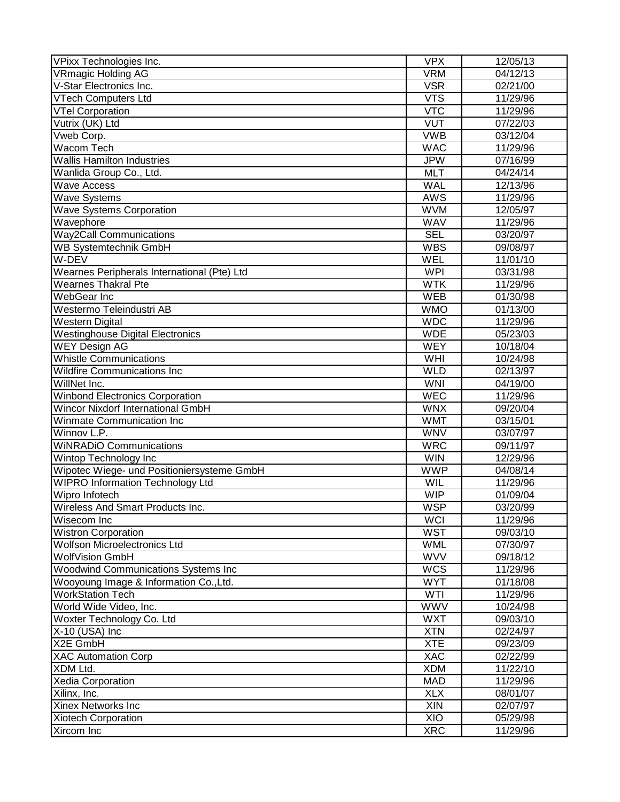| VPixx Technologies Inc.                     | <b>VPX</b> | 12/05/13 |
|---------------------------------------------|------------|----------|
| <b>VRmagic Holding AG</b>                   | <b>VRM</b> | 04/12/13 |
| V-Star Electronics Inc.                     | <b>VSR</b> | 02/21/00 |
| <b>VTech Computers Ltd</b>                  | <b>VTS</b> | 11/29/96 |
| <b>VTel Corporation</b>                     | <b>VTC</b> | 11/29/96 |
| Vutrix (UK) Ltd                             | <b>VUT</b> | 07/22/03 |
| Vweb Corp.                                  | <b>VWB</b> | 03/12/04 |
| Wacom Tech                                  | <b>WAC</b> | 11/29/96 |
| <b>Wallis Hamilton Industries</b>           | <b>JPW</b> | 07/16/99 |
| Wanlida Group Co., Ltd.                     | <b>MLT</b> | 04/24/14 |
| <b>Wave Access</b>                          | <b>WAL</b> | 12/13/96 |
| <b>Wave Systems</b>                         | <b>AWS</b> | 11/29/96 |
| <b>Wave Systems Corporation</b>             | <b>WVM</b> | 12/05/97 |
| Wavephore                                   | <b>WAV</b> | 11/29/96 |
| <b>Way2Call Communications</b>              | <b>SEL</b> | 03/20/97 |
| <b>WB Systemtechnik GmbH</b>                | <b>WBS</b> | 09/08/97 |
| W-DEV                                       | WEL        | 11/01/10 |
| Wearnes Peripherals International (Pte) Ltd | <b>WPI</b> | 03/31/98 |
| <b>Wearnes Thakral Pte</b>                  | <b>WTK</b> | 11/29/96 |
| WebGear Inc                                 | <b>WEB</b> | 01/30/98 |
| Westermo Teleindustri AB                    | <b>WMO</b> | 01/13/00 |
| <b>Western Digital</b>                      | <b>WDC</b> | 11/29/96 |
| <b>Westinghouse Digital Electronics</b>     | <b>WDE</b> | 05/23/03 |
| <b>WEY Design AG</b>                        | <b>WEY</b> | 10/18/04 |
| <b>Whistle Communications</b>               | WHI        | 10/24/98 |
| <b>Wildfire Communications Inc</b>          | <b>WLD</b> | 02/13/97 |
| WillNet Inc.                                | <b>WNI</b> | 04/19/00 |
| <b>Winbond Electronics Corporation</b>      | <b>WEC</b> | 11/29/96 |
| Wincor Nixdorf International GmbH           | <b>WNX</b> | 09/20/04 |
| Winmate Communication Inc                   | <b>WMT</b> | 03/15/01 |
| Winnov L.P.                                 | <b>WNV</b> | 03/07/97 |
| <b>WINRADIO Communications</b>              | <b>WRC</b> | 09/11/97 |
| Wintop Technology Inc                       | <b>WIN</b> | 12/29/96 |
| Wipotec Wiege- und Positioniersysteme GmbH  | <b>WWP</b> | 04/08/14 |
| <b>WIPRO Information Technology Ltd</b>     | WIL        | 11/29/96 |
| Wipro Infotech                              | <b>WIP</b> | 01/09/04 |
| Wireless And Smart Products Inc.            | <b>WSP</b> | 03/20/99 |
| Wisecom Inc                                 | <b>WCI</b> | 11/29/96 |
| <b>Wistron Corporation</b>                  | <b>WST</b> | 09/03/10 |
| <b>Wolfson Microelectronics Ltd</b>         | <b>WML</b> | 07/30/97 |
| <b>WolfVision GmbH</b>                      | <b>WVV</b> | 09/18/12 |
| Woodwind Communications Systems Inc         | <b>WCS</b> | 11/29/96 |
| Wooyoung Image & Information Co., Ltd.      | <b>WYT</b> | 01/18/08 |
| <b>WorkStation Tech</b>                     | WTI        | 11/29/96 |
| World Wide Video, Inc.                      | <b>WWV</b> | 10/24/98 |
| Woxter Technology Co. Ltd                   | <b>WXT</b> | 09/03/10 |
| $X-10$ (USA) Inc                            | <b>XTN</b> | 02/24/97 |
| X2E GmbH                                    | <b>XTE</b> | 09/23/09 |
|                                             |            |          |
| <b>XAC Automation Corp</b>                  | XAC        | 02/22/99 |
| XDM Ltd.                                    | <b>XDM</b> | 11/22/10 |
| Xedia Corporation                           | <b>MAD</b> | 11/29/96 |
| Xilinx, Inc.                                | <b>XLX</b> | 08/01/07 |
| <b>Xinex Networks Inc</b>                   | XIN        | 02/07/97 |
| <b>Xiotech Corporation</b>                  | XIO        | 05/29/98 |
| Xircom Inc                                  | <b>XRC</b> | 11/29/96 |